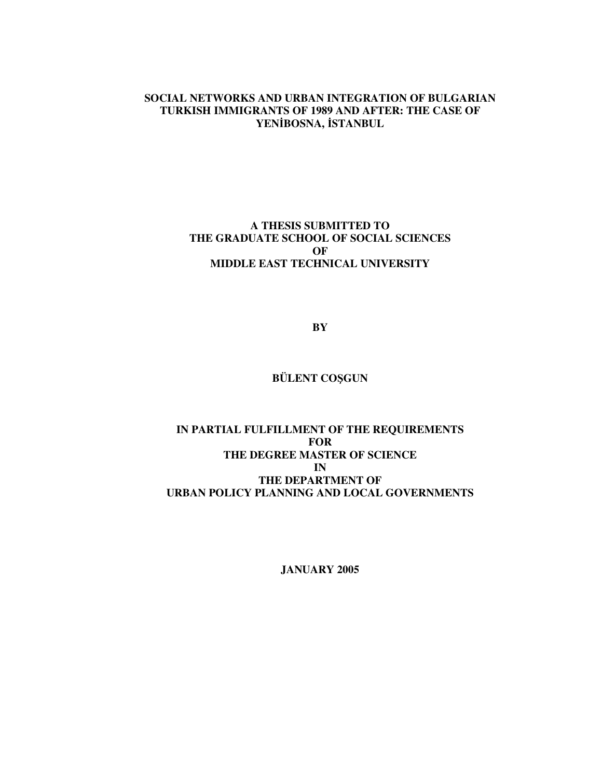# **SOCIAL NETWORKS AND URBAN INTEGRATION OF BULGARIAN TURKISH IMMIGRANTS OF 1989 AND AFTER: THE CASE OF YENBOSNA, STANBUL**

# **A THESIS SUBMITTED TO THE GRADUATE SCHOOL OF SOCIAL SCIENCES OF MIDDLE EAST TECHNICAL UNIVERSITY**

**BY**

# **BÜLENT COŞGUN**

# **IN PARTIAL FULFILLMENT OF THE REQUIREMENTS FOR THE DEGREE MASTER OF SCIENCE IN THE DEPARTMENT OF URBAN POLICY PLANNING AND LOCAL GOVERNMENTS**

**JANUARY 2005**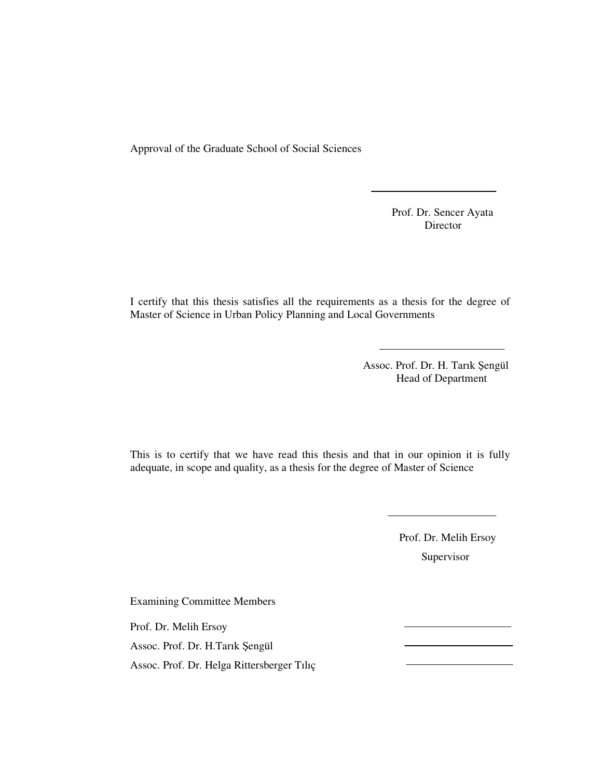Approval of the Graduate School of Social Sciences

Prof. Dr. Sencer Ayata Director

I certify that this thesis satisfies all the requirements as a thesis for the degree of Master of Science in Urban Policy Planning and Local Governments

> Assoc. Prof. Dr. H. Tarık Şengül Head of Department

This is to certify that we have read this thesis and that in our opinion it is fully adequate, in scope and quality, as a thesis for the degree of Master of Science

> Prof. Dr. Melih Ersoy Supervisor

Examining Committee Members Prof. Dr. Melih Ersoy Assoc. Prof. Dr. H.Tarık Şengül Assoc. Prof. Dr. Helga Rittersberger Tılıç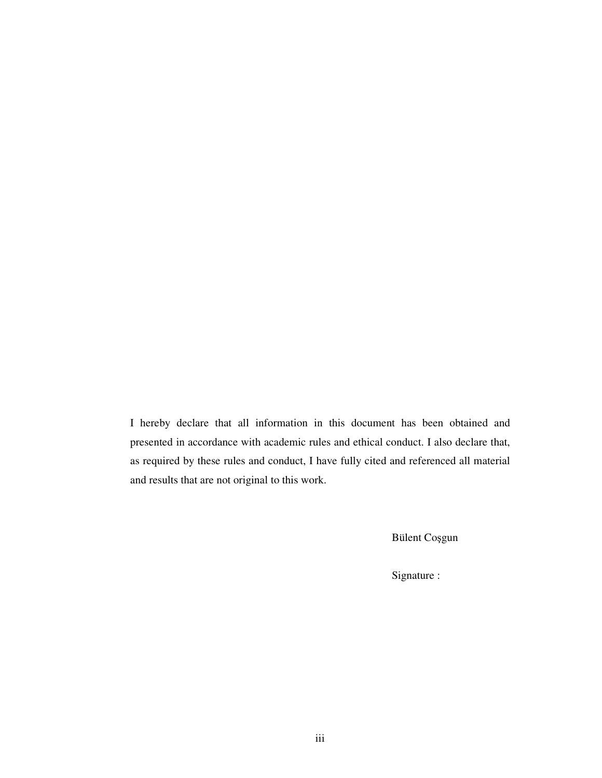I hereby declare that all information in this document has been obtained and presented in accordance with academic rules and ethical conduct. I also declare that, as required by these rules and conduct, I have fully cited and referenced all material and results that are not original to this work.

Bülent Coşgun

Signature :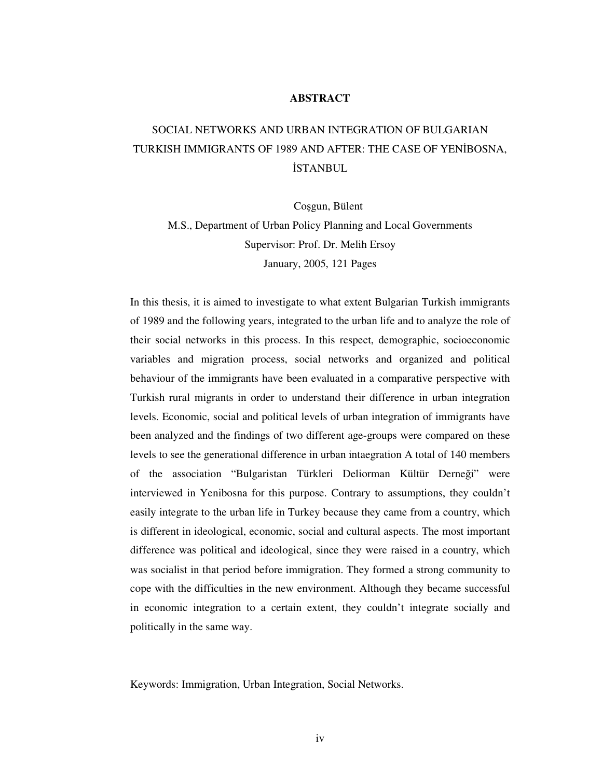# **ABSTRACT**

# SOCIAL NETWORKS AND URBAN INTEGRATION OF BULGARIAN TURKISH IMMIGRANTS OF 1989 AND AFTER: THE CASE OF YENBOSNA, **İSTANBUL**

Coșgun, Bülent

M.S., Department of Urban Policy Planning and Local Governments Supervisor: Prof. Dr. Melih Ersoy January, 2005, 121 Pages

In this thesis, it is aimed to investigate to what extent Bulgarian Turkish immigrants of 1989 and the following years, integrated to the urban life and to analyze the role of their social networks in this process. In this respect, demographic, socioeconomic variables and migration process, social networks and organized and political behaviour of the immigrants have been evaluated in a comparative perspective with Turkish rural migrants in order to understand their difference in urban integration levels. Economic, social and political levels of urban integration of immigrants have been analyzed and the findings of two different age-groups were compared on these levels to see the generational difference in urban intaegration A total of 140 members of the association "Bulgaristan Türkleri Deliorman Kültür Derneği" were interviewed in Yenibosna for this purpose. Contrary to assumptions, they couldn't easily integrate to the urban life in Turkey because they came from a country, which is different in ideological, economic, social and cultural aspects. The most important difference was political and ideological, since they were raised in a country, which was socialist in that period before immigration. They formed a strong community to cope with the difficulties in the new environment. Although they became successful in economic integration to a certain extent, they couldn't integrate socially and politically in the same way.

Keywords: Immigration, Urban Integration, Social Networks.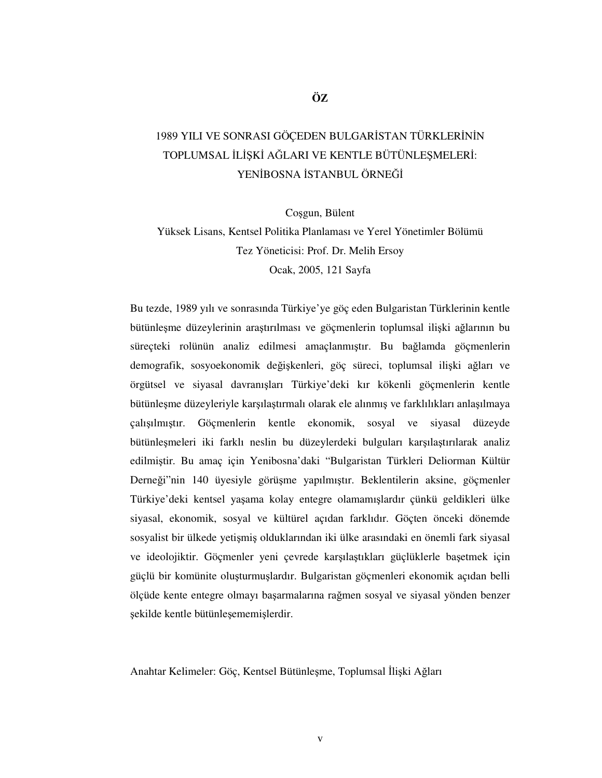# 1989 YILI VE SONRASI GÖÇEDEN BULGARİSTAN TÜRKLERİNİN TOPLUMSAL İLİŞKİ AĞLARI VE KENTLE BÜTÜNLEŞMELERİ: YENİBOSNA İSTANBUL ÖRNEĞİ

Coşgun, Bülent

Yüksek Lisans, Kentsel Politika Planlaması ve Yerel Yönetimler Bölümü Tez Yöneticisi: Prof. Dr. Melih Ersoy Ocak, 2005, 121 Sayfa

Bu tezde, 1989 yılı ve sonrasında Türkiye'ye göç eden Bulgaristan Türklerinin kentle bütünleşme düzeylerinin araştırılması ve göçmenlerin toplumsal ilişki ağlarının bu süreçteki rolünün analiz edilmesi amaçlanmıştır. Bu bağlamda göçmenlerin demografik, sosyoekonomik değişkenleri, göç süreci, toplumsal ilişki ağları ve örgütsel ve siyasal davranışları Türkiye'deki kır kökenli göçmenlerin kentle bütünleşme düzeyleriyle karşılaştırmalı olarak ele alınmış ve farklılıkları anlaşılmaya çalışılmıştır. Göçmenlerin kentle ekonomik, sosyal ve siyasal düzeyde bütünleşmeleri iki farklı neslin bu düzeylerdeki bulguları karşılaştırılarak analiz edilmiştir. Bu amaç için Yenibosna'daki "Bulgaristan Türkleri Deliorman Kültür Derneği"nin 140 üyesiyle görüşme yapılmıştır. Beklentilerin aksine, göçmenler Türkiye'deki kentsel yaşama kolay entegre olamamışlardır çünkü geldikleri ülke siyasal, ekonomik, sosyal ve kültürel açıdan farklıdır. Göçten önceki dönemde sosyalist bir ülkede yetişmiş olduklarından iki ülke arasındaki en önemli fark siyasal ve ideolojiktir. Göçmenler yeni çevrede karşılaştıkları güçlüklerle başetmek için güçlü bir komünite oluşturmuşlardır. Bulgaristan göçmenleri ekonomik açıdan belli ölçüde kente entegre olmayı başarmalarına rağmen sosyal ve siyasal yönden benzer şekilde kentle bütünleşememişlerdir.

Anahtar Kelimeler: Göç, Kentsel Bütünleşme, Toplumsal İlişki Ağları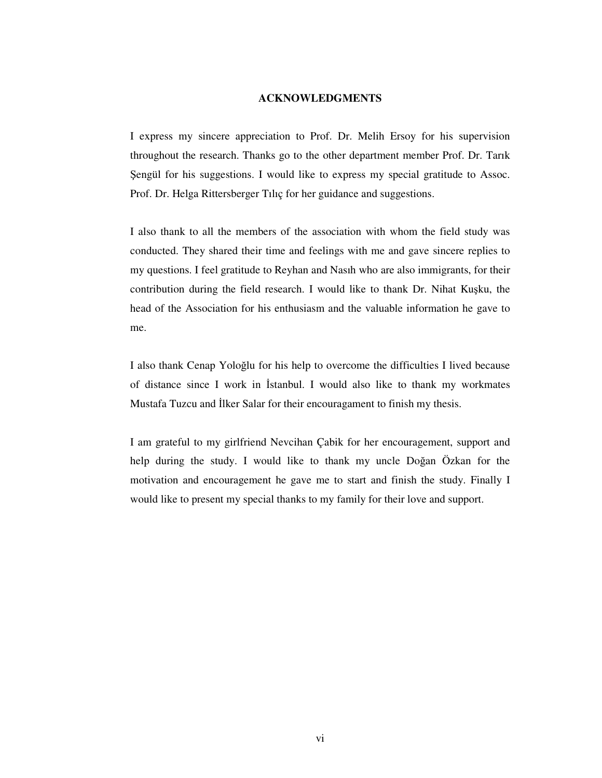## **ACKNOWLEDGMENTS**

I express my sincere appreciation to Prof. Dr. Melih Ersoy for his supervision throughout the research. Thanks go to the other department member Prof. Dr. Tarık Sengül for his suggestions. I would like to express my special gratitude to Assoc. Prof. Dr. Helga Rittersberger Tılıç for her guidance and suggestions.

I also thank to all the members of the association with whom the field study was conducted. They shared their time and feelings with me and gave sincere replies to my questions. I feel gratitude to Reyhan and Nasıh who are also immigrants, for their contribution during the field research. I would like to thank Dr. Nihat Kuşku, the head of the Association for his enthusiasm and the valuable information he gave to me.

I also thank Cenap Yoloğlu for his help to overcome the difficulties I lived because of distance since I work in Istanbul. I would also like to thank my workmates Mustafa Tuzcu and Ilker Salar for their encouragament to finish my thesis.

I am grateful to my girlfriend Nevcihan Çabik for her encouragement, support and help during the study. I would like to thank my uncle Doğan Özkan for the motivation and encouragement he gave me to start and finish the study. Finally I would like to present my special thanks to my family for their love and support.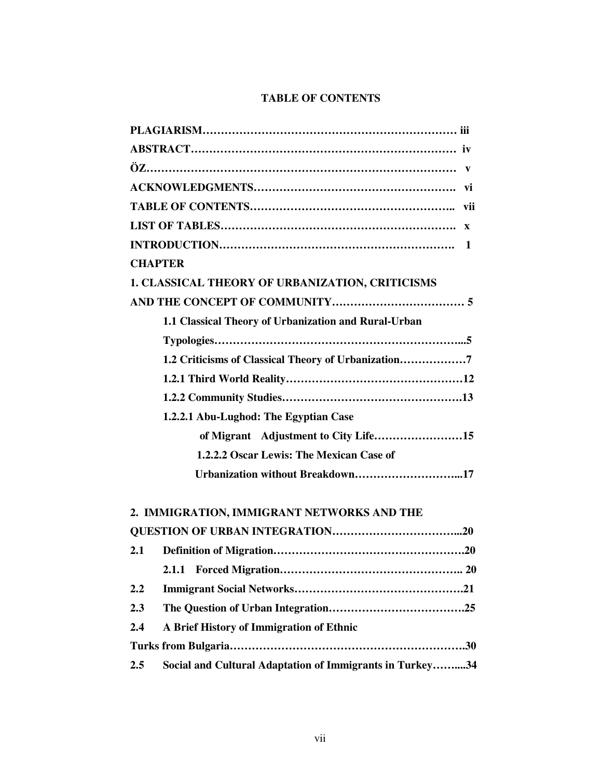# **TABLE OF CONTENTS**

| <b>CHAPTER</b>                                       |  |
|------------------------------------------------------|--|
| 1. CLASSICAL THEORY OF URBANIZATION, CRITICISMS      |  |
|                                                      |  |
| 1.1 Classical Theory of Urbanization and Rural-Urban |  |
|                                                      |  |
| 1.2 Criticisms of Classical Theory of Urbanization7  |  |
|                                                      |  |
|                                                      |  |
| 1.2.2.1 Abu-Lughod: The Egyptian Case                |  |
| of Migrant Adjustment to City Life15                 |  |
| 1.2.2.2 Oscar Lewis: The Mexican Case of             |  |
| Urbanization without Breakdown17                     |  |
| 2. IMMIGRATION, IMMIGRANT NETWORKS AND THE           |  |
|                                                      |  |

| 2.1 |                                                          |  |
|-----|----------------------------------------------------------|--|
|     |                                                          |  |
| 2.2 |                                                          |  |
| 2.3 |                                                          |  |
| 2.4 | A Brief History of Immigration of Ethnic                 |  |
|     |                                                          |  |
| 2.5 | Social and Cultural Adaptation of Immigrants in Turkey34 |  |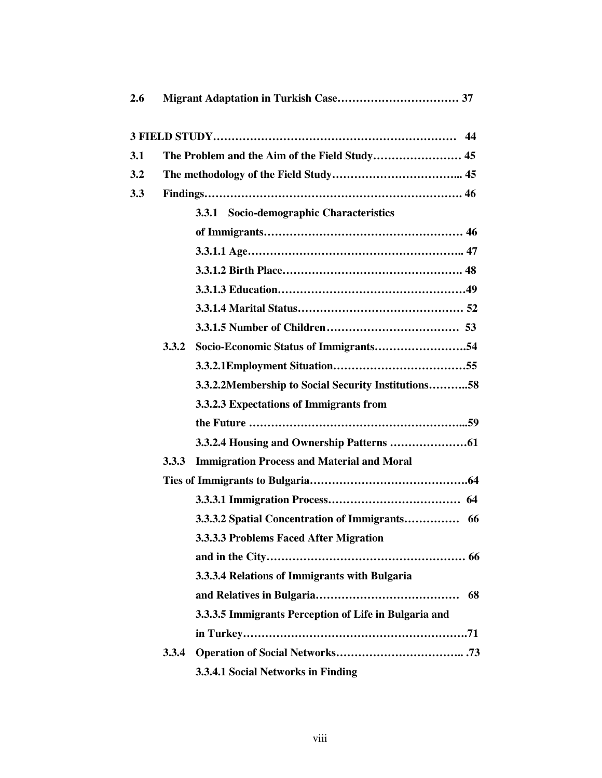| 2.6 |       |                                                       |
|-----|-------|-------------------------------------------------------|
|     |       |                                                       |
| 3.1 |       |                                                       |
| 3.2 |       |                                                       |
| 3.3 |       |                                                       |
|     |       | 3.3.1 Socio-demographic Characteristics               |
|     |       |                                                       |
|     |       |                                                       |
|     |       |                                                       |
|     |       |                                                       |
|     |       |                                                       |
|     |       |                                                       |
|     | 3.3.2 |                                                       |
|     |       |                                                       |
|     |       | 3.3.2.2Membership to Social Security Institutions58   |
|     |       | 3.3.2.3 Expectations of Immigrants from               |
|     |       |                                                       |
|     |       |                                                       |
|     | 3.3.3 | <b>Immigration Process and Material and Moral</b>     |
|     |       |                                                       |
|     |       |                                                       |
|     |       | 3.3.3.2 Spatial Concentration of Immigrants 66        |
|     |       | 3.3.3.3 Problems Faced After Migration                |
|     |       |                                                       |
|     |       | 3.3.3.4 Relations of Immigrants with Bulgaria         |
|     |       | 68                                                    |
|     |       | 3.3.3.5 Immigrants Perception of Life in Bulgaria and |
|     |       |                                                       |
|     | 3.3.4 |                                                       |
|     |       | 3.3.4.1 Social Networks in Finding                    |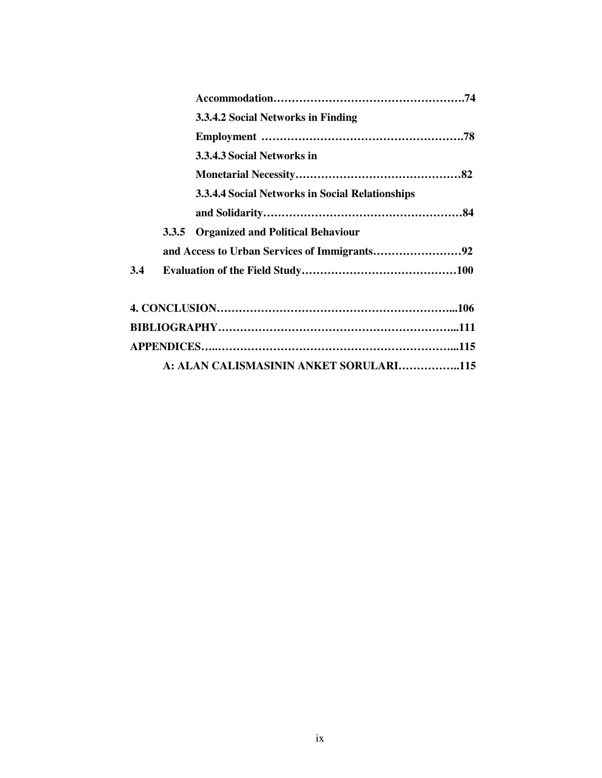|     |       | 3.3.4.2 Social Networks in Finding              |  |
|-----|-------|-------------------------------------------------|--|
|     |       |                                                 |  |
|     |       | 3.3.4.3 Social Networks in                      |  |
|     |       |                                                 |  |
|     |       | 3.3.4.4 Social Networks in Social Relationships |  |
|     |       |                                                 |  |
|     | 3.3.5 | <b>Organized and Political Behaviour</b>        |  |
|     |       |                                                 |  |
| 3.4 |       |                                                 |  |
|     |       |                                                 |  |
|     |       |                                                 |  |
|     |       |                                                 |  |
|     |       | A: ALAN CALISMASININ ANKET SORULARI115          |  |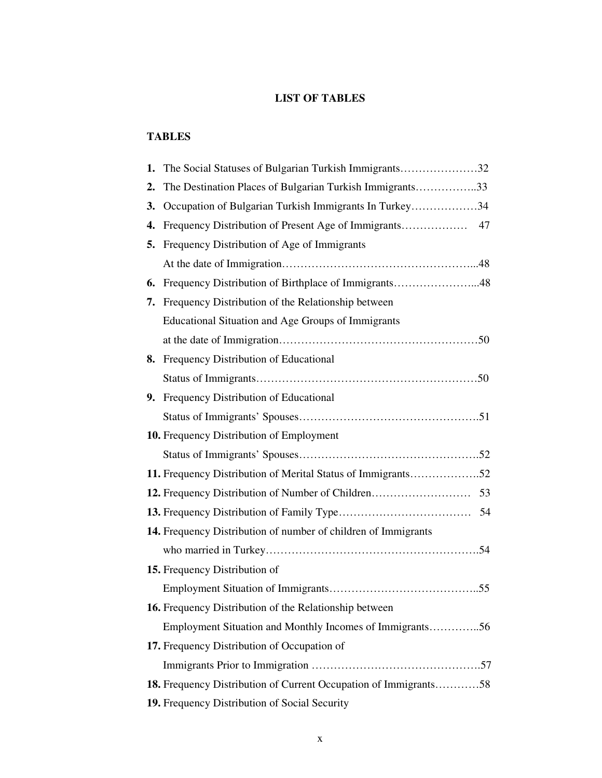# **LIST OF TABLES**

# **TABLES**

| 1. | The Social Statuses of Bulgarian Turkish Immigrants32            |  |
|----|------------------------------------------------------------------|--|
| 2. | The Destination Places of Bulgarian Turkish Immigrants33         |  |
| 3. | Occupation of Bulgarian Turkish Immigrants In Turkey34           |  |
| 4. |                                                                  |  |
| 5. | Frequency Distribution of Age of Immigrants                      |  |
|    |                                                                  |  |
| 6. | Frequency Distribution of Birthplace of Immigrants48             |  |
| 7. | Frequency Distribution of the Relationship between               |  |
|    | Educational Situation and Age Groups of Immigrants               |  |
|    |                                                                  |  |
| 8. | Frequency Distribution of Educational                            |  |
|    |                                                                  |  |
| 9. | Frequency Distribution of Educational                            |  |
|    |                                                                  |  |
|    | 10. Frequency Distribution of Employment                         |  |
|    |                                                                  |  |
|    | 11. Frequency Distribution of Merital Status of Immigrants52     |  |
|    |                                                                  |  |
|    |                                                                  |  |
|    | 14. Frequency Distribution of number of children of Immigrants   |  |
|    |                                                                  |  |
|    | 15. Frequency Distribution of                                    |  |
|    |                                                                  |  |
|    | 16. Frequency Distribution of the Relationship between           |  |
|    | Employment Situation and Monthly Incomes of Immigrants56         |  |
|    | 17. Frequency Distribution of Occupation of                      |  |
|    |                                                                  |  |
|    | 18. Frequency Distribution of Current Occupation of Immigrants58 |  |
|    | 19. Frequency Distribution of Social Security                    |  |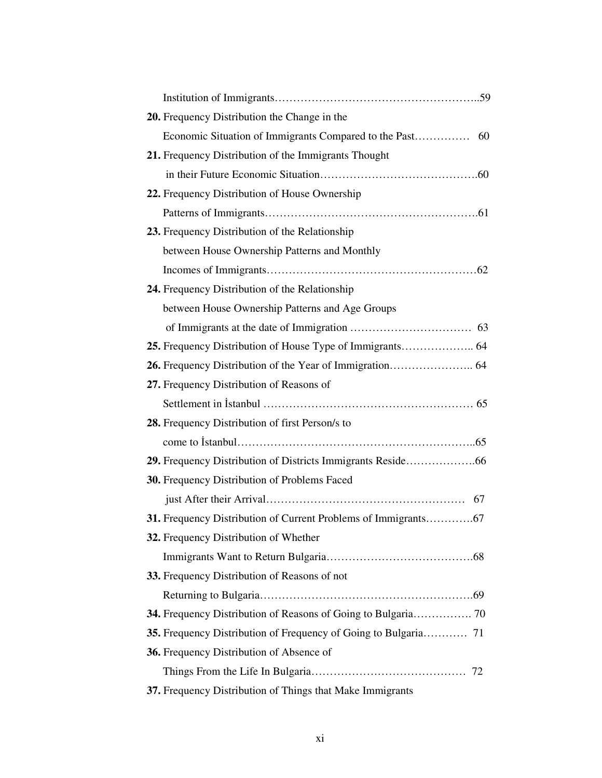| 20. Frequency Distribution the Change in the                  |
|---------------------------------------------------------------|
|                                                               |
| 21. Frequency Distribution of the Immigrants Thought          |
|                                                               |
| 22. Frequency Distribution of House Ownership                 |
|                                                               |
| 23. Frequency Distribution of the Relationship                |
| between House Ownership Patterns and Monthly                  |
|                                                               |
| 24. Frequency Distribution of the Relationship                |
| between House Ownership Patterns and Age Groups               |
|                                                               |
|                                                               |
|                                                               |
| 27. Frequency Distribution of Reasons of                      |
|                                                               |
| 28. Frequency Distribution of first Person/s to               |
|                                                               |
|                                                               |
| 30. Frequency Distribution of Problems Faced                  |
|                                                               |
|                                                               |
| 32. Frequency Distribution of Whether                         |
|                                                               |
| 33. Frequency Distribution of Reasons of not                  |
|                                                               |
| 34. Frequency Distribution of Reasons of Going to Bulgaria 70 |
|                                                               |
| 36. Frequency Distribution of Absence of                      |
|                                                               |
| 37. Frequency Distribution of Things that Make Immigrants     |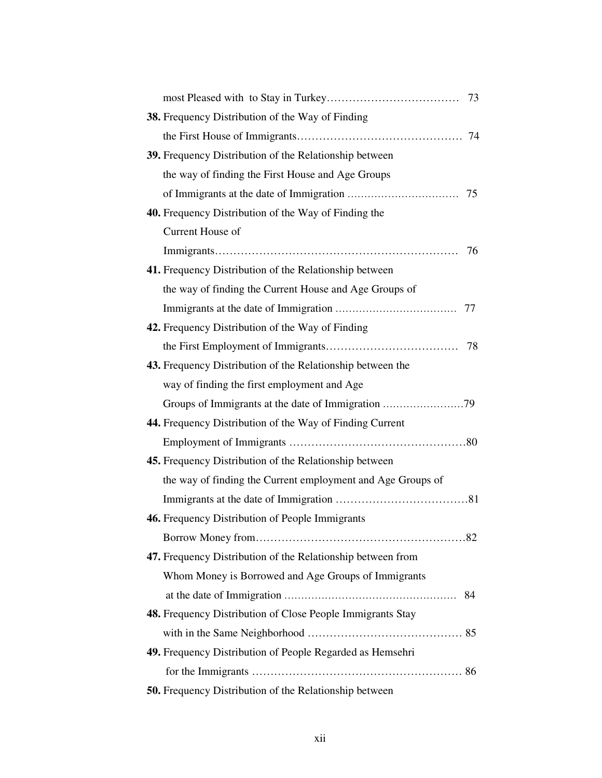| 38. Frequency Distribution of the Way of Finding              |
|---------------------------------------------------------------|
|                                                               |
| 39. Frequency Distribution of the Relationship between        |
| the way of finding the First House and Age Groups             |
|                                                               |
| <b>40.</b> Frequency Distribution of the Way of Finding the   |
| Current House of                                              |
| 76                                                            |
| 41. Frequency Distribution of the Relationship between        |
| the way of finding the Current House and Age Groups of        |
|                                                               |
| 42. Frequency Distribution of the Way of Finding              |
|                                                               |
| 43. Frequency Distribution of the Relationship between the    |
| way of finding the first employment and Age                   |
|                                                               |
| 44. Frequency Distribution of the Way of Finding Current      |
|                                                               |
| <b>45.</b> Frequency Distribution of the Relationship between |
| the way of finding the Current employment and Age Groups of   |
|                                                               |
| 46. Frequency Distribution of People Immigrants               |
|                                                               |
| 47. Frequency Distribution of the Relationship between from   |
| Whom Money is Borrowed and Age Groups of Immigrants           |
|                                                               |
| 48. Frequency Distribution of Close People Immigrants Stay    |
|                                                               |
| 49. Frequency Distribution of People Regarded as Hemsehri     |
|                                                               |
| 50. Frequency Distribution of the Relationship between        |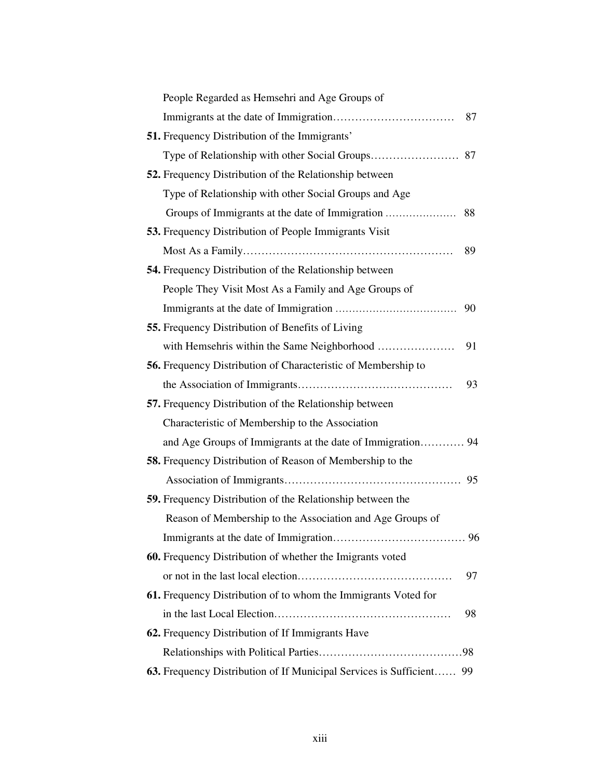| People Regarded as Hemsehri and Age Groups of                        |    |
|----------------------------------------------------------------------|----|
|                                                                      | 87 |
| <b>51.</b> Frequency Distribution of the Immigrants'                 |    |
|                                                                      |    |
| <b>52.</b> Frequency Distribution of the Relationship between        |    |
| Type of Relationship with other Social Groups and Age                |    |
|                                                                      |    |
| <b>53.</b> Frequency Distribution of People Immigrants Visit         |    |
|                                                                      | 89 |
| <b>54.</b> Frequency Distribution of the Relationship between        |    |
| People They Visit Most As a Family and Age Groups of                 |    |
|                                                                      | 90 |
| <b>55.</b> Frequency Distribution of Benefits of Living              |    |
| with Hemsehris within the Same Neighborhood                          | 91 |
| <b>56.</b> Frequency Distribution of Characteristic of Membership to |    |
|                                                                      | 93 |
| 57. Frequency Distribution of the Relationship between               |    |
| Characteristic of Membership to the Association                      |    |
| and Age Groups of Immigrants at the date of Immigration 94           |    |
| <b>58.</b> Frequency Distribution of Reason of Membership to the     |    |
|                                                                      |    |
| <b>59.</b> Frequency Distribution of the Relationship between the    |    |
| Reason of Membership to the Association and Age Groups of            |    |
|                                                                      |    |
| 60. Frequency Distribution of whether the Imigrants voted            |    |
|                                                                      | 97 |
| 61. Frequency Distribution of to whom the Immigrants Voted for       |    |
|                                                                      | 98 |
| 62. Frequency Distribution of If Immigrants Have                     |    |
|                                                                      |    |
| 63. Frequency Distribution of If Municipal Services is Sufficient 99 |    |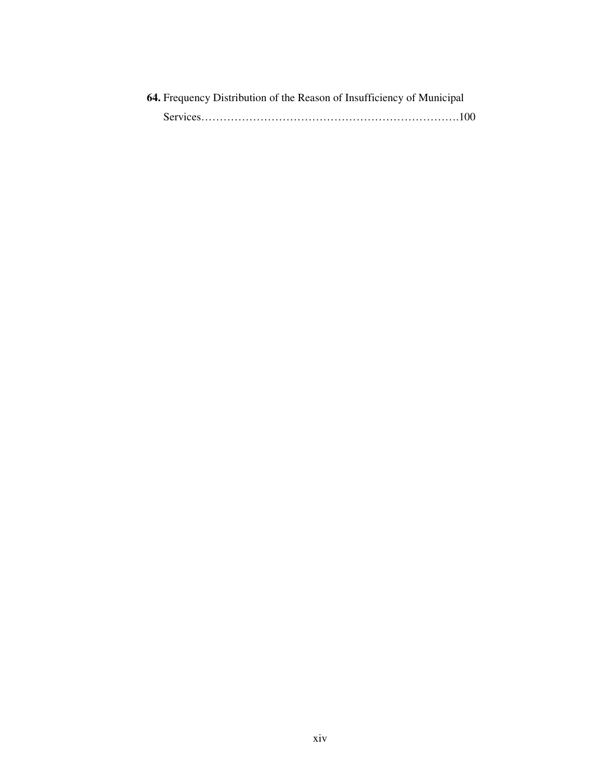| 64. Frequency Distribution of the Reason of Insufficiency of Municipal |
|------------------------------------------------------------------------|
|                                                                        |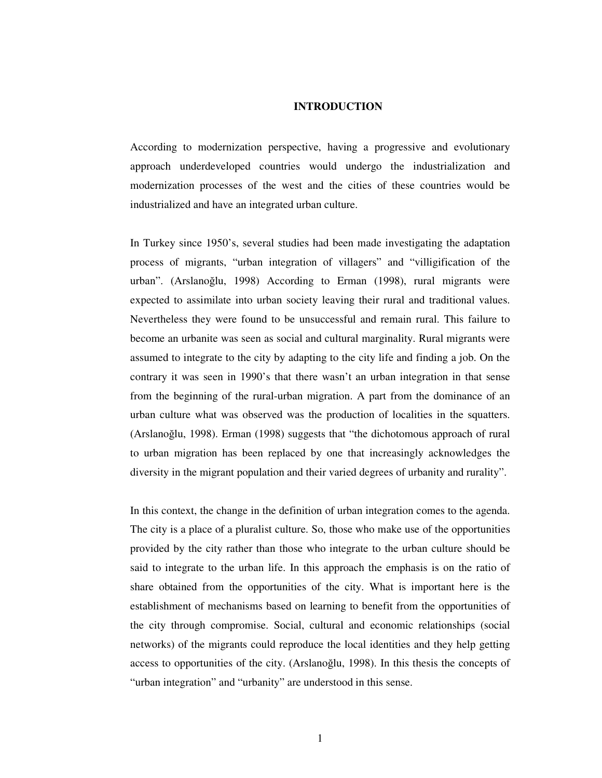#### **INTRODUCTION**

According to modernization perspective, having a progressive and evolutionary approach underdeveloped countries would undergo the industrialization and modernization processes of the west and the cities of these countries would be industrialized and have an integrated urban culture.

In Turkey since 1950's, several studies had been made investigating the adaptation process of migrants, "urban integration of villagers" and "villigification of the urban". (Arslanoğlu, 1998) According to Erman (1998), rural migrants were expected to assimilate into urban society leaving their rural and traditional values. Nevertheless they were found to be unsuccessful and remain rural. This failure to become an urbanite was seen as social and cultural marginality. Rural migrants were assumed to integrate to the city by adapting to the city life and finding a job. On the contrary it was seen in 1990's that there wasn't an urban integration in that sense from the beginning of the rural-urban migration. A part from the dominance of an urban culture what was observed was the production of localities in the squatters. (Arslanoğlu, 1998). Erman (1998) suggests that "the dichotomous approach of rural to urban migration has been replaced by one that increasingly acknowledges the diversity in the migrant population and their varied degrees of urbanity and rurality".

In this context, the change in the definition of urban integration comes to the agenda. The city is a place of a pluralist culture. So, those who make use of the opportunities provided by the city rather than those who integrate to the urban culture should be said to integrate to the urban life. In this approach the emphasis is on the ratio of share obtained from the opportunities of the city. What is important here is the establishment of mechanisms based on learning to benefit from the opportunities of the city through compromise. Social, cultural and economic relationships (social networks) of the migrants could reproduce the local identities and they help getting access to opportunities of the city. (Arslanoğlu, 1998). In this thesis the concepts of "urban integration" and "urbanity" are understood in this sense.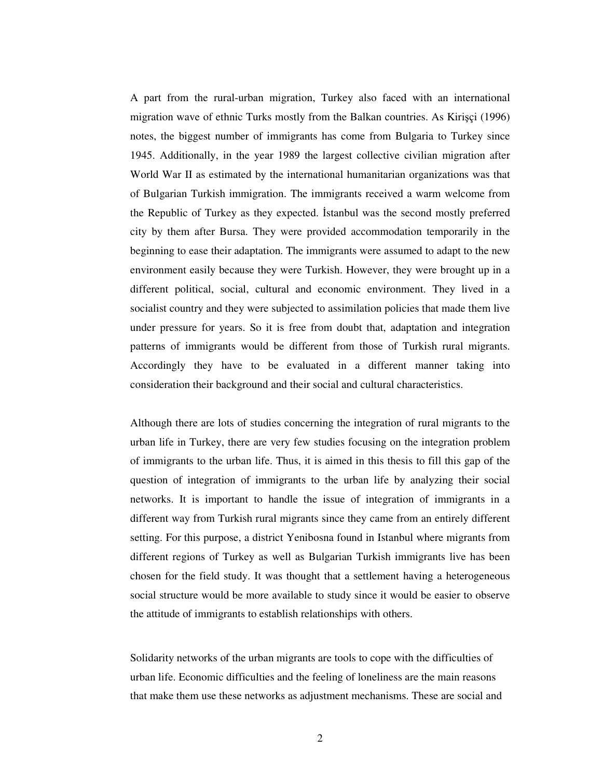A part from the rural-urban migration, Turkey also faced with an international migration wave of ethnic Turks mostly from the Balkan countries. As Kirişçi (1996) notes, the biggest number of immigrants has come from Bulgaria to Turkey since 1945. Additionally, in the year 1989 the largest collective civilian migration after World War II as estimated by the international humanitarian organizations was that of Bulgarian Turkish immigration. The immigrants received a warm welcome from the Republic of Turkey as they expected. Istanbul was the second mostly preferred city by them after Bursa. They were provided accommodation temporarily in the beginning to ease their adaptation. The immigrants were assumed to adapt to the new environment easily because they were Turkish. However, they were brought up in a different political, social, cultural and economic environment. They lived in a socialist country and they were subjected to assimilation policies that made them live under pressure for years. So it is free from doubt that, adaptation and integration patterns of immigrants would be different from those of Turkish rural migrants. Accordingly they have to be evaluated in a different manner taking into consideration their background and their social and cultural characteristics.

Although there are lots of studies concerning the integration of rural migrants to the urban life in Turkey, there are very few studies focusing on the integration problem of immigrants to the urban life. Thus, it is aimed in this thesis to fill this gap of the question of integration of immigrants to the urban life by analyzing their social networks. It is important to handle the issue of integration of immigrants in a different way from Turkish rural migrants since they came from an entirely different setting. For this purpose, a district Yenibosna found in Istanbul where migrants from different regions of Turkey as well as Bulgarian Turkish immigrants live has been chosen for the field study. It was thought that a settlement having a heterogeneous social structure would be more available to study since it would be easier to observe the attitude of immigrants to establish relationships with others.

Solidarity networks of the urban migrants are tools to cope with the difficulties of urban life. Economic difficulties and the feeling of loneliness are the main reasons that make them use these networks as adjustment mechanisms. These are social and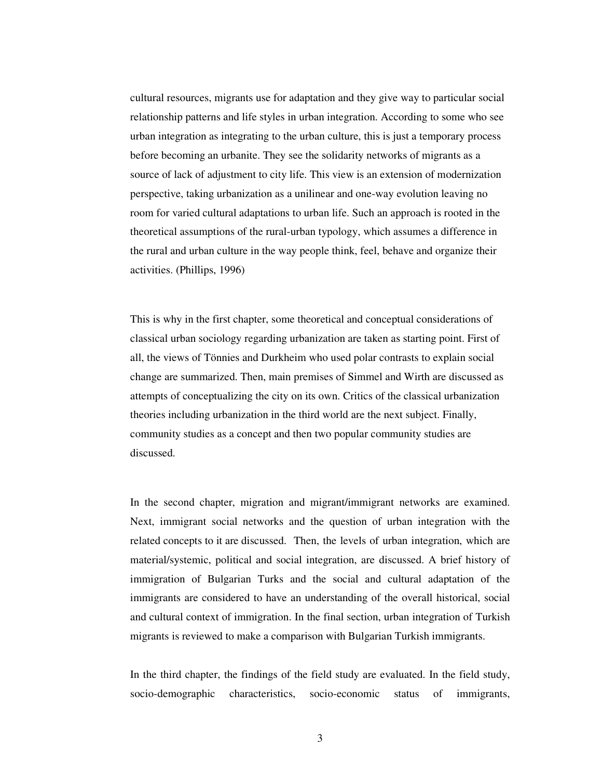cultural resources, migrants use for adaptation and they give way to particular social relationship patterns and life styles in urban integration. According to some who see urban integration as integrating to the urban culture, this is just a temporary process before becoming an urbanite. They see the solidarity networks of migrants as a source of lack of adjustment to city life. This view is an extension of modernization perspective, taking urbanization as a unilinear and one-way evolution leaving no room for varied cultural adaptations to urban life. Such an approach is rooted in the theoretical assumptions of the rural-urban typology, which assumes a difference in the rural and urban culture in the way people think, feel, behave and organize their activities. (Phillips, 1996)

This is why in the first chapter, some theoretical and conceptual considerations of classical urban sociology regarding urbanization are taken as starting point. First of all, the views of Tönnies and Durkheim who used polar contrasts to explain social change are summarized. Then, main premises of Simmel and Wirth are discussed as attempts of conceptualizing the city on its own. Critics of the classical urbanization theories including urbanization in the third world are the next subject. Finally, community studies as a concept and then two popular community studies are discussed.

In the second chapter, migration and migrant/immigrant networks are examined. Next, immigrant social networks and the question of urban integration with the related concepts to it are discussed. Then, the levels of urban integration, which are material/systemic, political and social integration, are discussed. A brief history of immigration of Bulgarian Turks and the social and cultural adaptation of the immigrants are considered to have an understanding of the overall historical, social and cultural context of immigration. In the final section, urban integration of Turkish migrants is reviewed to make a comparison with Bulgarian Turkish immigrants.

In the third chapter, the findings of the field study are evaluated. In the field study, socio-demographic characteristics, socio-economic status of immigrants,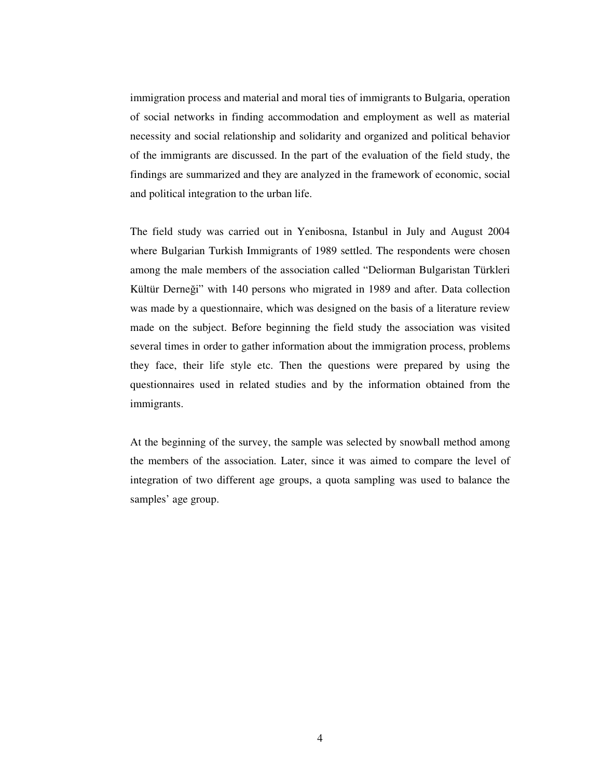immigration process and material and moral ties of immigrants to Bulgaria, operation of social networks in finding accommodation and employment as well as material necessity and social relationship and solidarity and organized and political behavior of the immigrants are discussed. In the part of the evaluation of the field study, the findings are summarized and they are analyzed in the framework of economic, social and political integration to the urban life.

The field study was carried out in Yenibosna, Istanbul in July and August 2004 where Bulgarian Turkish Immigrants of 1989 settled. The respondents were chosen among the male members of the association called "Deliorman Bulgaristan Türkleri Kültür Derneği" with 140 persons who migrated in 1989 and after. Data collection was made by a questionnaire, which was designed on the basis of a literature review made on the subject. Before beginning the field study the association was visited several times in order to gather information about the immigration process, problems they face, their life style etc. Then the questions were prepared by using the questionnaires used in related studies and by the information obtained from the immigrants.

At the beginning of the survey, the sample was selected by snowball method among the members of the association. Later, since it was aimed to compare the level of integration of two different age groups, a quota sampling was used to balance the samples' age group.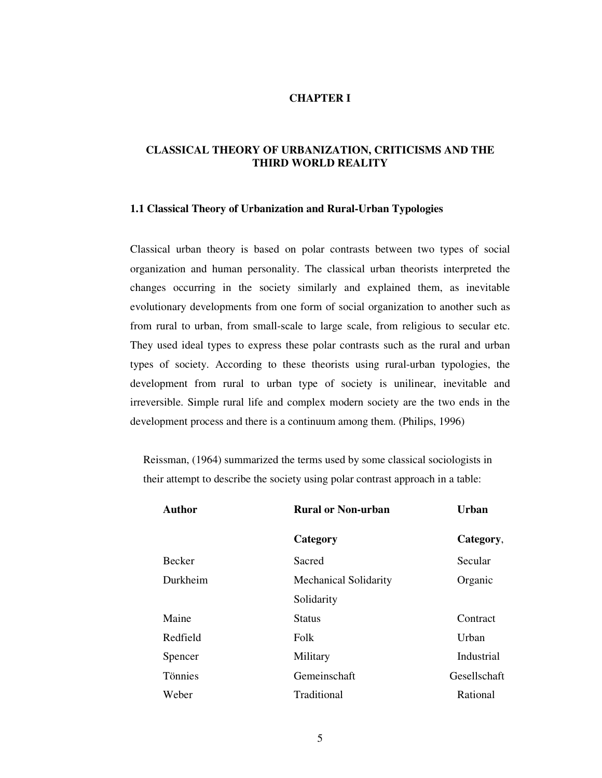# **CHAPTER I**

# **CLASSICAL THEORY OF URBANIZATION, CRITICISMS AND THE THIRD WORLD REALITY**

#### **1.1 Classical Theory of Urbanization and Rural-Urban Typologies**

Classical urban theory is based on polar contrasts between two types of social organization and human personality. The classical urban theorists interpreted the changes occurring in the society similarly and explained them, as inevitable evolutionary developments from one form of social organization to another such as from rural to urban, from small-scale to large scale, from religious to secular etc. They used ideal types to express these polar contrasts such as the rural and urban types of society. According to these theorists using rural-urban typologies, the development from rural to urban type of society is unilinear, inevitable and irreversible. Simple rural life and complex modern society are the two ends in the development process and there is a continuum among them. (Philips, 1996)

Reissman, (1964) summarized the terms used by some classical sociologists in their attempt to describe the society using polar contrast approach in a table:

| <b>Author</b> | <b>Rural or Non-urban</b>    | Urban        |
|---------------|------------------------------|--------------|
|               | Category                     | Category,    |
| Becker        | Sacred                       | Secular      |
| Durkheim      | <b>Mechanical Solidarity</b> | Organic      |
|               | Solidarity                   |              |
| Maine         | <b>Status</b>                | Contract     |
| Redfield      | Folk                         | Urban        |
| Spencer       | Military                     | Industrial   |
| Tönnies       | Gemeinschaft                 | Gesellschaft |
| Weber         | Traditional                  | Rational     |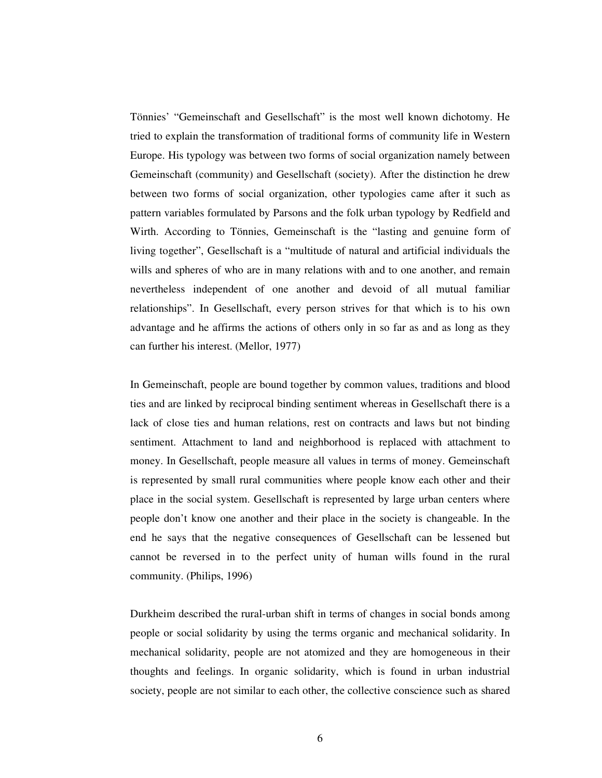Tönnies' "Gemeinschaft and Gesellschaft" is the most well known dichotomy. He tried to explain the transformation of traditional forms of community life in Western Europe. His typology was between two forms of social organization namely between Gemeinschaft (community) and Gesellschaft (society). After the distinction he drew between two forms of social organization, other typologies came after it such as pattern variables formulated by Parsons and the folk urban typology by Redfield and Wirth. According to Tönnies, Gemeinschaft is the "lasting and genuine form of living together", Gesellschaft is a "multitude of natural and artificial individuals the wills and spheres of who are in many relations with and to one another, and remain nevertheless independent of one another and devoid of all mutual familiar relationships". In Gesellschaft, every person strives for that which is to his own advantage and he affirms the actions of others only in so far as and as long as they can further his interest. (Mellor, 1977)

In Gemeinschaft, people are bound together by common values, traditions and blood ties and are linked by reciprocal binding sentiment whereas in Gesellschaft there is a lack of close ties and human relations, rest on contracts and laws but not binding sentiment. Attachment to land and neighborhood is replaced with attachment to money. In Gesellschaft, people measure all values in terms of money. Gemeinschaft is represented by small rural communities where people know each other and their place in the social system. Gesellschaft is represented by large urban centers where people don't know one another and their place in the society is changeable. In the end he says that the negative consequences of Gesellschaft can be lessened but cannot be reversed in to the perfect unity of human wills found in the rural community. (Philips, 1996)

Durkheim described the rural-urban shift in terms of changes in social bonds among people or social solidarity by using the terms organic and mechanical solidarity. In mechanical solidarity, people are not atomized and they are homogeneous in their thoughts and feelings. In organic solidarity, which is found in urban industrial society, people are not similar to each other, the collective conscience such as shared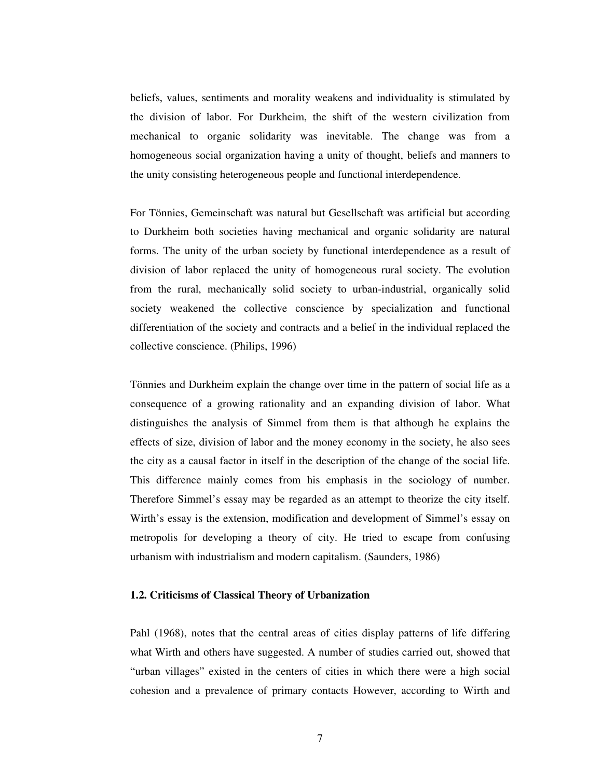beliefs, values, sentiments and morality weakens and individuality is stimulated by the division of labor. For Durkheim, the shift of the western civilization from mechanical to organic solidarity was inevitable. The change was from a homogeneous social organization having a unity of thought, beliefs and manners to the unity consisting heterogeneous people and functional interdependence.

For Tönnies, Gemeinschaft was natural but Gesellschaft was artificial but according to Durkheim both societies having mechanical and organic solidarity are natural forms. The unity of the urban society by functional interdependence as a result of division of labor replaced the unity of homogeneous rural society. The evolution from the rural, mechanically solid society to urban-industrial, organically solid society weakened the collective conscience by specialization and functional differentiation of the society and contracts and a belief in the individual replaced the collective conscience. (Philips, 1996)

Tönnies and Durkheim explain the change over time in the pattern of social life as a consequence of a growing rationality and an expanding division of labor. What distinguishes the analysis of Simmel from them is that although he explains the effects of size, division of labor and the money economy in the society, he also sees the city as a causal factor in itself in the description of the change of the social life. This difference mainly comes from his emphasis in the sociology of number. Therefore Simmel's essay may be regarded as an attempt to theorize the city itself. Wirth's essay is the extension, modification and development of Simmel's essay on metropolis for developing a theory of city. He tried to escape from confusing urbanism with industrialism and modern capitalism. (Saunders, 1986)

#### **1.2. Criticisms of Classical Theory of Urbanization**

Pahl (1968), notes that the central areas of cities display patterns of life differing what Wirth and others have suggested. A number of studies carried out, showed that "urban villages" existed in the centers of cities in which there were a high social cohesion and a prevalence of primary contacts However, according to Wirth and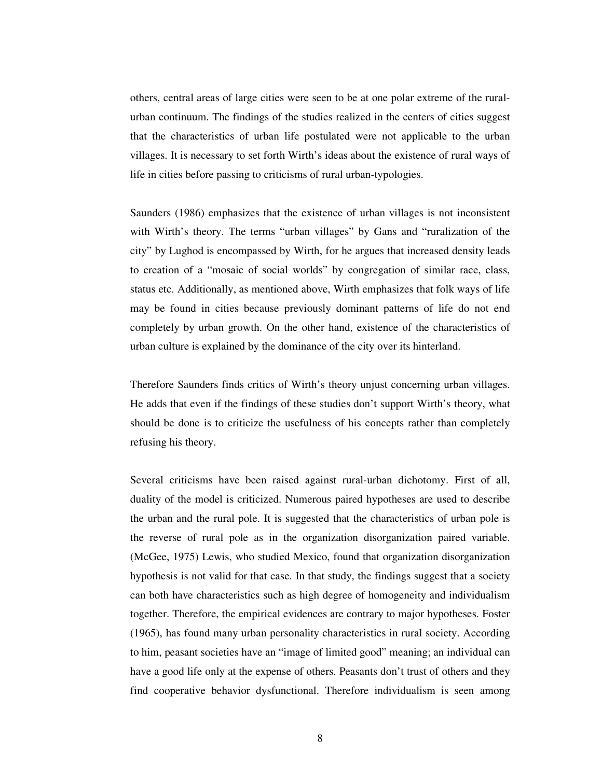others, central areas of large cities were seen to be at one polar extreme of the ruralurban continuum. The findings of the studies realized in the centers of cities suggest that the characteristics of urban life postulated were not applicable to the urban villages. It is necessary to set forth Wirth's ideas about the existence of rural ways of life in cities before passing to criticisms of rural urban-typologies.

Saunders (1986) emphasizes that the existence of urban villages is not inconsistent with Wirth's theory. The terms "urban villages" by Gans and "ruralization of the city" by Lughod is encompassed by Wirth, for he argues that increased density leads to creation of a "mosaic of social worlds" by congregation of similar race, class, status etc. Additionally, as mentioned above, Wirth emphasizes that folk ways of life may be found in cities because previously dominant patterns of life do not end completely by urban growth. On the other hand, existence of the characteristics of urban culture is explained by the dominance of the city over its hinterland.

Therefore Saunders finds critics of Wirth's theory unjust concerning urban villages. He adds that even if the findings of these studies don't support Wirth's theory, what should be done is to criticize the usefulness of his concepts rather than completely refusing his theory.

Several criticisms have been raised against rural-urban dichotomy. First of all, duality of the model is criticized. Numerous paired hypotheses are used to describe the urban and the rural pole. It is suggested that the characteristics of urban pole is the reverse of rural pole as in the organization disorganization paired variable. (McGee, 1975) Lewis, who studied Mexico, found that organization disorganization hypothesis is not valid for that case. In that study, the findings suggest that a society can both have characteristics such as high degree of homogeneity and individualism together. Therefore, the empirical evidences are contrary to major hypotheses. Foster (1965), has found many urban personality characteristics in rural society. According to him, peasant societies have an "image of limited good" meaning; an individual can have a good life only at the expense of others. Peasants don't trust of others and they find cooperative behavior dysfunctional. Therefore individualism is seen among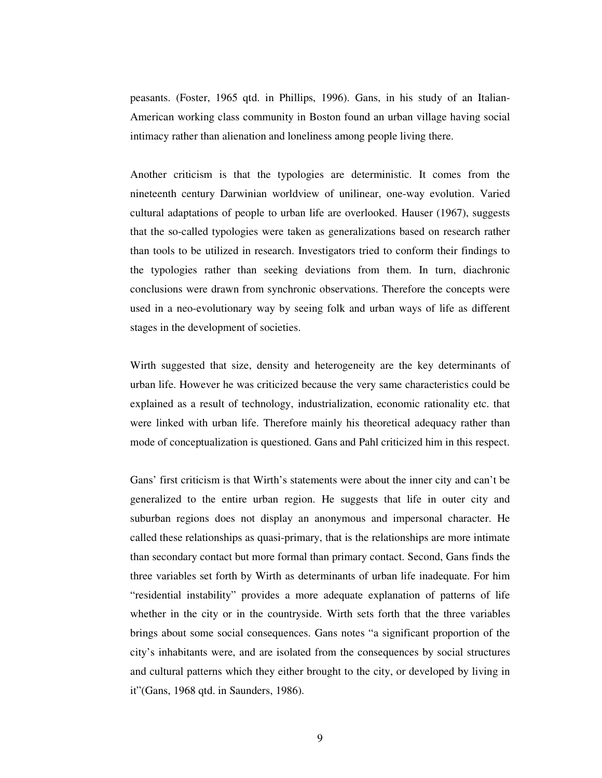peasants. (Foster, 1965 qtd. in Phillips, 1996). Gans, in his study of an Italian-American working class community in Boston found an urban village having social intimacy rather than alienation and loneliness among people living there.

Another criticism is that the typologies are deterministic. It comes from the nineteenth century Darwinian worldview of unilinear, one-way evolution. Varied cultural adaptations of people to urban life are overlooked. Hauser (1967), suggests that the so-called typologies were taken as generalizations based on research rather than tools to be utilized in research. Investigators tried to conform their findings to the typologies rather than seeking deviations from them. In turn, diachronic conclusions were drawn from synchronic observations. Therefore the concepts were used in a neo-evolutionary way by seeing folk and urban ways of life as different stages in the development of societies.

Wirth suggested that size, density and heterogeneity are the key determinants of urban life. However he was criticized because the very same characteristics could be explained as a result of technology, industrialization, economic rationality etc. that were linked with urban life. Therefore mainly his theoretical adequacy rather than mode of conceptualization is questioned. Gans and Pahl criticized him in this respect.

Gans' first criticism is that Wirth's statements were about the inner city and can't be generalized to the entire urban region. He suggests that life in outer city and suburban regions does not display an anonymous and impersonal character. He called these relationships as quasi-primary, that is the relationships are more intimate than secondary contact but more formal than primary contact. Second, Gans finds the three variables set forth by Wirth as determinants of urban life inadequate. For him "residential instability" provides a more adequate explanation of patterns of life whether in the city or in the countryside. Wirth sets forth that the three variables brings about some social consequences. Gans notes "a significant proportion of the city's inhabitants were, and are isolated from the consequences by social structures and cultural patterns which they either brought to the city, or developed by living in it"(Gans, 1968 qtd. in Saunders, 1986).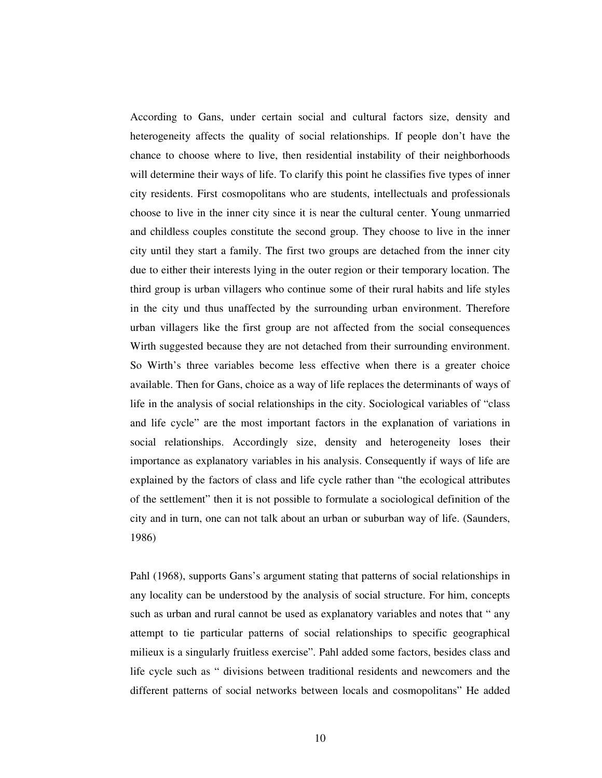According to Gans, under certain social and cultural factors size, density and heterogeneity affects the quality of social relationships. If people don't have the chance to choose where to live, then residential instability of their neighborhoods will determine their ways of life. To clarify this point he classifies five types of inner city residents. First cosmopolitans who are students, intellectuals and professionals choose to live in the inner city since it is near the cultural center. Young unmarried and childless couples constitute the second group. They choose to live in the inner city until they start a family. The first two groups are detached from the inner city due to either their interests lying in the outer region or their temporary location. The third group is urban villagers who continue some of their rural habits and life styles in the city und thus unaffected by the surrounding urban environment. Therefore urban villagers like the first group are not affected from the social consequences Wirth suggested because they are not detached from their surrounding environment. So Wirth's three variables become less effective when there is a greater choice available. Then for Gans, choice as a way of life replaces the determinants of ways of life in the analysis of social relationships in the city. Sociological variables of "class and life cycle" are the most important factors in the explanation of variations in social relationships. Accordingly size, density and heterogeneity loses their importance as explanatory variables in his analysis. Consequently if ways of life are explained by the factors of class and life cycle rather than "the ecological attributes of the settlement" then it is not possible to formulate a sociological definition of the city and in turn, one can not talk about an urban or suburban way of life. (Saunders, 1986)

Pahl (1968), supports Gans's argument stating that patterns of social relationships in any locality can be understood by the analysis of social structure. For him, concepts such as urban and rural cannot be used as explanatory variables and notes that " any attempt to tie particular patterns of social relationships to specific geographical milieux is a singularly fruitless exercise". Pahl added some factors, besides class and life cycle such as " divisions between traditional residents and newcomers and the different patterns of social networks between locals and cosmopolitans" He added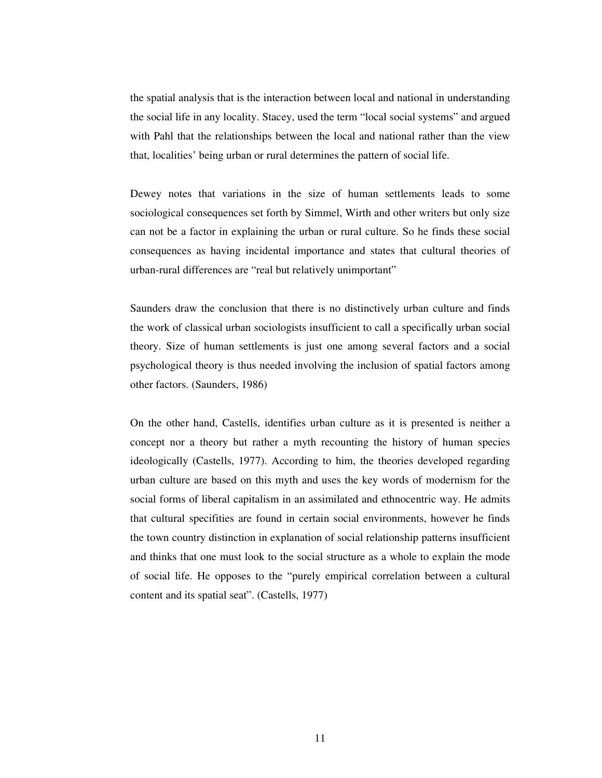the spatial analysis that is the interaction between local and national in understanding the social life in any locality. Stacey, used the term "local social systems" and argued with Pahl that the relationships between the local and national rather than the view that, localities' being urban or rural determines the pattern of social life.

Dewey notes that variations in the size of human settlements leads to some sociological consequences set forth by Simmel, Wirth and other writers but only size can not be a factor in explaining the urban or rural culture. So he finds these social consequences as having incidental importance and states that cultural theories of urban-rural differences are "real but relatively unimportant"

Saunders draw the conclusion that there is no distinctively urban culture and finds the work of classical urban sociologists insufficient to call a specifically urban social theory. Size of human settlements is just one among several factors and a social psychological theory is thus needed involving the inclusion of spatial factors among other factors. (Saunders, 1986)

On the other hand, Castells, identifies urban culture as it is presented is neither a concept nor a theory but rather a myth recounting the history of human species ideologically (Castells, 1977). According to him, the theories developed regarding urban culture are based on this myth and uses the key words of modernism for the social forms of liberal capitalism in an assimilated and ethnocentric way. He admits that cultural specifities are found in certain social environments, however he finds the town country distinction in explanation of social relationship patterns insufficient and thinks that one must look to the social structure as a whole to explain the mode of social life. He opposes to the "purely empirical correlation between a cultural content and its spatial seat". (Castells, 1977)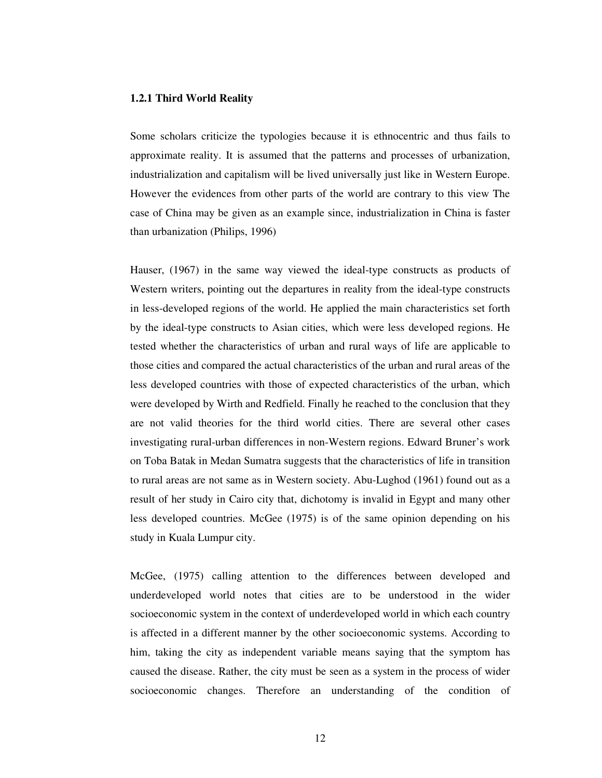#### **1.2.1 Third World Reality**

Some scholars criticize the typologies because it is ethnocentric and thus fails to approximate reality. It is assumed that the patterns and processes of urbanization, industrialization and capitalism will be lived universally just like in Western Europe. However the evidences from other parts of the world are contrary to this view The case of China may be given as an example since, industrialization in China is faster than urbanization (Philips, 1996)

Hauser, (1967) in the same way viewed the ideal-type constructs as products of Western writers, pointing out the departures in reality from the ideal-type constructs in less-developed regions of the world. He applied the main characteristics set forth by the ideal-type constructs to Asian cities, which were less developed regions. He tested whether the characteristics of urban and rural ways of life are applicable to those cities and compared the actual characteristics of the urban and rural areas of the less developed countries with those of expected characteristics of the urban, which were developed by Wirth and Redfield. Finally he reached to the conclusion that they are not valid theories for the third world cities. There are several other cases investigating rural-urban differences in non-Western regions. Edward Bruner's work on Toba Batak in Medan Sumatra suggests that the characteristics of life in transition to rural areas are not same as in Western society. Abu-Lughod (1961) found out as a result of her study in Cairo city that, dichotomy is invalid in Egypt and many other less developed countries. McGee (1975) is of the same opinion depending on his study in Kuala Lumpur city.

McGee, (1975) calling attention to the differences between developed and underdeveloped world notes that cities are to be understood in the wider socioeconomic system in the context of underdeveloped world in which each country is affected in a different manner by the other socioeconomic systems. According to him, taking the city as independent variable means saying that the symptom has caused the disease. Rather, the city must be seen as a system in the process of wider socioeconomic changes. Therefore an understanding of the condition of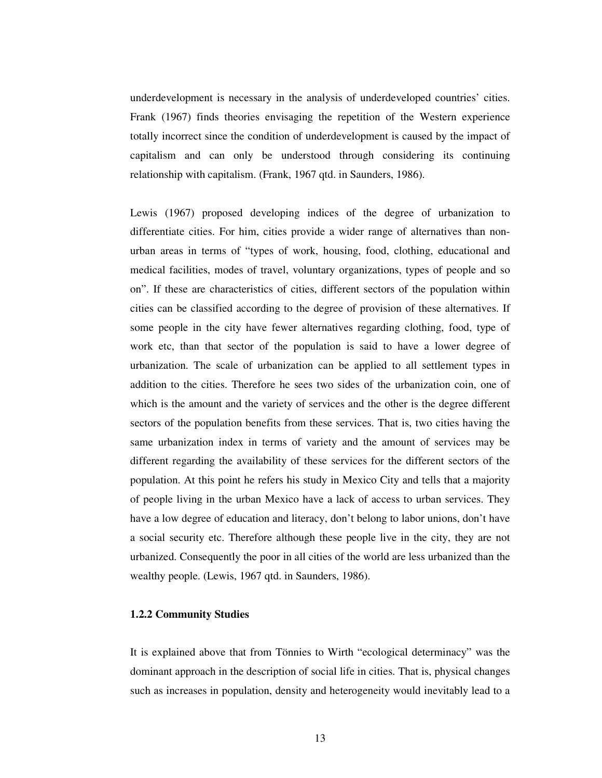underdevelopment is necessary in the analysis of underdeveloped countries' cities. Frank (1967) finds theories envisaging the repetition of the Western experience totally incorrect since the condition of underdevelopment is caused by the impact of capitalism and can only be understood through considering its continuing relationship with capitalism. (Frank, 1967 qtd. in Saunders, 1986).

Lewis (1967) proposed developing indices of the degree of urbanization to differentiate cities. For him, cities provide a wider range of alternatives than nonurban areas in terms of "types of work, housing, food, clothing, educational and medical facilities, modes of travel, voluntary organizations, types of people and so on". If these are characteristics of cities, different sectors of the population within cities can be classified according to the degree of provision of these alternatives. If some people in the city have fewer alternatives regarding clothing, food, type of work etc, than that sector of the population is said to have a lower degree of urbanization. The scale of urbanization can be applied to all settlement types in addition to the cities. Therefore he sees two sides of the urbanization coin, one of which is the amount and the variety of services and the other is the degree different sectors of the population benefits from these services. That is, two cities having the same urbanization index in terms of variety and the amount of services may be different regarding the availability of these services for the different sectors of the population. At this point he refers his study in Mexico City and tells that a majority of people living in the urban Mexico have a lack of access to urban services. They have a low degree of education and literacy, don't belong to labor unions, don't have a social security etc. Therefore although these people live in the city, they are not urbanized. Consequently the poor in all cities of the world are less urbanized than the wealthy people. (Lewis, 1967 qtd. in Saunders, 1986).

## **1.2.2 Community Studies**

It is explained above that from Tönnies to Wirth "ecological determinacy" was the dominant approach in the description of social life in cities. That is, physical changes such as increases in population, density and heterogeneity would inevitably lead to a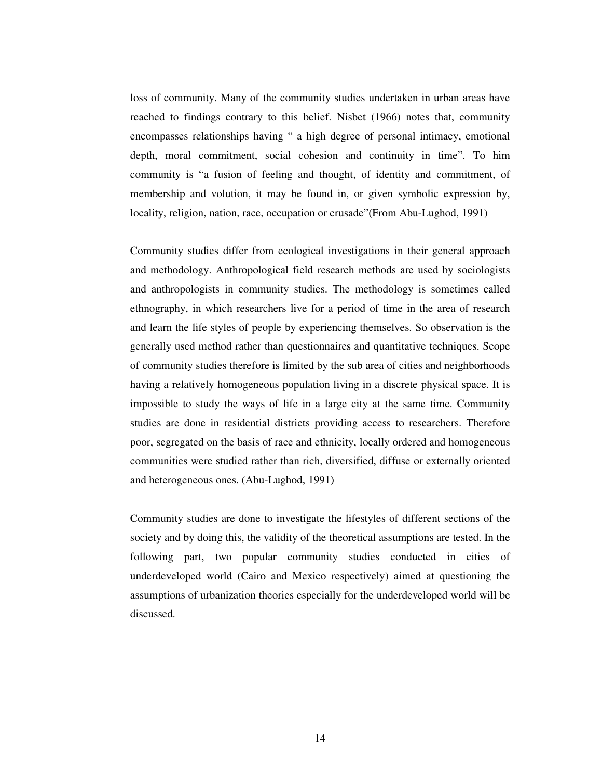loss of community. Many of the community studies undertaken in urban areas have reached to findings contrary to this belief. Nisbet (1966) notes that, community encompasses relationships having " a high degree of personal intimacy, emotional depth, moral commitment, social cohesion and continuity in time". To him community is "a fusion of feeling and thought, of identity and commitment, of membership and volution, it may be found in, or given symbolic expression by, locality, religion, nation, race, occupation or crusade"(From Abu-Lughod, 1991)

Community studies differ from ecological investigations in their general approach and methodology. Anthropological field research methods are used by sociologists and anthropologists in community studies. The methodology is sometimes called ethnography, in which researchers live for a period of time in the area of research and learn the life styles of people by experiencing themselves. So observation is the generally used method rather than questionnaires and quantitative techniques. Scope of community studies therefore is limited by the sub area of cities and neighborhoods having a relatively homogeneous population living in a discrete physical space. It is impossible to study the ways of life in a large city at the same time. Community studies are done in residential districts providing access to researchers. Therefore poor, segregated on the basis of race and ethnicity, locally ordered and homogeneous communities were studied rather than rich, diversified, diffuse or externally oriented and heterogeneous ones. (Abu-Lughod, 1991)

Community studies are done to investigate the lifestyles of different sections of the society and by doing this, the validity of the theoretical assumptions are tested. In the following part, two popular community studies conducted in cities of underdeveloped world (Cairo and Mexico respectively) aimed at questioning the assumptions of urbanization theories especially for the underdeveloped world will be discussed.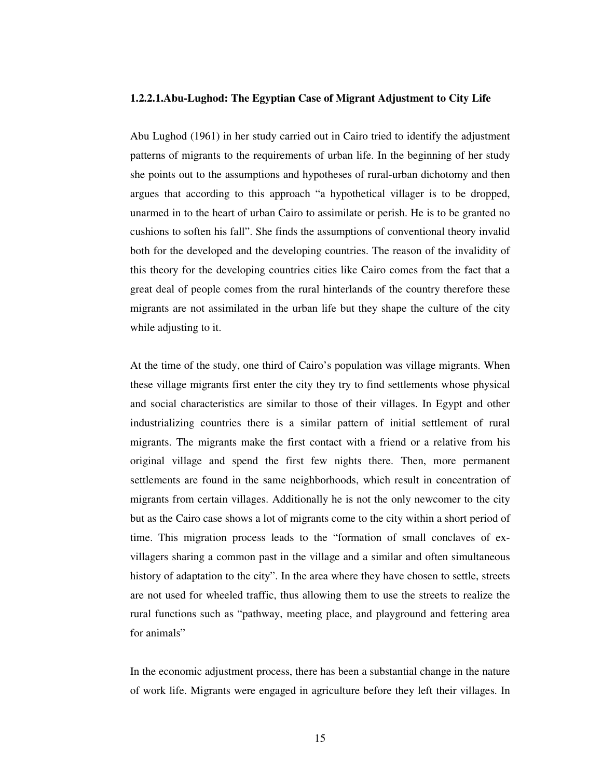#### **1.2.2.1.Abu-Lughod: The Egyptian Case of Migrant Adjustment to City Life**

Abu Lughod (1961) in her study carried out in Cairo tried to identify the adjustment patterns of migrants to the requirements of urban life. In the beginning of her study she points out to the assumptions and hypotheses of rural-urban dichotomy and then argues that according to this approach "a hypothetical villager is to be dropped, unarmed in to the heart of urban Cairo to assimilate or perish. He is to be granted no cushions to soften his fall". She finds the assumptions of conventional theory invalid both for the developed and the developing countries. The reason of the invalidity of this theory for the developing countries cities like Cairo comes from the fact that a great deal of people comes from the rural hinterlands of the country therefore these migrants are not assimilated in the urban life but they shape the culture of the city while adjusting to it.

At the time of the study, one third of Cairo's population was village migrants. When these village migrants first enter the city they try to find settlements whose physical and social characteristics are similar to those of their villages. In Egypt and other industrializing countries there is a similar pattern of initial settlement of rural migrants. The migrants make the first contact with a friend or a relative from his original village and spend the first few nights there. Then, more permanent settlements are found in the same neighborhoods, which result in concentration of migrants from certain villages. Additionally he is not the only newcomer to the city but as the Cairo case shows a lot of migrants come to the city within a short period of time. This migration process leads to the "formation of small conclaves of exvillagers sharing a common past in the village and a similar and often simultaneous history of adaptation to the city". In the area where they have chosen to settle, streets are not used for wheeled traffic, thus allowing them to use the streets to realize the rural functions such as "pathway, meeting place, and playground and fettering area for animals"

In the economic adjustment process, there has been a substantial change in the nature of work life. Migrants were engaged in agriculture before they left their villages. In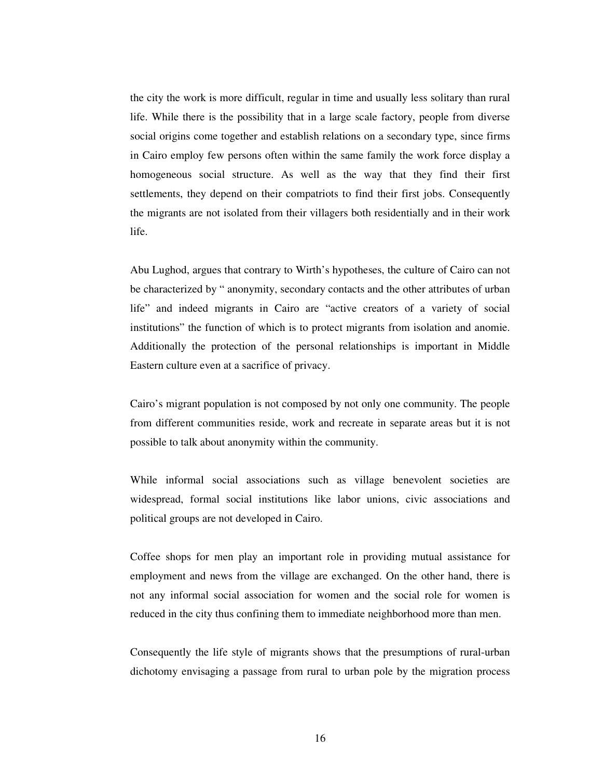the city the work is more difficult, regular in time and usually less solitary than rural life. While there is the possibility that in a large scale factory, people from diverse social origins come together and establish relations on a secondary type, since firms in Cairo employ few persons often within the same family the work force display a homogeneous social structure. As well as the way that they find their first settlements, they depend on their compatriots to find their first jobs. Consequently the migrants are not isolated from their villagers both residentially and in their work life.

Abu Lughod, argues that contrary to Wirth's hypotheses, the culture of Cairo can not be characterized by " anonymity, secondary contacts and the other attributes of urban life" and indeed migrants in Cairo are "active creators of a variety of social institutions" the function of which is to protect migrants from isolation and anomie. Additionally the protection of the personal relationships is important in Middle Eastern culture even at a sacrifice of privacy.

Cairo's migrant population is not composed by not only one community. The people from different communities reside, work and recreate in separate areas but it is not possible to talk about anonymity within the community.

While informal social associations such as village benevolent societies are widespread, formal social institutions like labor unions, civic associations and political groups are not developed in Cairo.

Coffee shops for men play an important role in providing mutual assistance for employment and news from the village are exchanged. On the other hand, there is not any informal social association for women and the social role for women is reduced in the city thus confining them to immediate neighborhood more than men.

Consequently the life style of migrants shows that the presumptions of rural-urban dichotomy envisaging a passage from rural to urban pole by the migration process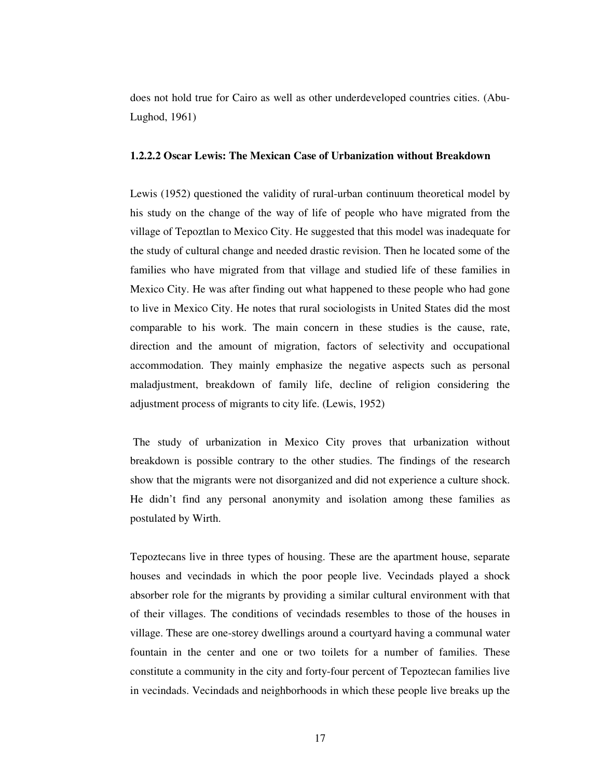does not hold true for Cairo as well as other underdeveloped countries cities. (Abu-Lughod, 1961)

#### **1.2.2.2 Oscar Lewis: The Mexican Case of Urbanization without Breakdown**

Lewis (1952) questioned the validity of rural-urban continuum theoretical model by his study on the change of the way of life of people who have migrated from the village of Tepoztlan to Mexico City. He suggested that this model was inadequate for the study of cultural change and needed drastic revision. Then he located some of the families who have migrated from that village and studied life of these families in Mexico City. He was after finding out what happened to these people who had gone to live in Mexico City. He notes that rural sociologists in United States did the most comparable to his work. The main concern in these studies is the cause, rate, direction and the amount of migration, factors of selectivity and occupational accommodation. They mainly emphasize the negative aspects such as personal maladjustment, breakdown of family life, decline of religion considering the adjustment process of migrants to city life. (Lewis, 1952)

The study of urbanization in Mexico City proves that urbanization without breakdown is possible contrary to the other studies. The findings of the research show that the migrants were not disorganized and did not experience a culture shock. He didn't find any personal anonymity and isolation among these families as postulated by Wirth.

Tepoztecans live in three types of housing. These are the apartment house, separate houses and vecindads in which the poor people live. Vecindads played a shock absorber role for the migrants by providing a similar cultural environment with that of their villages. The conditions of vecindads resembles to those of the houses in village. These are one-storey dwellings around a courtyard having a communal water fountain in the center and one or two toilets for a number of families. These constitute a community in the city and forty-four percent of Tepoztecan families live in vecindads. Vecindads and neighborhoods in which these people live breaks up the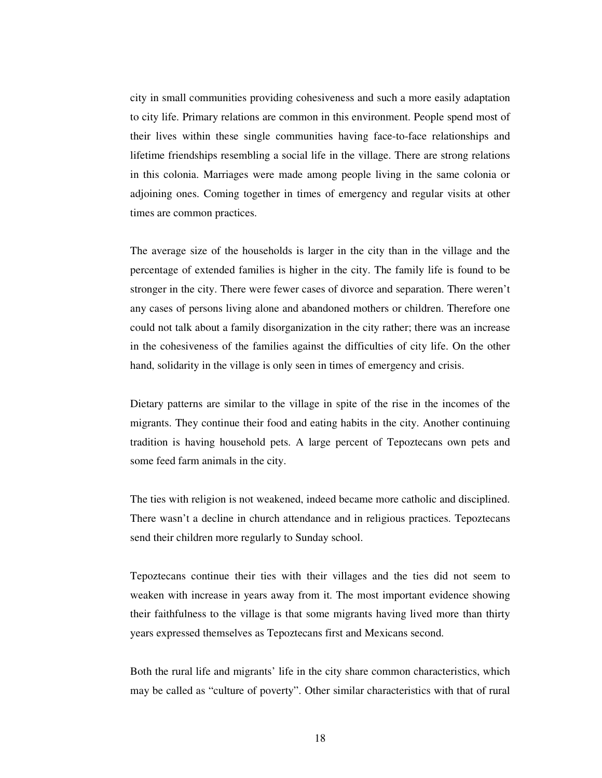city in small communities providing cohesiveness and such a more easily adaptation to city life. Primary relations are common in this environment. People spend most of their lives within these single communities having face-to-face relationships and lifetime friendships resembling a social life in the village. There are strong relations in this colonia. Marriages were made among people living in the same colonia or adjoining ones. Coming together in times of emergency and regular visits at other times are common practices.

The average size of the households is larger in the city than in the village and the percentage of extended families is higher in the city. The family life is found to be stronger in the city. There were fewer cases of divorce and separation. There weren't any cases of persons living alone and abandoned mothers or children. Therefore one could not talk about a family disorganization in the city rather; there was an increase in the cohesiveness of the families against the difficulties of city life. On the other hand, solidarity in the village is only seen in times of emergency and crisis.

Dietary patterns are similar to the village in spite of the rise in the incomes of the migrants. They continue their food and eating habits in the city. Another continuing tradition is having household pets. A large percent of Tepoztecans own pets and some feed farm animals in the city.

The ties with religion is not weakened, indeed became more catholic and disciplined. There wasn't a decline in church attendance and in religious practices. Tepoztecans send their children more regularly to Sunday school.

Tepoztecans continue their ties with their villages and the ties did not seem to weaken with increase in years away from it. The most important evidence showing their faithfulness to the village is that some migrants having lived more than thirty years expressed themselves as Tepoztecans first and Mexicans second.

Both the rural life and migrants' life in the city share common characteristics, which may be called as "culture of poverty". Other similar characteristics with that of rural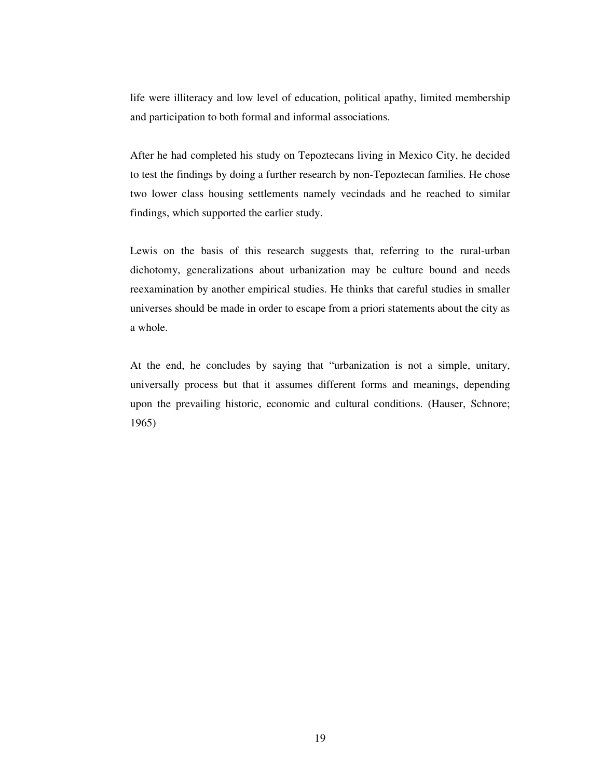life were illiteracy and low level of education, political apathy, limited membership and participation to both formal and informal associations.

After he had completed his study on Tepoztecans living in Mexico City, he decided to test the findings by doing a further research by non-Tepoztecan families. He chose two lower class housing settlements namely vecindads and he reached to similar findings, which supported the earlier study.

Lewis on the basis of this research suggests that, referring to the rural-urban dichotomy, generalizations about urbanization may be culture bound and needs reexamination by another empirical studies. He thinks that careful studies in smaller universes should be made in order to escape from a priori statements about the city as a whole.

At the end, he concludes by saying that "urbanization is not a simple, unitary, universally process but that it assumes different forms and meanings, depending upon the prevailing historic, economic and cultural conditions. (Hauser, Schnore; 1965)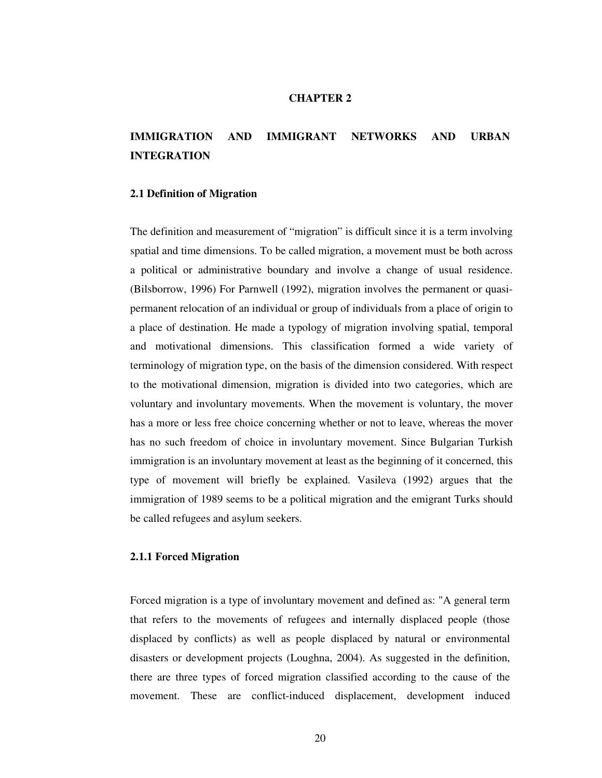## **CHAPTER 2**

# **IMMIGRATION AND IMMIGRANT NETWORKS AND URBAN INTEGRATION**

## **2.1 Definition of Migration**

The definition and measurement of "migration" is difficult since it is a term involving spatial and time dimensions. To be called migration, a movement must be both across a political or administrative boundary and involve a change of usual residence. (Bilsborrow, 1996) For Parnwell (1992), migration involves the permanent or quasipermanent relocation of an individual or group of individuals from a place of origin to a place of destination. He made a typology of migration involving spatial, temporal and motivational dimensions. This classification formed a wide variety of terminology of migration type, on the basis of the dimension considered. With respect to the motivational dimension, migration is divided into two categories, which are voluntary and involuntary movements. When the movement is voluntary, the mover has a more or less free choice concerning whether or not to leave, whereas the mover has no such freedom of choice in involuntary movement. Since Bulgarian Turkish immigration is an involuntary movement at least as the beginning of it concerned, this type of movement will briefly be explained. Vasileva (1992) argues that the immigration of 1989 seems to be a political migration and the emigrant Turks should be called refugees and asylum seekers.

#### **2.1.1 Forced Migration**

Forced migration is a type of involuntary movement and defined as: "A general term that refers to the movements of refugees and internally displaced people (those displaced by conflicts) as well as people displaced by natural or environmental disasters or development projects (Loughna, 2004). As suggested in the definition, there are three types of forced migration classified according to the cause of the movement. These are conflict-induced displacement, development induced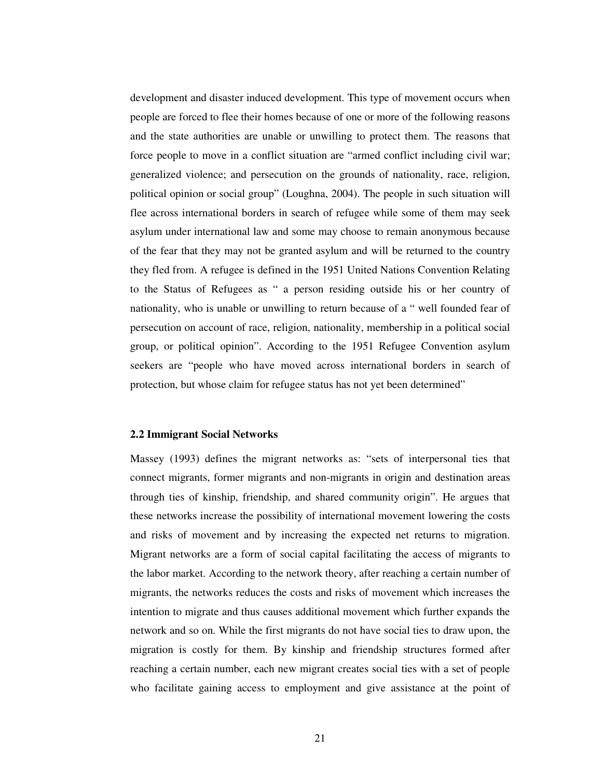development and disaster induced development. This type of movement occurs when people are forced to flee their homes because of one or more of the following reasons and the state authorities are unable or unwilling to protect them. The reasons that force people to move in a conflict situation are "armed conflict including civil war; generalized violence; and persecution on the grounds of nationality, race, religion, political opinion or social group" (Loughna, 2004). The people in such situation will flee across international borders in search of refugee while some of them may seek asylum under international law and some may choose to remain anonymous because of the fear that they may not be granted asylum and will be returned to the country they fled from. A refugee is defined in the 1951 United Nations Convention Relating to the Status of Refugees as " a person residing outside his or her country of nationality, who is unable or unwilling to return because of a " well founded fear of persecution on account of race, religion, nationality, membership in a political social group, or political opinion". According to the 1951 Refugee Convention asylum seekers are "people who have moved across international borders in search of protection, but whose claim for refugee status has not yet been determined"

#### **2.2 Immigrant Social Networks**

Massey (1993) defines the migrant networks as: "sets of interpersonal ties that connect migrants, former migrants and non-migrants in origin and destination areas through ties of kinship, friendship, and shared community origin". He argues that these networks increase the possibility of international movement lowering the costs and risks of movement and by increasing the expected net returns to migration. Migrant networks are a form of social capital facilitating the access of migrants to the labor market. According to the network theory, after reaching a certain number of migrants, the networks reduces the costs and risks of movement which increases the intention to migrate and thus causes additional movement which further expands the network and so on. While the first migrants do not have social ties to draw upon, the migration is costly for them. By kinship and friendship structures formed after reaching a certain number, each new migrant creates social ties with a set of people who facilitate gaining access to employment and give assistance at the point of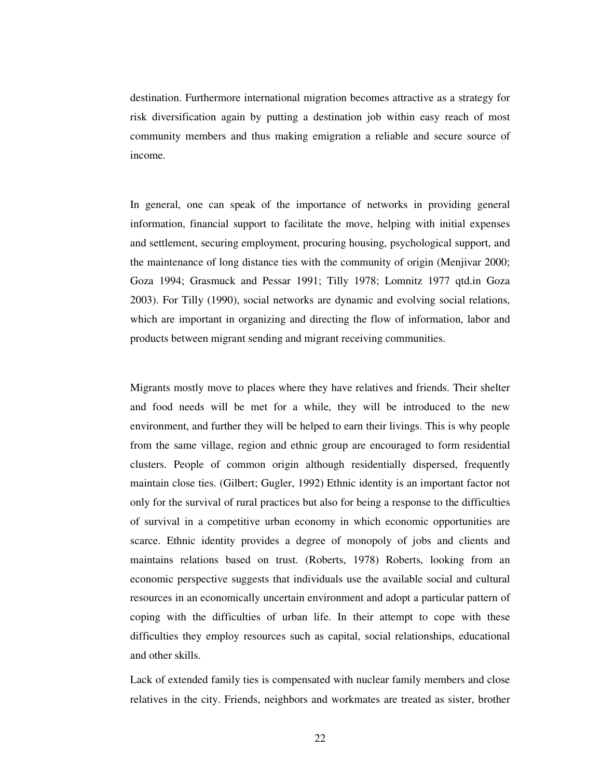destination. Furthermore international migration becomes attractive as a strategy for risk diversification again by putting a destination job within easy reach of most community members and thus making emigration a reliable and secure source of income.

In general, one can speak of the importance of networks in providing general information, financial support to facilitate the move, helping with initial expenses and settlement, securing employment, procuring housing, psychological support, and the maintenance of long distance ties with the community of origin (Menjivar 2000; Goza 1994; Grasmuck and Pessar 1991; Tilly 1978; Lomnitz 1977 qtd.in Goza 2003). For Tilly (1990), social networks are dynamic and evolving social relations, which are important in organizing and directing the flow of information, labor and products between migrant sending and migrant receiving communities.

Migrants mostly move to places where they have relatives and friends. Their shelter and food needs will be met for a while, they will be introduced to the new environment, and further they will be helped to earn their livings. This is why people from the same village, region and ethnic group are encouraged to form residential clusters. People of common origin although residentially dispersed, frequently maintain close ties. (Gilbert; Gugler, 1992) Ethnic identity is an important factor not only for the survival of rural practices but also for being a response to the difficulties of survival in a competitive urban economy in which economic opportunities are scarce. Ethnic identity provides a degree of monopoly of jobs and clients and maintains relations based on trust. (Roberts, 1978) Roberts, looking from an economic perspective suggests that individuals use the available social and cultural resources in an economically uncertain environment and adopt a particular pattern of coping with the difficulties of urban life. In their attempt to cope with these difficulties they employ resources such as capital, social relationships, educational and other skills.

Lack of extended family ties is compensated with nuclear family members and close relatives in the city. Friends, neighbors and workmates are treated as sister, brother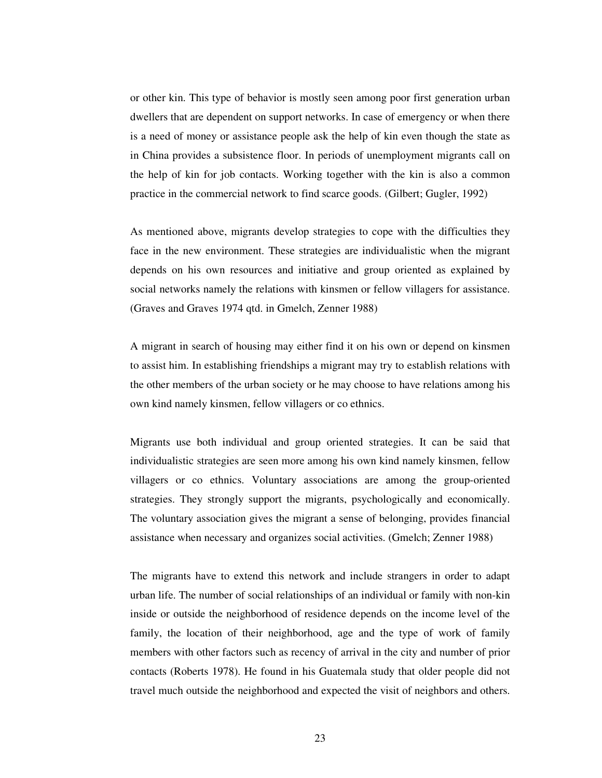or other kin. This type of behavior is mostly seen among poor first generation urban dwellers that are dependent on support networks. In case of emergency or when there is a need of money or assistance people ask the help of kin even though the state as in China provides a subsistence floor. In periods of unemployment migrants call on the help of kin for job contacts. Working together with the kin is also a common practice in the commercial network to find scarce goods. (Gilbert; Gugler, 1992)

As mentioned above, migrants develop strategies to cope with the difficulties they face in the new environment. These strategies are individualistic when the migrant depends on his own resources and initiative and group oriented as explained by social networks namely the relations with kinsmen or fellow villagers for assistance. (Graves and Graves 1974 qtd. in Gmelch, Zenner 1988)

A migrant in search of housing may either find it on his own or depend on kinsmen to assist him. In establishing friendships a migrant may try to establish relations with the other members of the urban society or he may choose to have relations among his own kind namely kinsmen, fellow villagers or co ethnics.

Migrants use both individual and group oriented strategies. It can be said that individualistic strategies are seen more among his own kind namely kinsmen, fellow villagers or co ethnics. Voluntary associations are among the group-oriented strategies. They strongly support the migrants, psychologically and economically. The voluntary association gives the migrant a sense of belonging, provides financial assistance when necessary and organizes social activities. (Gmelch; Zenner 1988)

The migrants have to extend this network and include strangers in order to adapt urban life. The number of social relationships of an individual or family with non-kin inside or outside the neighborhood of residence depends on the income level of the family, the location of their neighborhood, age and the type of work of family members with other factors such as recency of arrival in the city and number of prior contacts (Roberts 1978). He found in his Guatemala study that older people did not travel much outside the neighborhood and expected the visit of neighbors and others.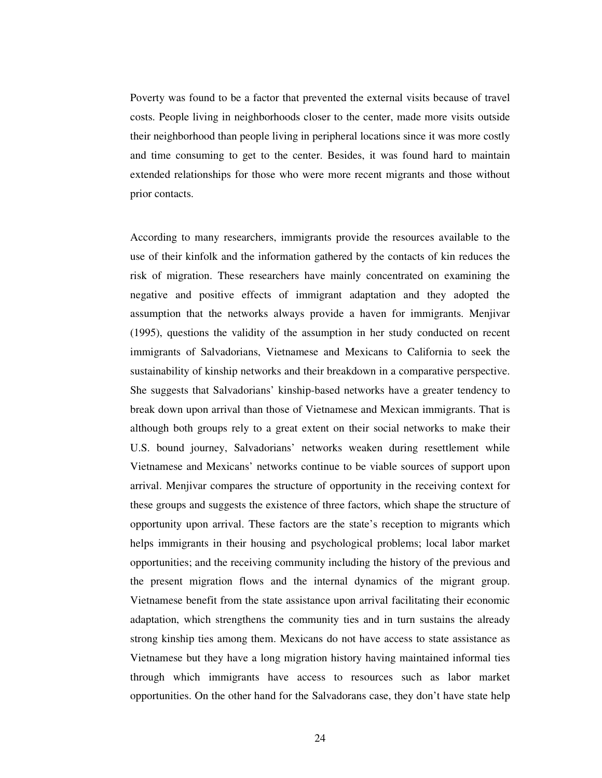Poverty was found to be a factor that prevented the external visits because of travel costs. People living in neighborhoods closer to the center, made more visits outside their neighborhood than people living in peripheral locations since it was more costly and time consuming to get to the center. Besides, it was found hard to maintain extended relationships for those who were more recent migrants and those without prior contacts.

According to many researchers, immigrants provide the resources available to the use of their kinfolk and the information gathered by the contacts of kin reduces the risk of migration. These researchers have mainly concentrated on examining the negative and positive effects of immigrant adaptation and they adopted the assumption that the networks always provide a haven for immigrants. Menjivar (1995), questions the validity of the assumption in her study conducted on recent immigrants of Salvadorians, Vietnamese and Mexicans to California to seek the sustainability of kinship networks and their breakdown in a comparative perspective. She suggests that Salvadorians' kinship-based networks have a greater tendency to break down upon arrival than those of Vietnamese and Mexican immigrants. That is although both groups rely to a great extent on their social networks to make their U.S. bound journey, Salvadorians' networks weaken during resettlement while Vietnamese and Mexicans' networks continue to be viable sources of support upon arrival. Menjivar compares the structure of opportunity in the receiving context for these groups and suggests the existence of three factors, which shape the structure of opportunity upon arrival. These factors are the state's reception to migrants which helps immigrants in their housing and psychological problems; local labor market opportunities; and the receiving community including the history of the previous and the present migration flows and the internal dynamics of the migrant group. Vietnamese benefit from the state assistance upon arrival facilitating their economic adaptation, which strengthens the community ties and in turn sustains the already strong kinship ties among them. Mexicans do not have access to state assistance as Vietnamese but they have a long migration history having maintained informal ties through which immigrants have access to resources such as labor market opportunities. On the other hand for the Salvadorans case, they don't have state help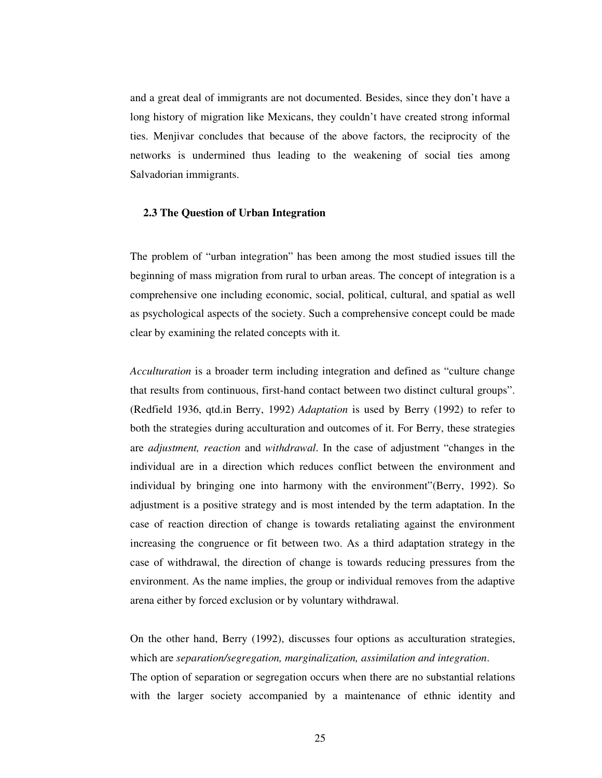and a great deal of immigrants are not documented. Besides, since they don't have a long history of migration like Mexicans, they couldn't have created strong informal ties. Menjivar concludes that because of the above factors, the reciprocity of the networks is undermined thus leading to the weakening of social ties among Salvadorian immigrants.

### **2.3 The Question of Urban Integration**

The problem of "urban integration" has been among the most studied issues till the beginning of mass migration from rural to urban areas. The concept of integration is a comprehensive one including economic, social, political, cultural, and spatial as well as psychological aspects of the society. Such a comprehensive concept could be made clear by examining the related concepts with it.

*Acculturation* is a broader term including integration and defined as "culture change that results from continuous, first-hand contact between two distinct cultural groups". (Redfield 1936, qtd.in Berry, 1992) *Adaptation* is used by Berry (1992) to refer to both the strategies during acculturation and outcomes of it. For Berry, these strategies are *adjustment, reaction* and *withdrawal*. In the case of adjustment "changes in the individual are in a direction which reduces conflict between the environment and individual by bringing one into harmony with the environment"(Berry, 1992). So adjustment is a positive strategy and is most intended by the term adaptation. In the case of reaction direction of change is towards retaliating against the environment increasing the congruence or fit between two. As a third adaptation strategy in the case of withdrawal, the direction of change is towards reducing pressures from the environment. As the name implies, the group or individual removes from the adaptive arena either by forced exclusion or by voluntary withdrawal.

On the other hand, Berry (1992), discusses four options as acculturation strategies, which are *separation/segregation, marginalization, assimilation and integration*.

The option of separation or segregation occurs when there are no substantial relations with the larger society accompanied by a maintenance of ethnic identity and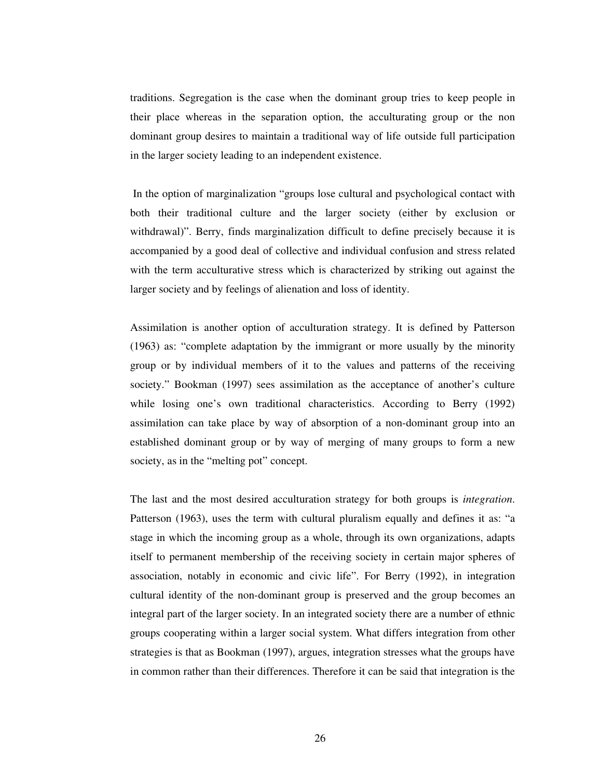traditions. Segregation is the case when the dominant group tries to keep people in their place whereas in the separation option, the acculturating group or the non dominant group desires to maintain a traditional way of life outside full participation in the larger society leading to an independent existence.

In the option of marginalization "groups lose cultural and psychological contact with both their traditional culture and the larger society (either by exclusion or withdrawal)". Berry, finds marginalization difficult to define precisely because it is accompanied by a good deal of collective and individual confusion and stress related with the term acculturative stress which is characterized by striking out against the larger society and by feelings of alienation and loss of identity.

Assimilation is another option of acculturation strategy. It is defined by Patterson (1963) as: "complete adaptation by the immigrant or more usually by the minority group or by individual members of it to the values and patterns of the receiving society." Bookman (1997) sees assimilation as the acceptance of another's culture while losing one's own traditional characteristics. According to Berry (1992) assimilation can take place by way of absorption of a non-dominant group into an established dominant group or by way of merging of many groups to form a new society, as in the "melting pot" concept.

The last and the most desired acculturation strategy for both groups is *integration*. Patterson (1963), uses the term with cultural pluralism equally and defines it as: "a stage in which the incoming group as a whole, through its own organizations, adapts itself to permanent membership of the receiving society in certain major spheres of association, notably in economic and civic life". For Berry (1992), in integration cultural identity of the non-dominant group is preserved and the group becomes an integral part of the larger society. In an integrated society there are a number of ethnic groups cooperating within a larger social system. What differs integration from other strategies is that as Bookman (1997), argues, integration stresses what the groups have in common rather than their differences. Therefore it can be said that integration is the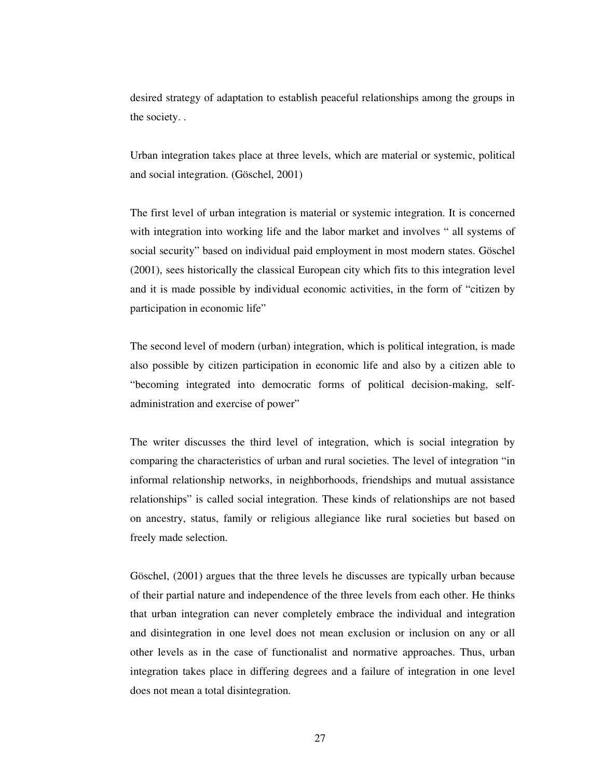desired strategy of adaptation to establish peaceful relationships among the groups in the society. .

Urban integration takes place at three levels, which are material or systemic, political and social integration. (Göschel, 2001)

The first level of urban integration is material or systemic integration. It is concerned with integration into working life and the labor market and involves " all systems of social security" based on individual paid employment in most modern states. Göschel (2001), sees historically the classical European city which fits to this integration level and it is made possible by individual economic activities, in the form of "citizen by participation in economic life"

The second level of modern (urban) integration, which is political integration, is made also possible by citizen participation in economic life and also by a citizen able to "becoming integrated into democratic forms of political decision-making, selfadministration and exercise of power"

The writer discusses the third level of integration, which is social integration by comparing the characteristics of urban and rural societies. The level of integration "in informal relationship networks, in neighborhoods, friendships and mutual assistance relationships" is called social integration. These kinds of relationships are not based on ancestry, status, family or religious allegiance like rural societies but based on freely made selection.

Göschel, (2001) argues that the three levels he discusses are typically urban because of their partial nature and independence of the three levels from each other. He thinks that urban integration can never completely embrace the individual and integration and disintegration in one level does not mean exclusion or inclusion on any or all other levels as in the case of functionalist and normative approaches. Thus, urban integration takes place in differing degrees and a failure of integration in one level does not mean a total disintegration.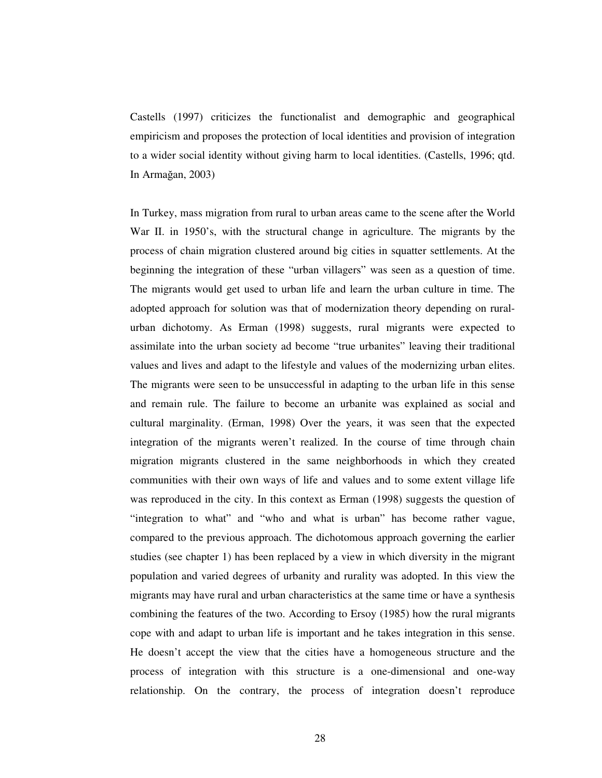Castells (1997) criticizes the functionalist and demographic and geographical empiricism and proposes the protection of local identities and provision of integration to a wider social identity without giving harm to local identities. (Castells, 1996; qtd. In Armağan,  $2003$ )

In Turkey, mass migration from rural to urban areas came to the scene after the World War II. in 1950's, with the structural change in agriculture. The migrants by the process of chain migration clustered around big cities in squatter settlements. At the beginning the integration of these "urban villagers" was seen as a question of time. The migrants would get used to urban life and learn the urban culture in time. The adopted approach for solution was that of modernization theory depending on ruralurban dichotomy. As Erman (1998) suggests, rural migrants were expected to assimilate into the urban society ad become "true urbanites" leaving their traditional values and lives and adapt to the lifestyle and values of the modernizing urban elites. The migrants were seen to be unsuccessful in adapting to the urban life in this sense and remain rule. The failure to become an urbanite was explained as social and cultural marginality. (Erman, 1998) Over the years, it was seen that the expected integration of the migrants weren't realized. In the course of time through chain migration migrants clustered in the same neighborhoods in which they created communities with their own ways of life and values and to some extent village life was reproduced in the city. In this context as Erman (1998) suggests the question of "integration to what" and "who and what is urban" has become rather vague, compared to the previous approach. The dichotomous approach governing the earlier studies (see chapter 1) has been replaced by a view in which diversity in the migrant population and varied degrees of urbanity and rurality was adopted. In this view the migrants may have rural and urban characteristics at the same time or have a synthesis combining the features of the two. According to Ersoy (1985) how the rural migrants cope with and adapt to urban life is important and he takes integration in this sense. He doesn't accept the view that the cities have a homogeneous structure and the process of integration with this structure is a one-dimensional and one-way relationship. On the contrary, the process of integration doesn't reproduce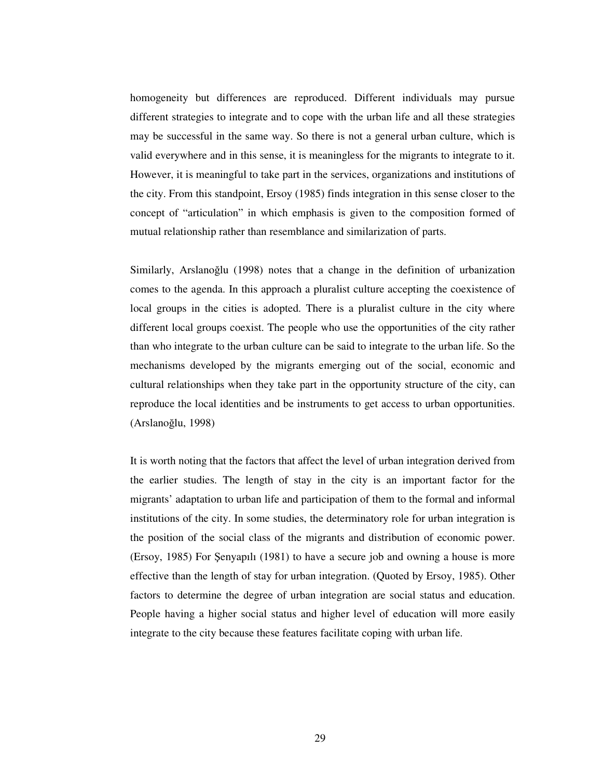homogeneity but differences are reproduced. Different individuals may pursue different strategies to integrate and to cope with the urban life and all these strategies may be successful in the same way. So there is not a general urban culture, which is valid everywhere and in this sense, it is meaningless for the migrants to integrate to it. However, it is meaningful to take part in the services, organizations and institutions of the city. From this standpoint, Ersoy (1985) finds integration in this sense closer to the concept of "articulation" in which emphasis is given to the composition formed of mutual relationship rather than resemblance and similarization of parts.

Similarly, Arslanoğlu (1998) notes that a change in the definition of urbanization comes to the agenda. In this approach a pluralist culture accepting the coexistence of local groups in the cities is adopted. There is a pluralist culture in the city where different local groups coexist. The people who use the opportunities of the city rather than who integrate to the urban culture can be said to integrate to the urban life. So the mechanisms developed by the migrants emerging out of the social, economic and cultural relationships when they take part in the opportunity structure of the city, can reproduce the local identities and be instruments to get access to urban opportunities.  $(Arslanoğlu, 1998)$ 

It is worth noting that the factors that affect the level of urban integration derived from the earlier studies. The length of stay in the city is an important factor for the migrants' adaptation to urban life and participation of them to the formal and informal institutions of the city. In some studies, the determinatory role for urban integration is the position of the social class of the migrants and distribution of economic power. (Ersoy, 1985) For Senyapılı (1981) to have a secure job and owning a house is more effective than the length of stay for urban integration. (Quoted by Ersoy, 1985). Other factors to determine the degree of urban integration are social status and education. People having a higher social status and higher level of education will more easily integrate to the city because these features facilitate coping with urban life.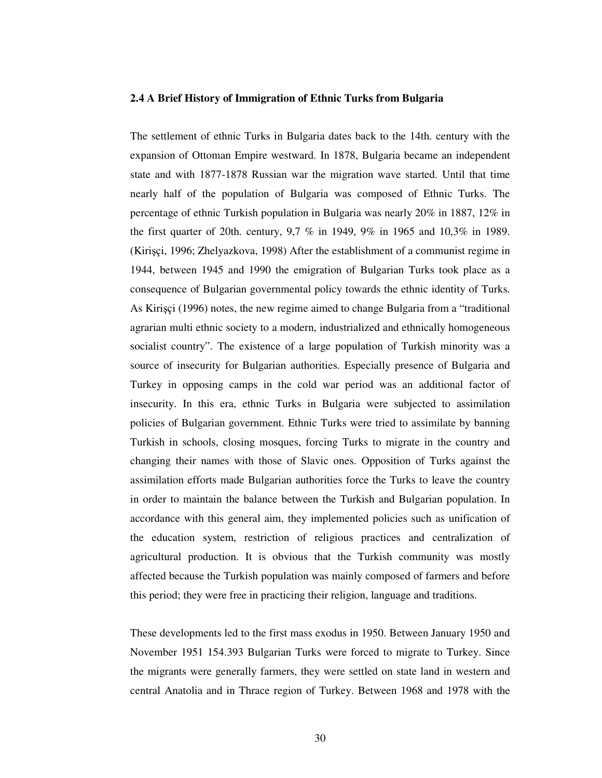#### **2.4 A Brief History of Immigration of Ethnic Turks from Bulgaria**

The settlement of ethnic Turks in Bulgaria dates back to the 14th. century with the expansion of Ottoman Empire westward. In 1878, Bulgaria became an independent state and with 1877-1878 Russian war the migration wave started. Until that time nearly half of the population of Bulgaria was composed of Ethnic Turks. The percentage of ethnic Turkish population in Bulgaria was nearly 20% in 1887, 12% in the first quarter of 20th. century, 9,7 % in 1949, 9% in 1965 and 10,3% in 1989. (Kirişçi, 1996; Zhelyazkova, 1998) After the establishment of a communist regime in 1944, between 1945 and 1990 the emigration of Bulgarian Turks took place as a consequence of Bulgarian governmental policy towards the ethnic identity of Turks. As Kirișçi (1996) notes, the new regime aimed to change Bulgaria from a "traditional agrarian multi ethnic society to a modern, industrialized and ethnically homogeneous socialist country". The existence of a large population of Turkish minority was a source of insecurity for Bulgarian authorities. Especially presence of Bulgaria and Turkey in opposing camps in the cold war period was an additional factor of insecurity. In this era, ethnic Turks in Bulgaria were subjected to assimilation policies of Bulgarian government. Ethnic Turks were tried to assimilate by banning Turkish in schools, closing mosques, forcing Turks to migrate in the country and changing their names with those of Slavic ones. Opposition of Turks against the assimilation efforts made Bulgarian authorities force the Turks to leave the country in order to maintain the balance between the Turkish and Bulgarian population. In accordance with this general aim, they implemented policies such as unification of the education system, restriction of religious practices and centralization of agricultural production. It is obvious that the Turkish community was mostly affected because the Turkish population was mainly composed of farmers and before this period; they were free in practicing their religion, language and traditions.

These developments led to the first mass exodus in 1950. Between January 1950 and November 1951 154.393 Bulgarian Turks were forced to migrate to Turkey. Since the migrants were generally farmers, they were settled on state land in western and central Anatolia and in Thrace region of Turkey. Between 1968 and 1978 with the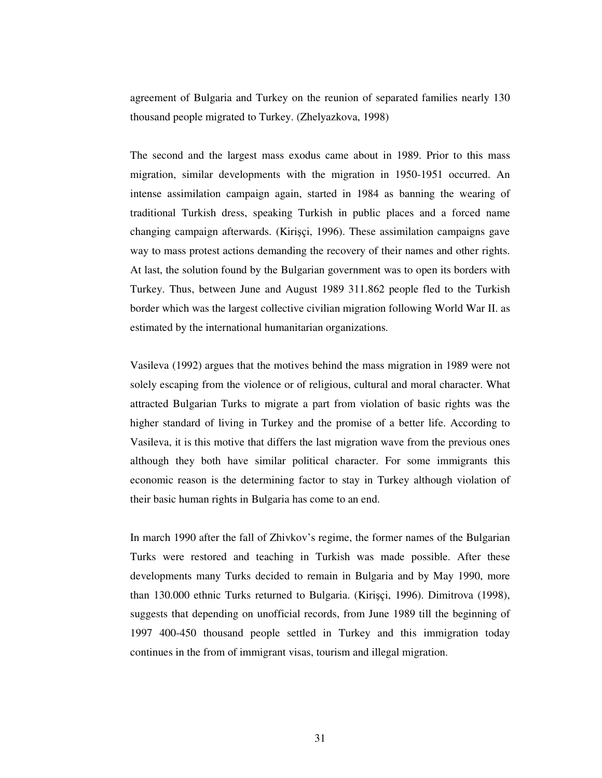agreement of Bulgaria and Turkey on the reunion of separated families nearly 130 thousand people migrated to Turkey. (Zhelyazkova, 1998)

The second and the largest mass exodus came about in 1989. Prior to this mass migration, similar developments with the migration in 1950-1951 occurred. An intense assimilation campaign again, started in 1984 as banning the wearing of traditional Turkish dress, speaking Turkish in public places and a forced name changing campaign afterwards. (Kirişçi, 1996). These assimilation campaigns gave way to mass protest actions demanding the recovery of their names and other rights. At last, the solution found by the Bulgarian government was to open its borders with Turkey. Thus, between June and August 1989 311.862 people fled to the Turkish border which was the largest collective civilian migration following World War II. as estimated by the international humanitarian organizations.

Vasileva (1992) argues that the motives behind the mass migration in 1989 were not solely escaping from the violence or of religious, cultural and moral character. What attracted Bulgarian Turks to migrate a part from violation of basic rights was the higher standard of living in Turkey and the promise of a better life. According to Vasileva, it is this motive that differs the last migration wave from the previous ones although they both have similar political character. For some immigrants this economic reason is the determining factor to stay in Turkey although violation of their basic human rights in Bulgaria has come to an end.

In march 1990 after the fall of Zhivkov's regime, the former names of the Bulgarian Turks were restored and teaching in Turkish was made possible. After these developments many Turks decided to remain in Bulgaria and by May 1990, more than 130.000 ethnic Turks returned to Bulgaria. (Kirişçi, 1996). Dimitrova (1998), suggests that depending on unofficial records, from June 1989 till the beginning of 1997 400-450 thousand people settled in Turkey and this immigration today continues in the from of immigrant visas, tourism and illegal migration.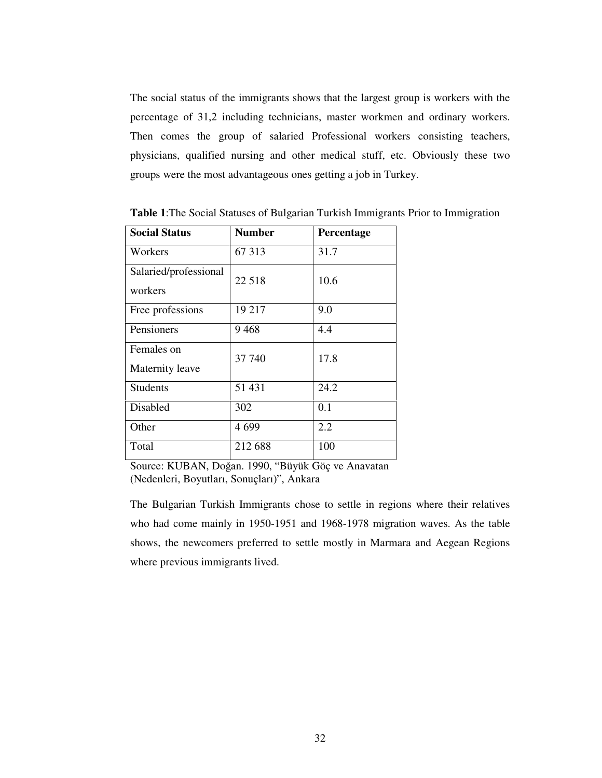The social status of the immigrants shows that the largest group is workers with the percentage of 31,2 including technicians, master workmen and ordinary workers. Then comes the group of salaried Professional workers consisting teachers, physicians, qualified nursing and other medical stuff, etc. Obviously these two groups were the most advantageous ones getting a job in Turkey.

| <b>Social Status</b>             | <b>Number</b> | Percentage |
|----------------------------------|---------------|------------|
| Workers                          | 67 313        | 31.7       |
| Salaried/professional<br>workers | 22 5 18       | 10.6       |
| Free professions                 | 19 217        | 9.0        |
| Pensioners                       | 9468          | 4.4        |
| Females on<br>Maternity leave    | 37 740        | 17.8       |
| <b>Students</b>                  | 51 431        | 24.2       |
| Disabled                         | 302           | 0.1        |
| Other                            | 4699          | 2.2        |
| Total                            | 212 688       | 100        |

**Table 1**:The Social Statuses of Bulgarian Turkish Immigrants Prior to Immigration

Source: KUBAN, Doğan. 1990, "Büyük Göç ve Anavatan (Nedenleri, Boyutları, Sonuçları)", Ankara

The Bulgarian Turkish Immigrants chose to settle in regions where their relatives who had come mainly in 1950-1951 and 1968-1978 migration waves. As the table shows, the newcomers preferred to settle mostly in Marmara and Aegean Regions where previous immigrants lived.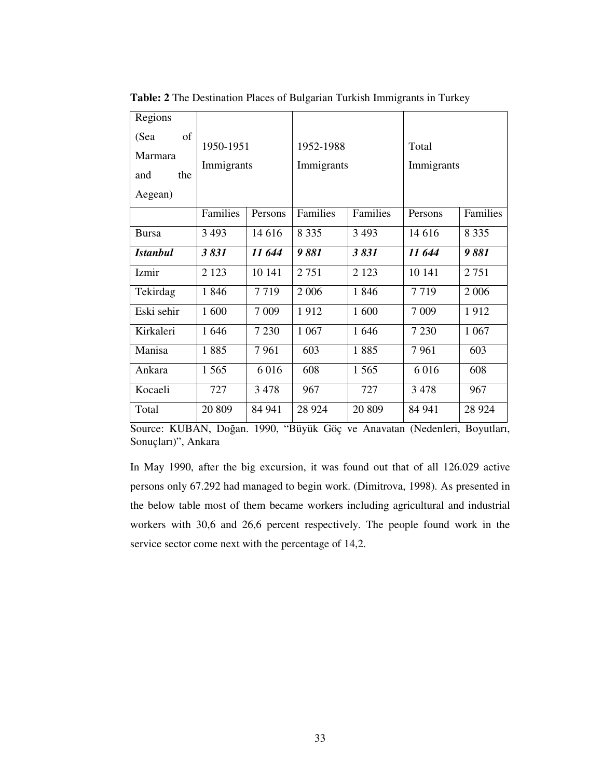| Regions         |            |         |            |          |            |          |
|-----------------|------------|---------|------------|----------|------------|----------|
| of<br>(Sea      | 1950-1951  |         | 1952-1988  |          | Total      |          |
| Marmara         |            |         |            |          |            |          |
| the<br>and      | Immigrants |         | Immigrants |          | Immigrants |          |
| Aegean)         |            |         |            |          |            |          |
|                 | Families   | Persons | Families   | Families | Persons    | Families |
| <b>Bursa</b>    | 3 4 9 3    | 14 6 16 | 8 3 3 5    | 3 4 9 3  | 14 616     | 8 3 3 5  |
| <b>Istanbul</b> | 3831       | 11 644  | 9881       | 3831     | 11 644     | 9881     |
| Izmir           | 2 1 2 3    | 10 14 1 | 2 7 5 1    | 2 1 2 3  | 10 14 1    | 2 7 5 1  |
| Tekirdag        | 1846       | 7719    | 2 0 0 6    | 1846     | 7719       | 2 0 0 6  |
| Eski sehir      | 1 600      | 7 0 0 9 | 1912       | 1 600    | 7 0 0 9    | 1912     |
| Kirkaleri       | 1646       | 7 2 3 0 | 1 0 6 7    | 1646     | 7 2 3 0    | 1 0 67   |
| Manisa          | 1885       | 7961    | 603        | 1885     | 7961       | 603      |
| Ankara          | 1 5 6 5    | 6016    | 608        | 1 5 6 5  | 6016       | 608      |
| Kocaeli         | 727        | 3478    | 967        | 727      | 3 4 7 8    | 967      |
| Total           | 20 809     | 84 941  | 28 9 24    | 20 809   | 84 941     | 28 9 24  |

**Table: 2** The Destination Places of Bulgarian Turkish Immigrants in Turkey

Source: KUBAN, Doğan. 1990, "Büyük Göç ve Anavatan (Nedenleri, Boyutları, Sonuçları)", Ankara

In May 1990, after the big excursion, it was found out that of all 126.029 active persons only 67.292 had managed to begin work. (Dimitrova, 1998). As presented in the below table most of them became workers including agricultural and industrial workers with 30,6 and 26,6 percent respectively. The people found work in the service sector come next with the percentage of 14,2.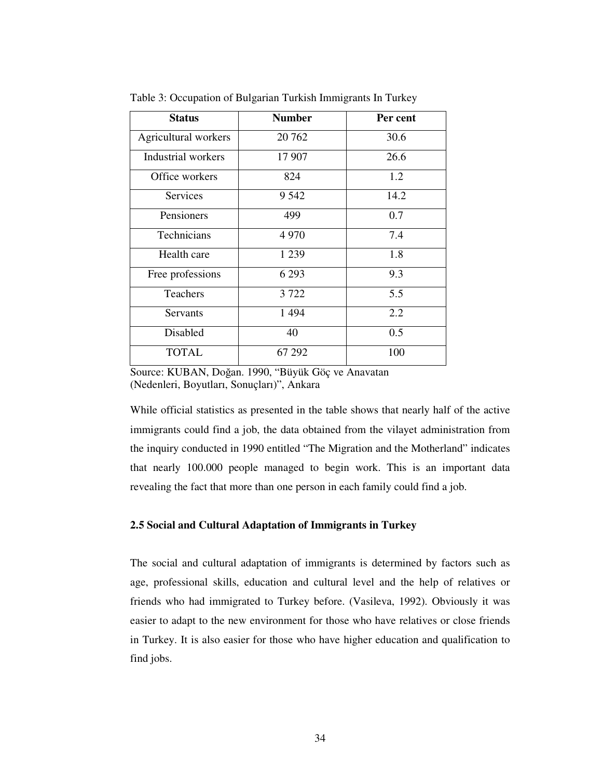| <b>Status</b>        | <b>Number</b> | Per cent |
|----------------------|---------------|----------|
| Agricultural workers | 20 762        | 30.6     |
| Industrial workers   | 17 907        | 26.6     |
| Office workers       | 824           | 1.2      |
| Services             | 9 5 4 2       | 14.2     |
| Pensioners           | 499           | 0.7      |
| Technicians          | 4 9 7 0       | 7.4      |
| Health care          | 1 2 3 9       | 1.8      |
| Free professions     | 6 2 9 3       | 9.3      |
| <b>Teachers</b>      | 3 7 2 2       | 5.5      |
| Servants             | 1 4 9 4       | 2.2      |
| Disabled             | 40            | 0.5      |
| <b>TOTAL</b>         | 67 292        | 100      |

Table 3: Occupation of Bulgarian Turkish Immigrants In Turkey

Source: KUBAN, Doğan. 1990, "Büyük Göç ve Anavatan (Nedenleri, Boyutları, Sonuçları)", Ankara

While official statistics as presented in the table shows that nearly half of the active immigrants could find a job, the data obtained from the vilayet administration from the inquiry conducted in 1990 entitled "The Migration and the Motherland" indicates that nearly 100.000 people managed to begin work. This is an important data revealing the fact that more than one person in each family could find a job.

# **2.5 Social and Cultural Adaptation of Immigrants in Turkey**

The social and cultural adaptation of immigrants is determined by factors such as age, professional skills, education and cultural level and the help of relatives or friends who had immigrated to Turkey before. (Vasileva, 1992). Obviously it was easier to adapt to the new environment for those who have relatives or close friends in Turkey. It is also easier for those who have higher education and qualification to find jobs.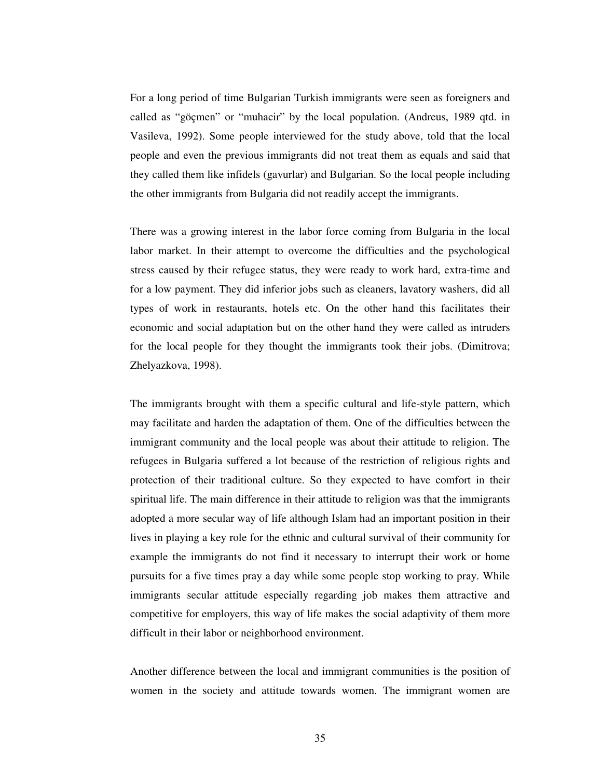For a long period of time Bulgarian Turkish immigrants were seen as foreigners and called as "göçmen" or "muhacir" by the local population. (Andreus, 1989 qtd. in Vasileva, 1992). Some people interviewed for the study above, told that the local people and even the previous immigrants did not treat them as equals and said that they called them like infidels (gavurlar) and Bulgarian. So the local people including the other immigrants from Bulgaria did not readily accept the immigrants.

There was a growing interest in the labor force coming from Bulgaria in the local labor market. In their attempt to overcome the difficulties and the psychological stress caused by their refugee status, they were ready to work hard, extra-time and for a low payment. They did inferior jobs such as cleaners, lavatory washers, did all types of work in restaurants, hotels etc. On the other hand this facilitates their economic and social adaptation but on the other hand they were called as intruders for the local people for they thought the immigrants took their jobs. (Dimitrova; Zhelyazkova, 1998).

The immigrants brought with them a specific cultural and life-style pattern, which may facilitate and harden the adaptation of them. One of the difficulties between the immigrant community and the local people was about their attitude to religion. The refugees in Bulgaria suffered a lot because of the restriction of religious rights and protection of their traditional culture. So they expected to have comfort in their spiritual life. The main difference in their attitude to religion was that the immigrants adopted a more secular way of life although Islam had an important position in their lives in playing a key role for the ethnic and cultural survival of their community for example the immigrants do not find it necessary to interrupt their work or home pursuits for a five times pray a day while some people stop working to pray. While immigrants secular attitude especially regarding job makes them attractive and competitive for employers, this way of life makes the social adaptivity of them more difficult in their labor or neighborhood environment.

Another difference between the local and immigrant communities is the position of women in the society and attitude towards women. The immigrant women are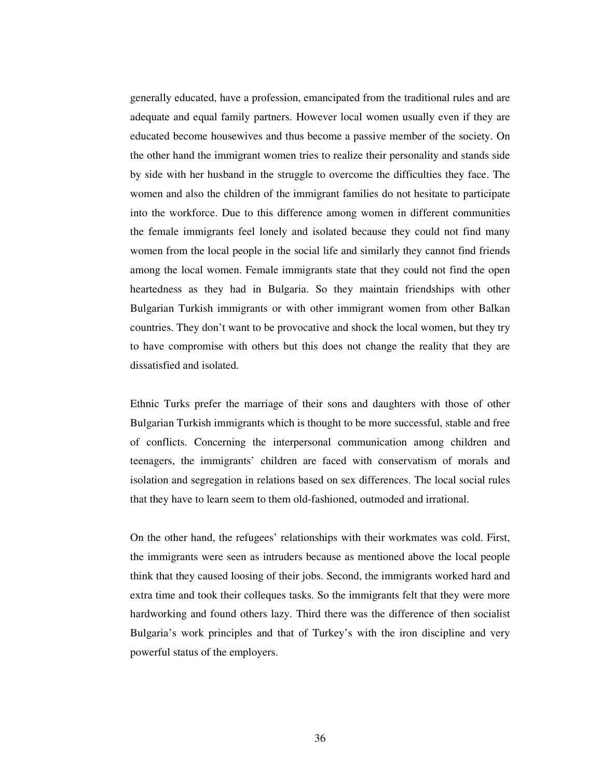generally educated, have a profession, emancipated from the traditional rules and are adequate and equal family partners. However local women usually even if they are educated become housewives and thus become a passive member of the society. On the other hand the immigrant women tries to realize their personality and stands side by side with her husband in the struggle to overcome the difficulties they face. The women and also the children of the immigrant families do not hesitate to participate into the workforce. Due to this difference among women in different communities the female immigrants feel lonely and isolated because they could not find many women from the local people in the social life and similarly they cannot find friends among the local women. Female immigrants state that they could not find the open heartedness as they had in Bulgaria. So they maintain friendships with other Bulgarian Turkish immigrants or with other immigrant women from other Balkan countries. They don't want to be provocative and shock the local women, but they try to have compromise with others but this does not change the reality that they are dissatisfied and isolated.

Ethnic Turks prefer the marriage of their sons and daughters with those of other Bulgarian Turkish immigrants which is thought to be more successful, stable and free of conflicts. Concerning the interpersonal communication among children and teenagers, the immigrants' children are faced with conservatism of morals and isolation and segregation in relations based on sex differences. The local social rules that they have to learn seem to them old-fashioned, outmoded and irrational.

On the other hand, the refugees' relationships with their workmates was cold. First, the immigrants were seen as intruders because as mentioned above the local people think that they caused loosing of their jobs. Second, the immigrants worked hard and extra time and took their colleques tasks. So the immigrants felt that they were more hardworking and found others lazy. Third there was the difference of then socialist Bulgaria's work principles and that of Turkey's with the iron discipline and very powerful status of the employers.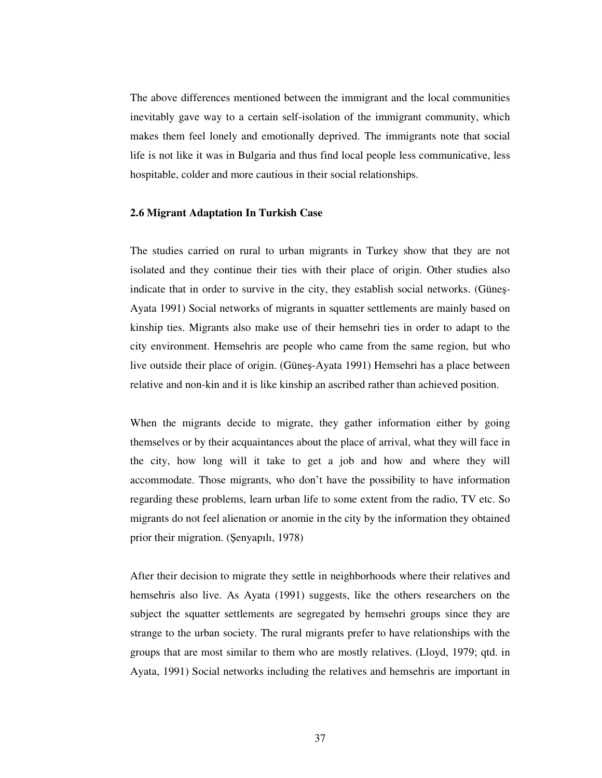The above differences mentioned between the immigrant and the local communities inevitably gave way to a certain self-isolation of the immigrant community, which makes them feel lonely and emotionally deprived. The immigrants note that social life is not like it was in Bulgaria and thus find local people less communicative, less hospitable, colder and more cautious in their social relationships.

### **2.6 Migrant Adaptation In Turkish Case**

The studies carried on rural to urban migrants in Turkey show that they are not isolated and they continue their ties with their place of origin. Other studies also indicate that in order to survive in the city, they establish social networks. (Güneş-Ayata 1991) Social networks of migrants in squatter settlements are mainly based on kinship ties. Migrants also make use of their hemsehri ties in order to adapt to the city environment. Hemsehris are people who came from the same region, but who live outside their place of origin. (Güneş-Ayata 1991) Hemsehri has a place between relative and non-kin and it is like kinship an ascribed rather than achieved position.

When the migrants decide to migrate, they gather information either by going themselves or by their acquaintances about the place of arrival, what they will face in the city, how long will it take to get a job and how and where they will accommodate. Those migrants, who don't have the possibility to have information regarding these problems, learn urban life to some extent from the radio, TV etc. So migrants do not feel alienation or anomie in the city by the information they obtained prior their migration. (Şenyapılı, 1978)

After their decision to migrate they settle in neighborhoods where their relatives and hemsehris also live. As Ayata (1991) suggests, like the others researchers on the subject the squatter settlements are segregated by hemsehri groups since they are strange to the urban society. The rural migrants prefer to have relationships with the groups that are most similar to them who are mostly relatives. (Lloyd, 1979; qtd. in Ayata, 1991) Social networks including the relatives and hemsehris are important in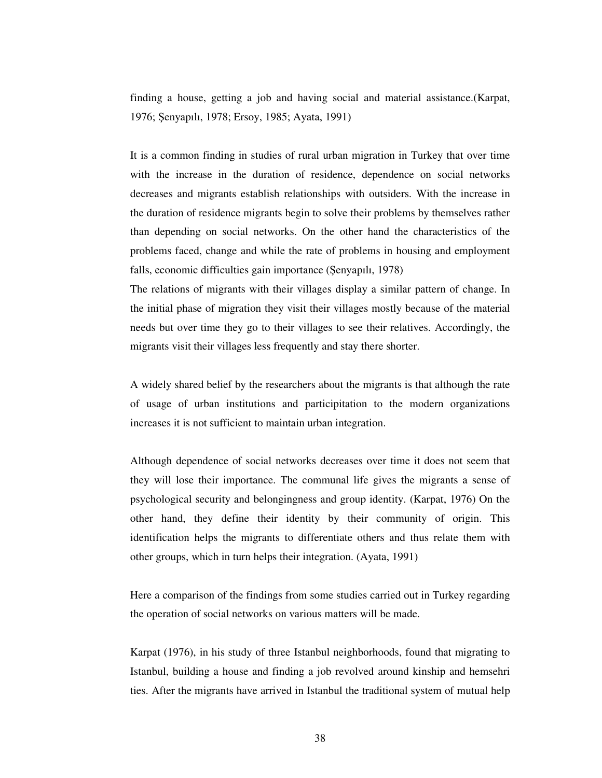finding a house, getting a job and having social and material assistance.(Karpat, 1976; enyapılı, 1978; Ersoy, 1985; Ayata, 1991)

It is a common finding in studies of rural urban migration in Turkey that over time with the increase in the duration of residence, dependence on social networks decreases and migrants establish relationships with outsiders. With the increase in the duration of residence migrants begin to solve their problems by themselves rather than depending on social networks. On the other hand the characteristics of the problems faced, change and while the rate of problems in housing and employment falls, economic difficulties gain importance (Şenyapılı, 1978)

The relations of migrants with their villages display a similar pattern of change. In the initial phase of migration they visit their villages mostly because of the material needs but over time they go to their villages to see their relatives. Accordingly, the migrants visit their villages less frequently and stay there shorter.

A widely shared belief by the researchers about the migrants is that although the rate of usage of urban institutions and participitation to the modern organizations increases it is not sufficient to maintain urban integration.

Although dependence of social networks decreases over time it does not seem that they will lose their importance. The communal life gives the migrants a sense of psychological security and belongingness and group identity. (Karpat, 1976) On the other hand, they define their identity by their community of origin. This identification helps the migrants to differentiate others and thus relate them with other groups, which in turn helps their integration. (Ayata, 1991)

Here a comparison of the findings from some studies carried out in Turkey regarding the operation of social networks on various matters will be made.

Karpat (1976), in his study of three Istanbul neighborhoods, found that migrating to Istanbul, building a house and finding a job revolved around kinship and hemsehri ties. After the migrants have arrived in Istanbul the traditional system of mutual help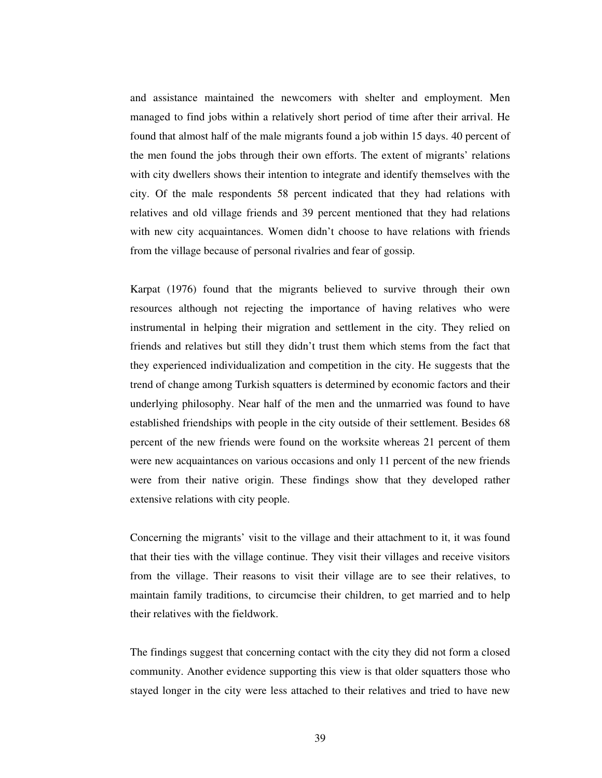and assistance maintained the newcomers with shelter and employment. Men managed to find jobs within a relatively short period of time after their arrival. He found that almost half of the male migrants found a job within 15 days. 40 percent of the men found the jobs through their own efforts. The extent of migrants' relations with city dwellers shows their intention to integrate and identify themselves with the city. Of the male respondents 58 percent indicated that they had relations with relatives and old village friends and 39 percent mentioned that they had relations with new city acquaintances. Women didn't choose to have relations with friends from the village because of personal rivalries and fear of gossip.

Karpat (1976) found that the migrants believed to survive through their own resources although not rejecting the importance of having relatives who were instrumental in helping their migration and settlement in the city. They relied on friends and relatives but still they didn't trust them which stems from the fact that they experienced individualization and competition in the city. He suggests that the trend of change among Turkish squatters is determined by economic factors and their underlying philosophy. Near half of the men and the unmarried was found to have established friendships with people in the city outside of their settlement. Besides 68 percent of the new friends were found on the worksite whereas 21 percent of them were new acquaintances on various occasions and only 11 percent of the new friends were from their native origin. These findings show that they developed rather extensive relations with city people.

Concerning the migrants' visit to the village and their attachment to it, it was found that their ties with the village continue. They visit their villages and receive visitors from the village. Their reasons to visit their village are to see their relatives, to maintain family traditions, to circumcise their children, to get married and to help their relatives with the fieldwork.

The findings suggest that concerning contact with the city they did not form a closed community. Another evidence supporting this view is that older squatters those who stayed longer in the city were less attached to their relatives and tried to have new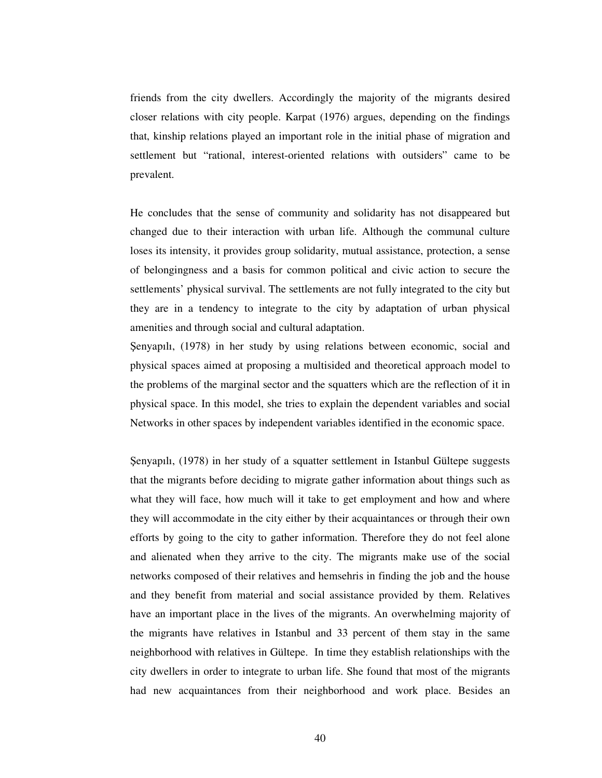friends from the city dwellers. Accordingly the majority of the migrants desired closer relations with city people. Karpat (1976) argues, depending on the findings that, kinship relations played an important role in the initial phase of migration and settlement but "rational, interest-oriented relations with outsiders" came to be prevalent.

He concludes that the sense of community and solidarity has not disappeared but changed due to their interaction with urban life. Although the communal culture loses its intensity, it provides group solidarity, mutual assistance, protection, a sense of belongingness and a basis for common political and civic action to secure the settlements' physical survival. The settlements are not fully integrated to the city but they are in a tendency to integrate to the city by adaptation of urban physical amenities and through social and cultural adaptation.

enyapılı, (1978) in her study by using relations between economic, social and physical spaces aimed at proposing a multisided and theoretical approach model to the problems of the marginal sector and the squatters which are the reflection of it in physical space. In this model, she tries to explain the dependent variables and social Networks in other spaces by independent variables identified in the economic space.

enyapılı, (1978) in her study of a squatter settlement in Istanbul Gültepe suggests that the migrants before deciding to migrate gather information about things such as what they will face, how much will it take to get employment and how and where they will accommodate in the city either by their acquaintances or through their own efforts by going to the city to gather information. Therefore they do not feel alone and alienated when they arrive to the city. The migrants make use of the social networks composed of their relatives and hemsehris in finding the job and the house and they benefit from material and social assistance provided by them. Relatives have an important place in the lives of the migrants. An overwhelming majority of the migrants have relatives in Istanbul and 33 percent of them stay in the same neighborhood with relatives in Gültepe. In time they establish relationships with the city dwellers in order to integrate to urban life. She found that most of the migrants had new acquaintances from their neighborhood and work place. Besides an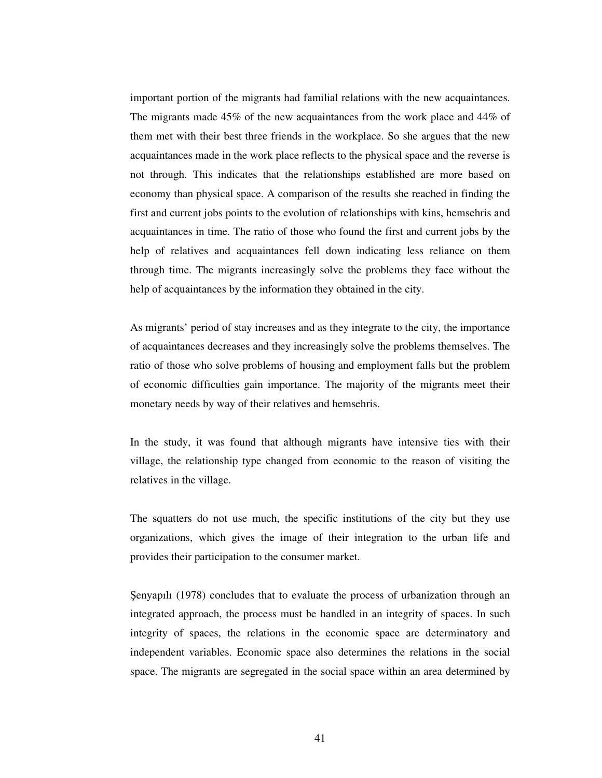important portion of the migrants had familial relations with the new acquaintances. The migrants made 45% of the new acquaintances from the work place and 44% of them met with their best three friends in the workplace. So she argues that the new acquaintances made in the work place reflects to the physical space and the reverse is not through. This indicates that the relationships established are more based on economy than physical space. A comparison of the results she reached in finding the first and current jobs points to the evolution of relationships with kins, hemsehris and acquaintances in time. The ratio of those who found the first and current jobs by the help of relatives and acquaintances fell down indicating less reliance on them through time. The migrants increasingly solve the problems they face without the help of acquaintances by the information they obtained in the city.

As migrants' period of stay increases and as they integrate to the city, the importance of acquaintances decreases and they increasingly solve the problems themselves. The ratio of those who solve problems of housing and employment falls but the problem of economic difficulties gain importance. The majority of the migrants meet their monetary needs by way of their relatives and hemsehris.

In the study, it was found that although migrants have intensive ties with their village, the relationship type changed from economic to the reason of visiting the relatives in the village.

The squatters do not use much, the specific institutions of the city but they use organizations, which gives the image of their integration to the urban life and provides their participation to the consumer market.

enyapılı (1978) concludes that to evaluate the process of urbanization through an integrated approach, the process must be handled in an integrity of spaces. In such integrity of spaces, the relations in the economic space are determinatory and independent variables. Economic space also determines the relations in the social space. The migrants are segregated in the social space within an area determined by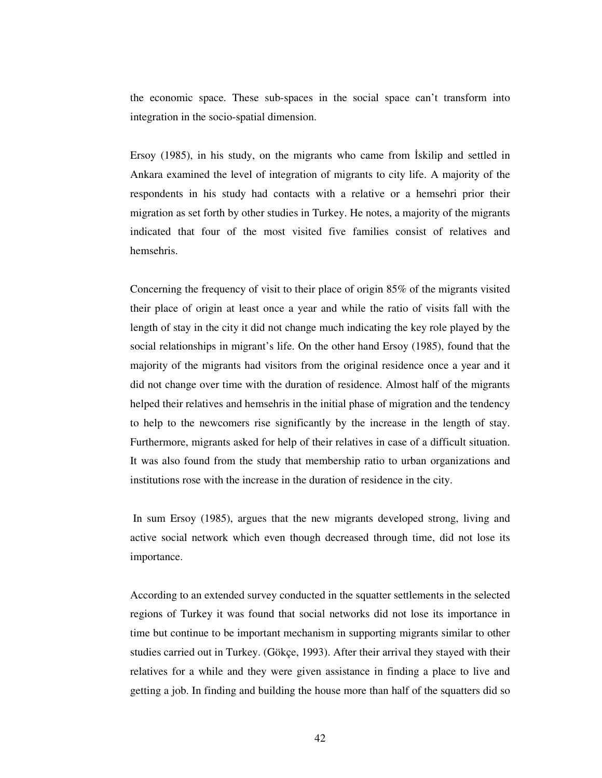the economic space. These sub-spaces in the social space can't transform into integration in the socio-spatial dimension.

Ersoy (1985), in his study, on the migrants who came from Iskilip and settled in Ankara examined the level of integration of migrants to city life. A majority of the respondents in his study had contacts with a relative or a hemsehri prior their migration as set forth by other studies in Turkey. He notes, a majority of the migrants indicated that four of the most visited five families consist of relatives and hemsehris.

Concerning the frequency of visit to their place of origin 85% of the migrants visited their place of origin at least once a year and while the ratio of visits fall with the length of stay in the city it did not change much indicating the key role played by the social relationships in migrant's life. On the other hand Ersoy (1985), found that the majority of the migrants had visitors from the original residence once a year and it did not change over time with the duration of residence. Almost half of the migrants helped their relatives and hemsehris in the initial phase of migration and the tendency to help to the newcomers rise significantly by the increase in the length of stay. Furthermore, migrants asked for help of their relatives in case of a difficult situation. It was also found from the study that membership ratio to urban organizations and institutions rose with the increase in the duration of residence in the city.

In sum Ersoy (1985), argues that the new migrants developed strong, living and active social network which even though decreased through time, did not lose its importance.

According to an extended survey conducted in the squatter settlements in the selected regions of Turkey it was found that social networks did not lose its importance in time but continue to be important mechanism in supporting migrants similar to other studies carried out in Turkey. (Gökçe, 1993). After their arrival they stayed with their relatives for a while and they were given assistance in finding a place to live and getting a job. In finding and building the house more than half of the squatters did so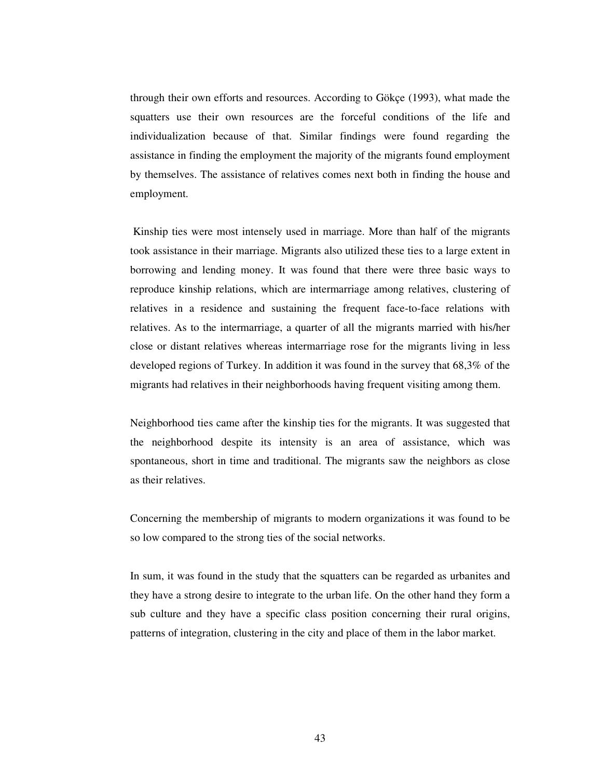through their own efforts and resources. According to Gökçe (1993), what made the squatters use their own resources are the forceful conditions of the life and individualization because of that. Similar findings were found regarding the assistance in finding the employment the majority of the migrants found employment by themselves. The assistance of relatives comes next both in finding the house and employment.

Kinship ties were most intensely used in marriage. More than half of the migrants took assistance in their marriage. Migrants also utilized these ties to a large extent in borrowing and lending money. It was found that there were three basic ways to reproduce kinship relations, which are intermarriage among relatives, clustering of relatives in a residence and sustaining the frequent face-to-face relations with relatives. As to the intermarriage, a quarter of all the migrants married with his/her close or distant relatives whereas intermarriage rose for the migrants living in less developed regions of Turkey. In addition it was found in the survey that 68,3% of the migrants had relatives in their neighborhoods having frequent visiting among them.

Neighborhood ties came after the kinship ties for the migrants. It was suggested that the neighborhood despite its intensity is an area of assistance, which was spontaneous, short in time and traditional. The migrants saw the neighbors as close as their relatives.

Concerning the membership of migrants to modern organizations it was found to be so low compared to the strong ties of the social networks.

In sum, it was found in the study that the squatters can be regarded as urbanites and they have a strong desire to integrate to the urban life. On the other hand they form a sub culture and they have a specific class position concerning their rural origins, patterns of integration, clustering in the city and place of them in the labor market.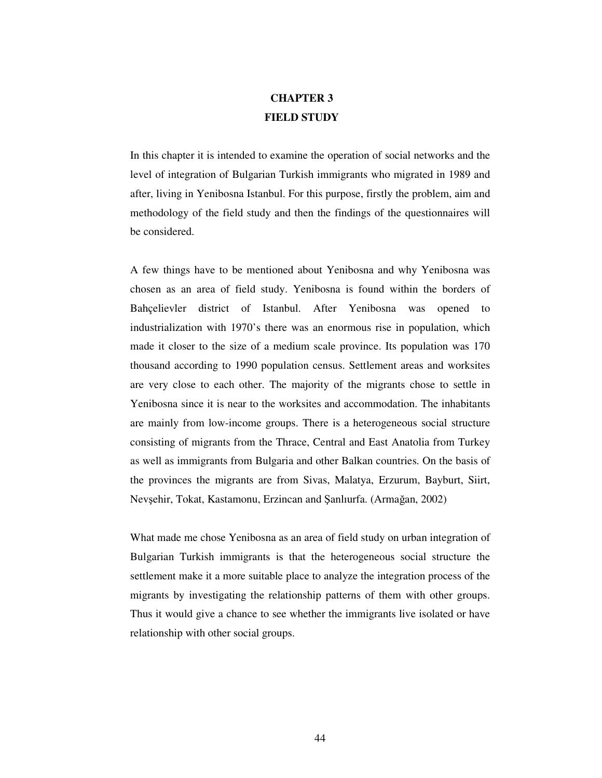# **CHAPTER 3 FIELD STUDY**

In this chapter it is intended to examine the operation of social networks and the level of integration of Bulgarian Turkish immigrants who migrated in 1989 and after, living in Yenibosna Istanbul. For this purpose, firstly the problem, aim and methodology of the field study and then the findings of the questionnaires will be considered.

A few things have to be mentioned about Yenibosna and why Yenibosna was chosen as an area of field study. Yenibosna is found within the borders of Bahçelievler district of Istanbul. After Yenibosna was opened to industrialization with 1970's there was an enormous rise in population, which made it closer to the size of a medium scale province. Its population was 170 thousand according to 1990 population census. Settlement areas and worksites are very close to each other. The majority of the migrants chose to settle in Yenibosna since it is near to the worksites and accommodation. The inhabitants are mainly from low-income groups. There is a heterogeneous social structure consisting of migrants from the Thrace, Central and East Anatolia from Turkey as well as immigrants from Bulgaria and other Balkan countries. On the basis of the provinces the migrants are from Sivas, Malatya, Erzurum, Bayburt, Siirt, Nevşehir, Tokat, Kastamonu, Erzincan and Şanlıurfa. (Armağan, 2002)

What made me chose Yenibosna as an area of field study on urban integration of Bulgarian Turkish immigrants is that the heterogeneous social structure the settlement make it a more suitable place to analyze the integration process of the migrants by investigating the relationship patterns of them with other groups. Thus it would give a chance to see whether the immigrants live isolated or have relationship with other social groups.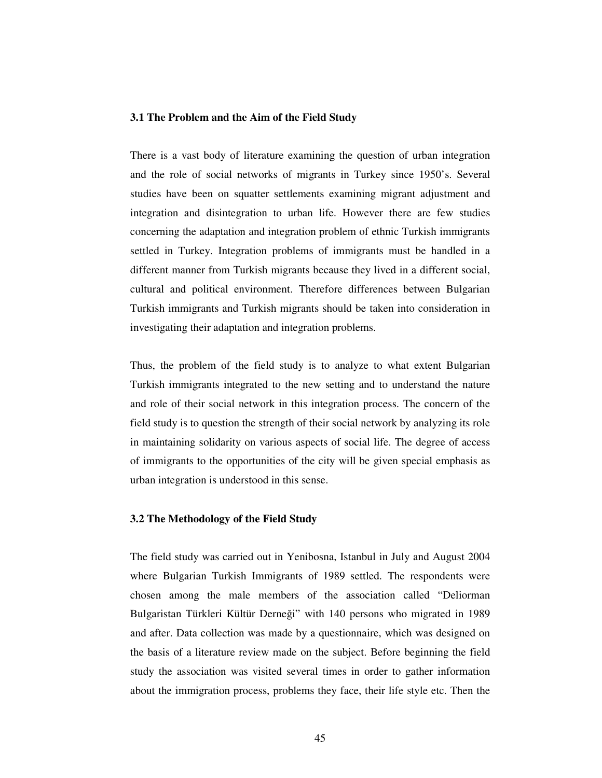### **3.1 The Problem and the Aim of the Field Study**

There is a vast body of literature examining the question of urban integration and the role of social networks of migrants in Turkey since 1950's. Several studies have been on squatter settlements examining migrant adjustment and integration and disintegration to urban life. However there are few studies concerning the adaptation and integration problem of ethnic Turkish immigrants settled in Turkey. Integration problems of immigrants must be handled in a different manner from Turkish migrants because they lived in a different social, cultural and political environment. Therefore differences between Bulgarian Turkish immigrants and Turkish migrants should be taken into consideration in investigating their adaptation and integration problems.

Thus, the problem of the field study is to analyze to what extent Bulgarian Turkish immigrants integrated to the new setting and to understand the nature and role of their social network in this integration process. The concern of the field study is to question the strength of their social network by analyzing its role in maintaining solidarity on various aspects of social life. The degree of access of immigrants to the opportunities of the city will be given special emphasis as urban integration is understood in this sense.

## **3.2 The Methodology of the Field Study**

The field study was carried out in Yenibosna, Istanbul in July and August 2004 where Bulgarian Turkish Immigrants of 1989 settled. The respondents were chosen among the male members of the association called "Deliorman Bulgaristan Türkleri Kültür Derneği" with 140 persons who migrated in 1989 and after. Data collection was made by a questionnaire, which was designed on the basis of a literature review made on the subject. Before beginning the field study the association was visited several times in order to gather information about the immigration process, problems they face, their life style etc. Then the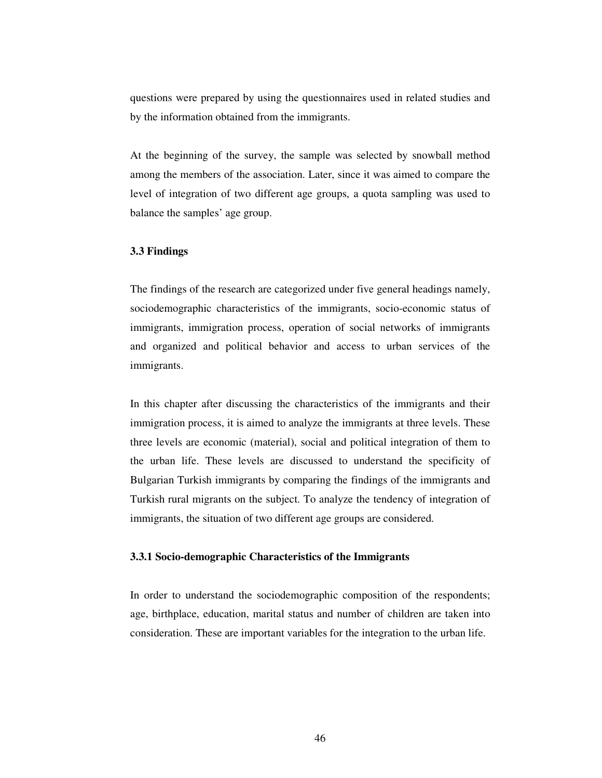questions were prepared by using the questionnaires used in related studies and by the information obtained from the immigrants.

At the beginning of the survey, the sample was selected by snowball method among the members of the association. Later, since it was aimed to compare the level of integration of two different age groups, a quota sampling was used to balance the samples' age group.

## **3.3 Findings**

The findings of the research are categorized under five general headings namely, sociodemographic characteristics of the immigrants, socio-economic status of immigrants, immigration process, operation of social networks of immigrants and organized and political behavior and access to urban services of the immigrants.

In this chapter after discussing the characteristics of the immigrants and their immigration process, it is aimed to analyze the immigrants at three levels. These three levels are economic (material), social and political integration of them to the urban life. These levels are discussed to understand the specificity of Bulgarian Turkish immigrants by comparing the findings of the immigrants and Turkish rural migrants on the subject. To analyze the tendency of integration of immigrants, the situation of two different age groups are considered.

## **3.3.1 Socio-demographic Characteristics of the Immigrants**

In order to understand the sociodemographic composition of the respondents; age, birthplace, education, marital status and number of children are taken into consideration. These are important variables for the integration to the urban life.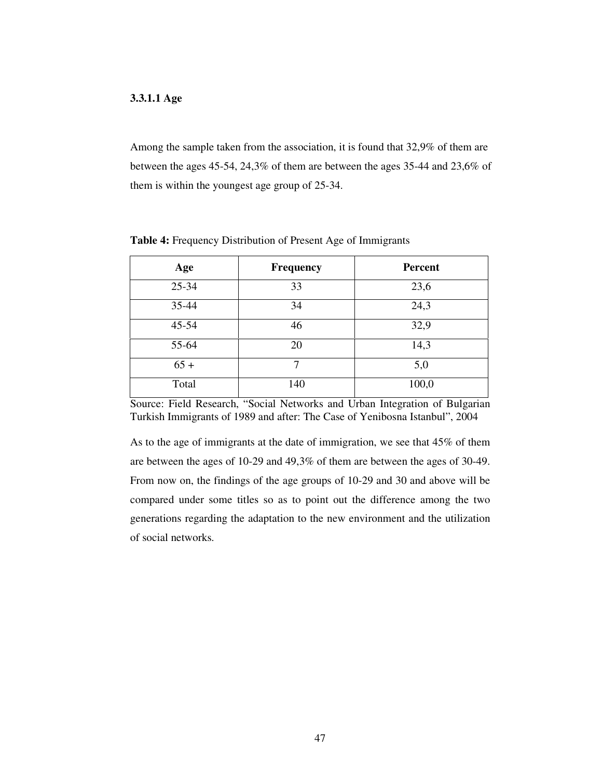## **3.3.1.1 Age**

Among the sample taken from the association, it is found that 32,9% of them are between the ages 45-54, 24,3% of them are between the ages 35-44 and 23,6% of them is within the youngest age group of 25-34.

| Age       | <b>Frequency</b> | <b>Percent</b> |
|-----------|------------------|----------------|
| 25-34     | 33               | 23,6           |
| 35-44     | 34               | 24,3           |
| $45 - 54$ | 46               | 32,9           |
| 55-64     | 20               | 14,3           |
| $65 +$    | 7                | 5,0            |
| Total     | 140              | 100,0          |

**Table 4:** Frequency Distribution of Present Age of Immigrants

Source: Field Research, "Social Networks and Urban Integration of Bulgarian Turkish Immigrants of 1989 and after: The Case of Yenibosna Istanbul", 2004

As to the age of immigrants at the date of immigration, we see that 45% of them are between the ages of 10-29 and 49,3% of them are between the ages of 30-49. From now on, the findings of the age groups of 10-29 and 30 and above will be compared under some titles so as to point out the difference among the two generations regarding the adaptation to the new environment and the utilization of social networks.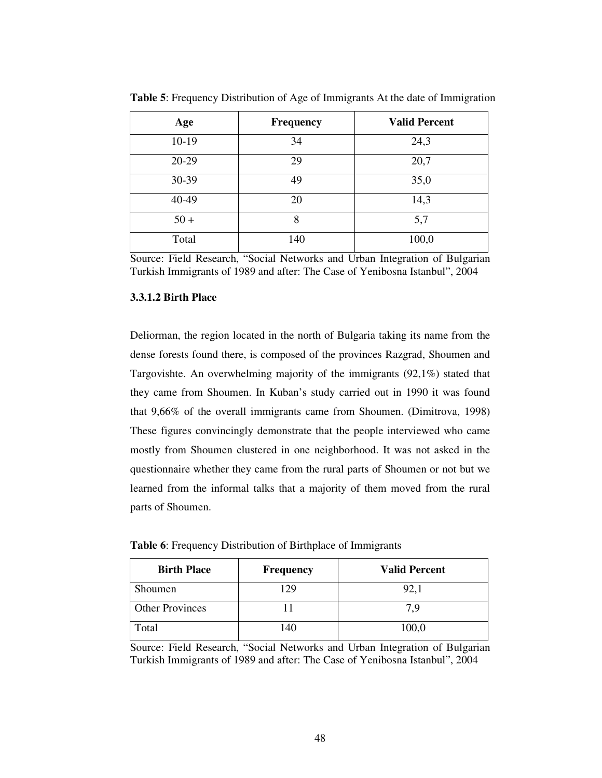| Age     | <b>Frequency</b> | <b>Valid Percent</b> |
|---------|------------------|----------------------|
| $10-19$ | 34               | 24,3                 |
| 20-29   | 29               | 20,7                 |
| 30-39   | 49               | 35,0                 |
| 40-49   | 20               | 14,3                 |
| $50+$   | 8                | 5,7                  |
| Total   | 140              | 100,0                |

**Table 5**: Frequency Distribution of Age of Immigrants At the date of Immigration

Source: Field Research, "Social Networks and Urban Integration of Bulgarian Turkish Immigrants of 1989 and after: The Case of Yenibosna Istanbul", 2004

# **3.3.1.2 Birth Place**

Deliorman, the region located in the north of Bulgaria taking its name from the dense forests found there, is composed of the provinces Razgrad, Shoumen and Targovishte. An overwhelming majority of the immigrants (92,1%) stated that they came from Shoumen. In Kuban's study carried out in 1990 it was found that 9,66% of the overall immigrants came from Shoumen. (Dimitrova, 1998) These figures convincingly demonstrate that the people interviewed who came mostly from Shoumen clustered in one neighborhood. It was not asked in the questionnaire whether they came from the rural parts of Shoumen or not but we learned from the informal talks that a majority of them moved from the rural parts of Shoumen.

| <b>Birth Place</b>     | <b>Frequency</b> | <b>Valid Percent</b> |
|------------------------|------------------|----------------------|
| Shoumen                | 129              | 92,1                 |
| <b>Other Provinces</b> |                  | 7 9                  |
| Total                  | 140              | 100,0                |

**Table 6**: Frequency Distribution of Birthplace of Immigrants

Source: Field Research, "Social Networks and Urban Integration of Bulgarian Turkish Immigrants of 1989 and after: The Case of Yenibosna Istanbul", 2004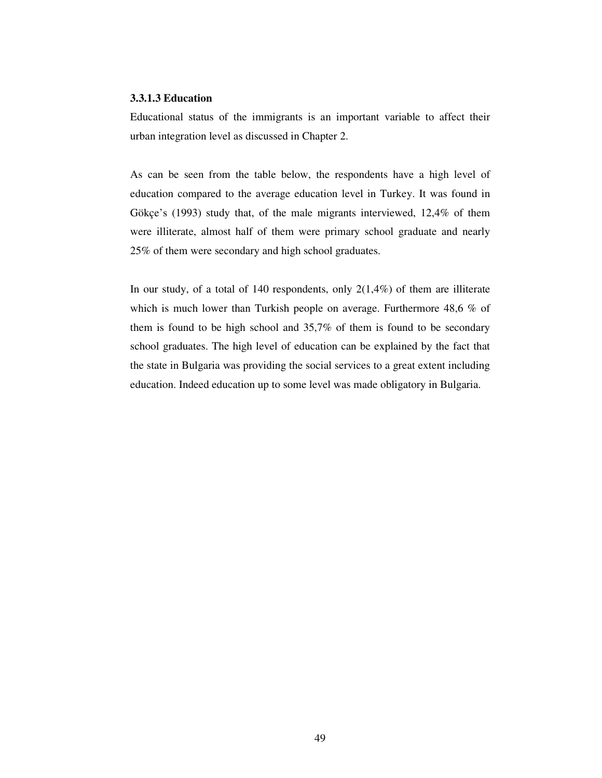## **3.3.1.3 Education**

Educational status of the immigrants is an important variable to affect their urban integration level as discussed in Chapter 2.

As can be seen from the table below, the respondents have a high level of education compared to the average education level in Turkey. It was found in Gökçe's (1993) study that, of the male migrants interviewed, 12,4% of them were illiterate, almost half of them were primary school graduate and nearly 25% of them were secondary and high school graduates.

In our study, of a total of 140 respondents, only  $2(1,4\%)$  of them are illiterate which is much lower than Turkish people on average. Furthermore 48,6 % of them is found to be high school and 35,7% of them is found to be secondary school graduates. The high level of education can be explained by the fact that the state in Bulgaria was providing the social services to a great extent including education. Indeed education up to some level was made obligatory in Bulgaria.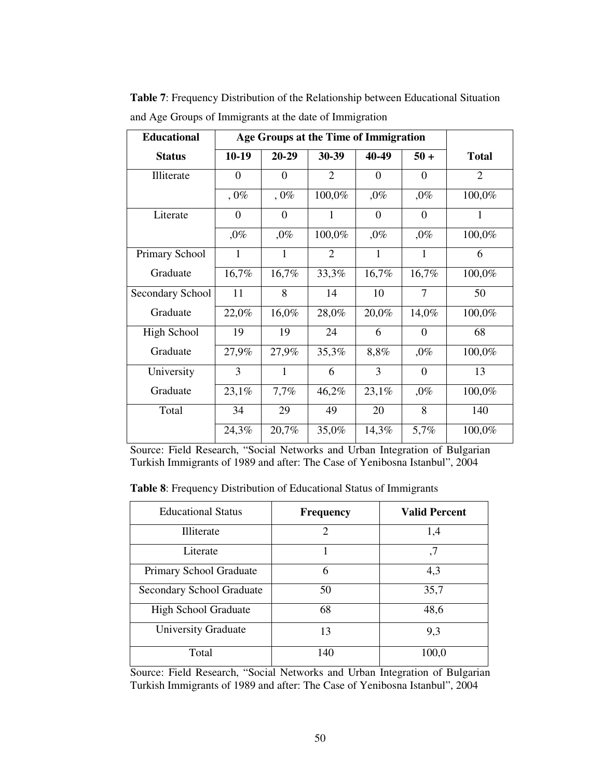| <b>Educational</b> | Age Groups at the Time of Immigration |                |                |              |                |                |
|--------------------|---------------------------------------|----------------|----------------|--------------|----------------|----------------|
| <b>Status</b>      | $10-19$                               | $20 - 29$      | 30-39          | 40-49        | $50 +$         | <b>Total</b>   |
| Illiterate         | $\theta$                              | $\overline{0}$ | $\overline{2}$ | $\Omega$     | $\Omega$       | $\overline{2}$ |
|                    | $,0\%$                                | $,0\%$         | 100,0%         | $,0\%$       | $,0\%$         | 100,0%         |
| Literate           | $\Omega$                              | $\Omega$       | $\mathbf{1}$   | $\Omega$     | $\Omega$       | 1              |
|                    | $,0\%$                                | $,0\%$         | 100,0%         | $,0\%$       | $,0\%$         | 100,0%         |
| Primary School     | $\mathbf{1}$                          | 1              | $\overline{2}$ | $\mathbf{1}$ | $\mathbf{1}$   | 6              |
| Graduate           | 16,7%                                 | 16,7%          | 33,3%          | 16,7%        | 16,7%          | 100,0%         |
| Secondary School   | 11                                    | 8              | 14             | 10           | 7              | 50             |
| Graduate           | 22,0%                                 | 16,0%          | 28,0%          | 20,0%        | 14,0%          | 100,0%         |
| High School        | 19                                    | 19             | 24             | 6            | $\Omega$       | 68             |
| Graduate           | 27,9%                                 | 27,9%          | 35,3%          | 8,8%         | $,0\%$         | 100,0%         |
| University         | 3                                     | 1              | 6              | 3            | $\overline{0}$ | 13             |
| Graduate           | 23,1%                                 | 7,7%           | 46,2%          | 23,1%        | $,0\%$         | 100,0%         |
| Total              | 34                                    | 29             | 49             | 20           | 8              | 140            |
|                    | 24,3%                                 | 20,7%          | 35,0%          | 14,3%        | 5,7%           | 100,0%         |

**Table 7**: Frequency Distribution of the Relationship between Educational Situation and Age Groups of Immigrants at the date of Immigration

Source: Field Research, "Social Networks and Urban Integration of Bulgarian Turkish Immigrants of 1989 and after: The Case of Yenibosna Istanbul", 2004

**Table 8**: Frequency Distribution of Educational Status of Immigrants

| <b>Educational Status</b>   | <b>Frequency</b> | <b>Valid Percent</b> |
|-----------------------------|------------------|----------------------|
| Illiterate                  | $\mathfrak{D}$   | 1,4                  |
| Literate                    |                  | ,7                   |
| Primary School Graduate     | 6                | 4,3                  |
| Secondary School Graduate   | 50               | 35,7                 |
| <b>High School Graduate</b> | 68               | 48,6                 |
| <b>University Graduate</b>  | 13               | 9,3                  |
| Total                       | 140              | 100,0                |

Source: Field Research, "Social Networks and Urban Integration of Bulgarian Turkish Immigrants of 1989 and after: The Case of Yenibosna Istanbul", 2004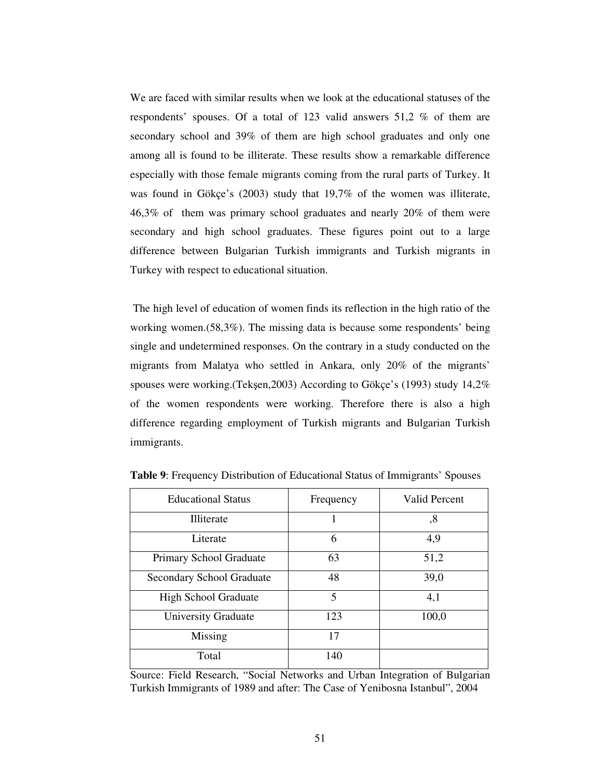We are faced with similar results when we look at the educational statuses of the respondents' spouses. Of a total of 123 valid answers 51,2 % of them are secondary school and 39% of them are high school graduates and only one among all is found to be illiterate. These results show a remarkable difference especially with those female migrants coming from the rural parts of Turkey. It was found in Gökçe's (2003) study that 19,7% of the women was illiterate, 46,3% of them was primary school graduates and nearly 20% of them were secondary and high school graduates. These figures point out to a large difference between Bulgarian Turkish immigrants and Turkish migrants in Turkey with respect to educational situation.

The high level of education of women finds its reflection in the high ratio of the working women.(58,3%). The missing data is because some respondents' being single and undetermined responses. On the contrary in a study conducted on the migrants from Malatya who settled in Ankara, only 20% of the migrants' spouses were working.(Tekşen,2003) According to Gökçe's (1993) study 14,2% of the women respondents were working. Therefore there is also a high difference regarding employment of Turkish migrants and Bulgarian Turkish immigrants.

| <b>Educational Status</b>   | Frequency | <b>Valid Percent</b> |
|-----------------------------|-----------|----------------------|
| Illiterate                  |           | ,8                   |
| Literate                    | 6         | 4,9                  |
| Primary School Graduate     | 63        | 51,2                 |
| Secondary School Graduate   | 48        | 39,0                 |
| <b>High School Graduate</b> | 5         | 4,1                  |
| <b>University Graduate</b>  | 123       | 100,0                |
| Missing                     | 17        |                      |
| Total                       | 140       |                      |

**Table 9**: Frequency Distribution of Educational Status of Immigrants' Spouses

Source: Field Research, "Social Networks and Urban Integration of Bulgarian Turkish Immigrants of 1989 and after: The Case of Yenibosna Istanbul", 2004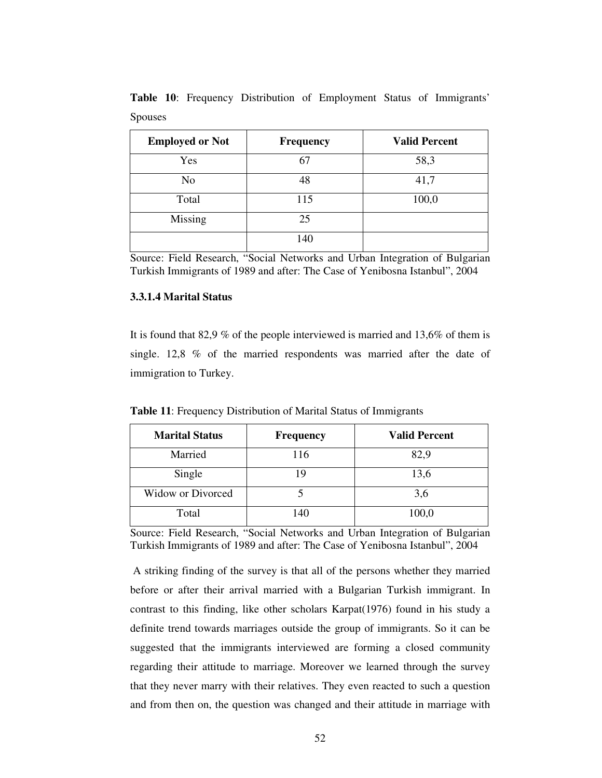| <b>Employed or Not</b> | Frequency | <b>Valid Percent</b> |
|------------------------|-----------|----------------------|
| Yes                    | 67        | 58,3                 |
| N <sub>o</sub>         | 48        | 41,7                 |
| Total                  | 115       | 100,0                |
| <b>Missing</b>         | 25        |                      |
|                        | 140       |                      |

**Table 10**: Frequency Distribution of Employment Status of Immigrants' Spouses

Source: Field Research, "Social Networks and Urban Integration of Bulgarian Turkish Immigrants of 1989 and after: The Case of Yenibosna Istanbul", 2004

# **3.3.1.4 Marital Status**

It is found that 82,9 % of the people interviewed is married and 13,6% of them is single. 12,8 % of the married respondents was married after the date of immigration to Turkey.

| <b>Marital Status</b>    | <b>Frequency</b> | <b>Valid Percent</b> |
|--------------------------|------------------|----------------------|
| Married                  | 116              | 82,9                 |
| Single                   | 19               | 13,6                 |
| <b>Widow or Divorced</b> |                  | 3,6                  |
| Total                    | 140              | 100,0                |

**Table 11**: Frequency Distribution of Marital Status of Immigrants

Source: Field Research, "Social Networks and Urban Integration of Bulgarian Turkish Immigrants of 1989 and after: The Case of Yenibosna Istanbul", 2004

A striking finding of the survey is that all of the persons whether they married before or after their arrival married with a Bulgarian Turkish immigrant. In contrast to this finding, like other scholars Karpat(1976) found in his study a definite trend towards marriages outside the group of immigrants. So it can be suggested that the immigrants interviewed are forming a closed community regarding their attitude to marriage. Moreover we learned through the survey that they never marry with their relatives. They even reacted to such a question and from then on, the question was changed and their attitude in marriage with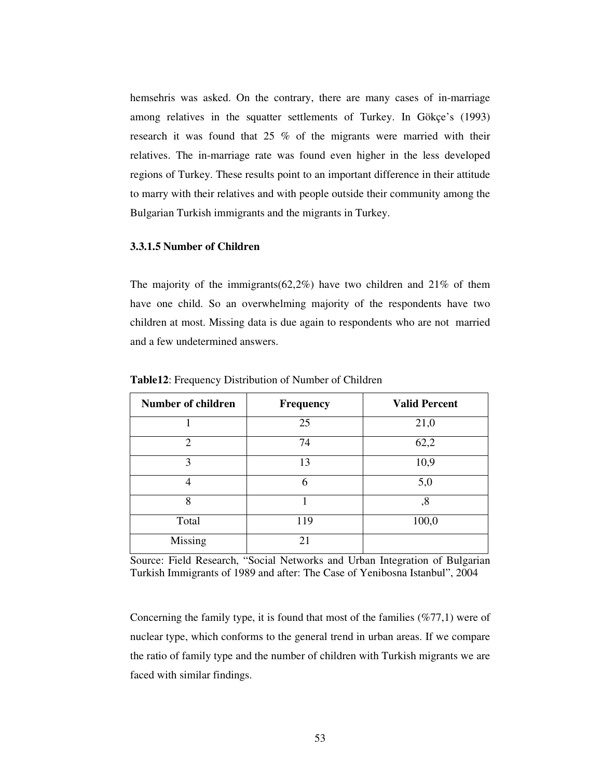hemsehris was asked. On the contrary, there are many cases of in-marriage among relatives in the squatter settlements of Turkey. In Gökçe's (1993) research it was found that 25 % of the migrants were married with their relatives. The in-marriage rate was found even higher in the less developed regions of Turkey. These results point to an important difference in their attitude to marry with their relatives and with people outside their community among the Bulgarian Turkish immigrants and the migrants in Turkey.

#### **3.3.1.5 Number of Children**

The majority of the immigrants( $62,2\%$ ) have two children and  $21\%$  of them have one child. So an overwhelming majority of the respondents have two children at most. Missing data is due again to respondents who are not married and a few undetermined answers.

| <b>Number of children</b> | <b>Frequency</b> | <b>Valid Percent</b> |
|---------------------------|------------------|----------------------|
|                           | 25               | 21,0                 |
| $\overline{2}$            | 74               | 62,2                 |
| 3                         | 13               | 10,9                 |
| 4                         | 6                | 5,0                  |
| 8                         |                  | ,8                   |
| Total                     | 119              | 100,0                |
| Missing                   | 21               |                      |

**Table12**: Frequency Distribution of Number of Children

Source: Field Research, "Social Networks and Urban Integration of Bulgarian Turkish Immigrants of 1989 and after: The Case of Yenibosna Istanbul", 2004

Concerning the family type, it is found that most of the families (%77,1) were of nuclear type, which conforms to the general trend in urban areas. If we compare the ratio of family type and the number of children with Turkish migrants we are faced with similar findings.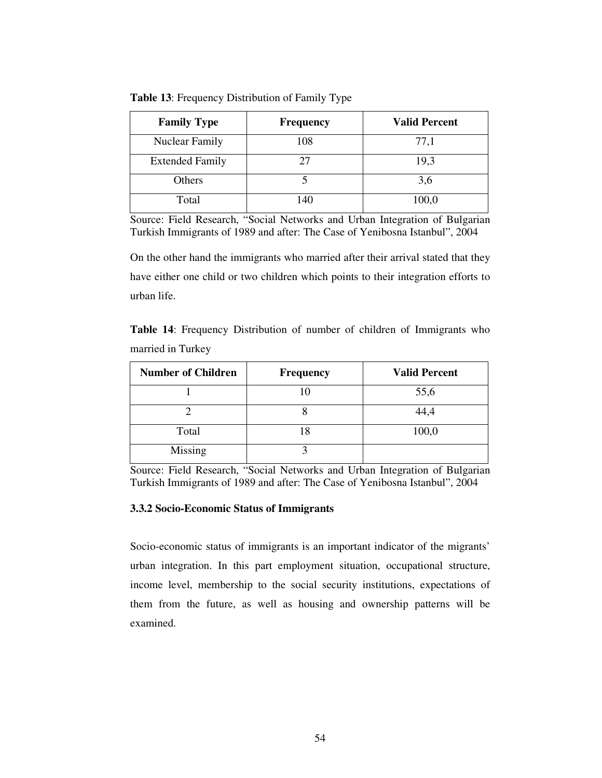| <b>Family Type</b>     | <b>Frequency</b> | <b>Valid Percent</b> |
|------------------------|------------------|----------------------|
| <b>Nuclear Family</b>  | 108              |                      |
| <b>Extended Family</b> |                  | 1 Q 1                |

**Table 13**: Frequency Distribution of Family Type

Source: Field Research, "Social Networks and Urban Integration of Bulgarian Turkish Immigrants of 1989 and after: The Case of Yenibosna Istanbul", 2004

Total 140 100,0

Others  $5$   $3,6$ 

On the other hand the immigrants who married after their arrival stated that they have either one child or two children which points to their integration efforts to urban life.

**Table 14**: Frequency Distribution of number of children of Immigrants who married in Turkey

| <b>Number of Children</b> | <b>Frequency</b> | <b>Valid Percent</b> |
|---------------------------|------------------|----------------------|
|                           | l ( )            | 55,6                 |
|                           |                  | 44.4                 |
| Total                     | 18               | 100,0                |
| Missing                   |                  |                      |

Source: Field Research, "Social Networks and Urban Integration of Bulgarian Turkish Immigrants of 1989 and after: The Case of Yenibosna Istanbul", 2004

# **3.3.2 Socio-Economic Status of Immigrants**

Socio-economic status of immigrants is an important indicator of the migrants' urban integration. In this part employment situation, occupational structure, income level, membership to the social security institutions, expectations of them from the future, as well as housing and ownership patterns will be examined.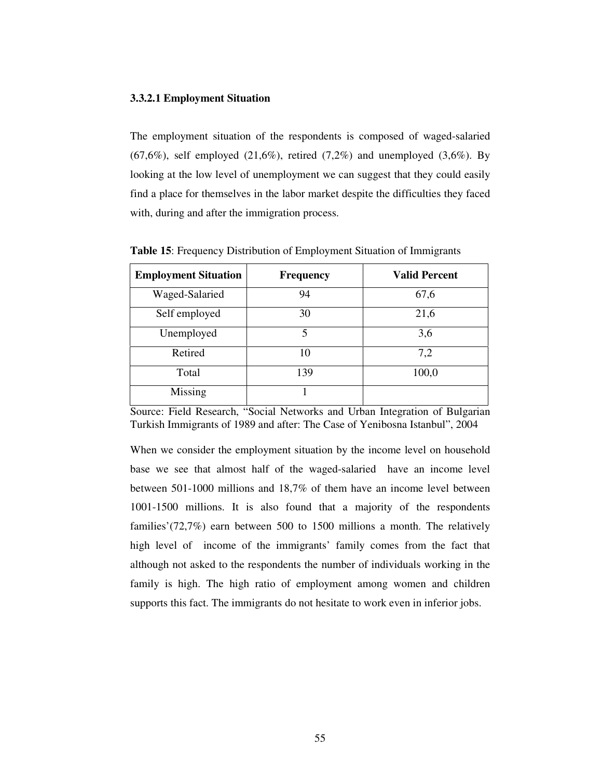#### **3.3.2.1 Employment Situation**

The employment situation of the respondents is composed of waged-salaried  $(67,6\%)$ , self employed  $(21,6\%)$ , retired  $(7,2\%)$  and unemployed  $(3,6\%)$ . By looking at the low level of unemployment we can suggest that they could easily find a place for themselves in the labor market despite the difficulties they faced with, during and after the immigration process.

| <b>Employment Situation</b> | <b>Frequency</b> | <b>Valid Percent</b> |
|-----------------------------|------------------|----------------------|
| Waged-Salaried              | 94               | 67,6                 |
| Self employed               | 30               | 21,6                 |
| Unemployed                  | 5                | 3,6                  |
| Retired                     | 10               | 7,2                  |
| Total                       | 139              | 100,0                |
| Missing                     |                  |                      |

**Table 15**: Frequency Distribution of Employment Situation of Immigrants

Source: Field Research, "Social Networks and Urban Integration of Bulgarian Turkish Immigrants of 1989 and after: The Case of Yenibosna Istanbul", 2004

When we consider the employment situation by the income level on household base we see that almost half of the waged-salaried have an income level between 501-1000 millions and 18,7% of them have an income level between 1001-1500 millions. It is also found that a majority of the respondents families'(72,7%) earn between 500 to 1500 millions a month. The relatively high level of income of the immigrants' family comes from the fact that although not asked to the respondents the number of individuals working in the family is high. The high ratio of employment among women and children supports this fact. The immigrants do not hesitate to work even in inferior jobs.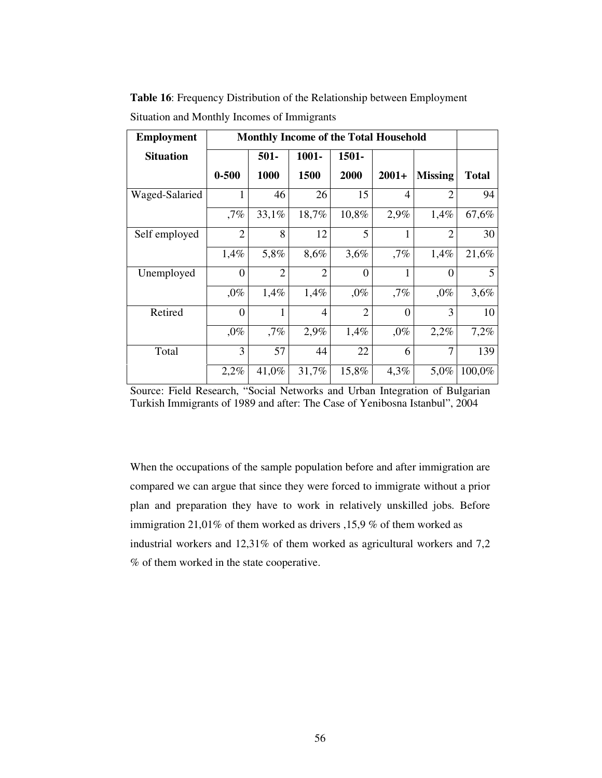**Table 16**: Frequency Distribution of the Relationship between Employment Situation and Monthly Incomes of Immigrants

| <b>Employment</b> | <b>Monthly Income of the Total Household</b> |                |                |                |                |                |              |
|-------------------|----------------------------------------------|----------------|----------------|----------------|----------------|----------------|--------------|
| <b>Situation</b>  |                                              | $501 -$        | $1001 -$       | $1501 -$       |                |                |              |
|                   | $0 - 500$                                    | 1000           | 1500           | 2000           | $2001+$        | <b>Missing</b> | <b>Total</b> |
| Waged-Salaried    |                                              | 46             | 26             | 15             | 4              | $\overline{2}$ | 94           |
|                   | $,7\%$                                       | 33,1%          | 18,7%          | 10,8%          | 2,9%           | 1,4%           | 67,6%        |
| Self employed     | $\overline{2}$                               | 8              | 12             | 5              | 1              | $\overline{2}$ | 30           |
|                   | 1,4%                                         | 5,8%           | 8,6%           | 3,6%           | ,7%            | 1,4%           | 21,6%        |
| Unemployed        | $\theta$                                     | $\overline{2}$ | $\overline{2}$ | $\theta$       |                | $\theta$       | 5            |
|                   | $,0\%$                                       | 1,4%           | 1,4%           | $,0\%$         | ,7%            | $,0\%$         | 3,6%         |
| Retired           | $\theta$                                     | 1              | $\overline{4}$ | $\overline{2}$ | $\overline{0}$ | 3              | 10           |
|                   | $,0\%$                                       | ,7%            | 2,9%           | 1,4%           | $,0\%$         | 2,2%           | 7,2%         |
| Total             | 3                                            | 57             | 44             | 22             | 6              | 7              | 139          |
|                   | 2,2%                                         | 41,0%          | 31,7%          | 15,8%          | 4,3%           | 5,0%           | 100,0%       |

Source: Field Research, "Social Networks and Urban Integration of Bulgarian Turkish Immigrants of 1989 and after: The Case of Yenibosna Istanbul", 2004

When the occupations of the sample population before and after immigration are compared we can argue that since they were forced to immigrate without a prior plan and preparation they have to work in relatively unskilled jobs. Before immigration 21,01% of them worked as drivers ,15,9 % of them worked as industrial workers and 12,31% of them worked as agricultural workers and 7,2 % of them worked in the state cooperative.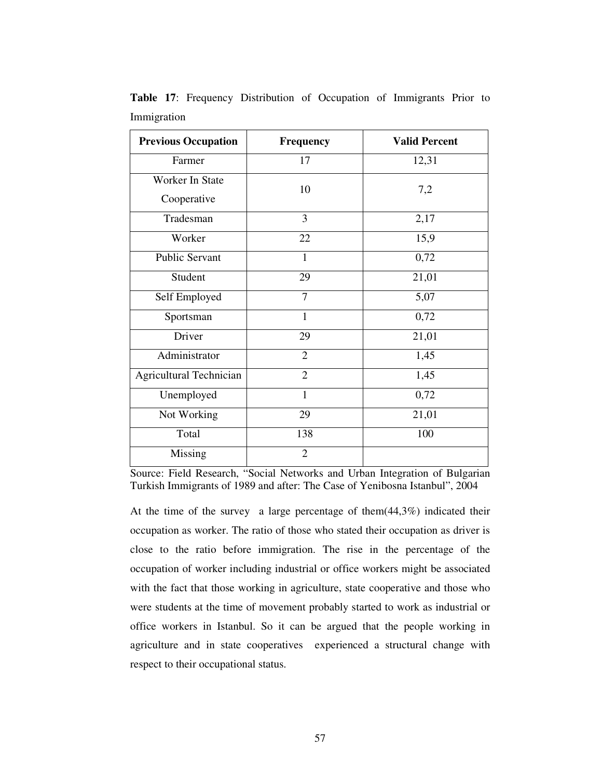| <b>Previous Occupation</b>     | Frequency      | <b>Valid Percent</b> |
|--------------------------------|----------------|----------------------|
| Farmer                         | 17             | 12,31                |
| Worker In State<br>Cooperative | 10             | 7,2                  |
| Tradesman                      | 3              | 2,17                 |
| Worker                         | 22             | 15,9                 |
| <b>Public Servant</b>          | $\mathbf{1}$   | 0,72                 |
| Student                        | 29             | 21,01                |
| Self Employed                  | $\overline{7}$ | 5,07                 |
| Sportsman                      | $\mathbf{1}$   | 0,72                 |
| Driver                         | 29             | 21,01                |
| Administrator                  | $\overline{2}$ | 1,45                 |
| Agricultural Technician        | $\overline{2}$ | 1,45                 |
| Unemployed                     | $\mathbf{1}$   | 0,72                 |
| Not Working                    | 29             | 21,01                |
| Total                          | 138            | 100                  |
| <b>Missing</b>                 | $\overline{2}$ |                      |

**Table 17**: Frequency Distribution of Occupation of Immigrants Prior to Immigration

Source: Field Research, "Social Networks and Urban Integration of Bulgarian Turkish Immigrants of 1989 and after: The Case of Yenibosna Istanbul", 2004

At the time of the survey a large percentage of them(44,3%) indicated their occupation as worker. The ratio of those who stated their occupation as driver is close to the ratio before immigration. The rise in the percentage of the occupation of worker including industrial or office workers might be associated with the fact that those working in agriculture, state cooperative and those who were students at the time of movement probably started to work as industrial or office workers in Istanbul. So it can be argued that the people working in agriculture and in state cooperatives experienced a structural change with respect to their occupational status.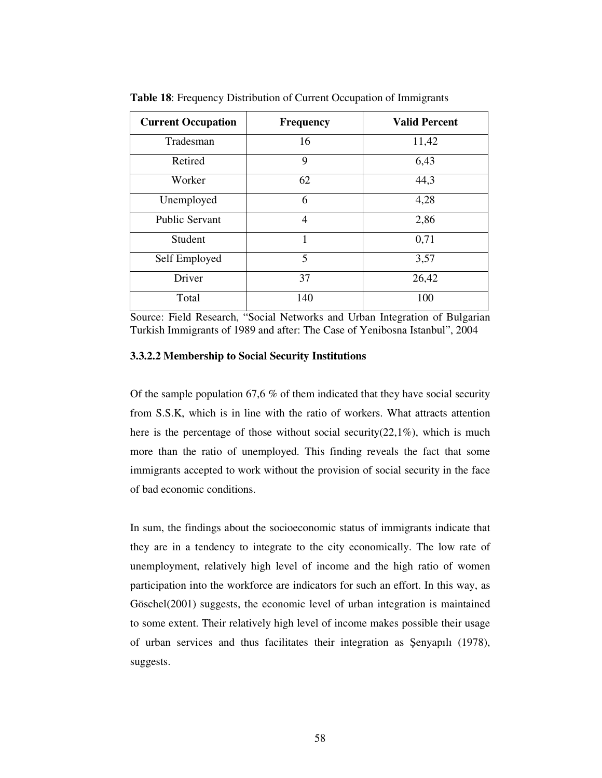| <b>Current Occupation</b> | <b>Frequency</b> | <b>Valid Percent</b> |
|---------------------------|------------------|----------------------|
| Tradesman                 | 16               | 11,42                |
| Retired                   | 9                | 6,43                 |
| Worker                    | 62               | 44,3                 |
| Unemployed                | 6                | 4,28                 |
| <b>Public Servant</b>     | $\overline{4}$   | 2,86                 |
| Student                   | 1                | 0,71                 |
| Self Employed             | 5                | 3,57                 |
| Driver                    | 37               | 26,42                |
| Total                     | 140              | 100                  |

**Table 18**: Frequency Distribution of Current Occupation of Immigrants

Source: Field Research, "Social Networks and Urban Integration of Bulgarian Turkish Immigrants of 1989 and after: The Case of Yenibosna Istanbul", 2004

# **3.3.2.2 Membership to Social Security Institutions**

Of the sample population 67,6 % of them indicated that they have social security from S.S.K, which is in line with the ratio of workers. What attracts attention here is the percentage of those without social security(22,1%), which is much more than the ratio of unemployed. This finding reveals the fact that some immigrants accepted to work without the provision of social security in the face of bad economic conditions.

In sum, the findings about the socioeconomic status of immigrants indicate that they are in a tendency to integrate to the city economically. The low rate of unemployment, relatively high level of income and the high ratio of women participation into the workforce are indicators for such an effort. In this way, as Göschel(2001) suggests, the economic level of urban integration is maintained to some extent. Their relatively high level of income makes possible their usage of urban services and thus facilitates their integration as Şenyapılı (1978), suggests.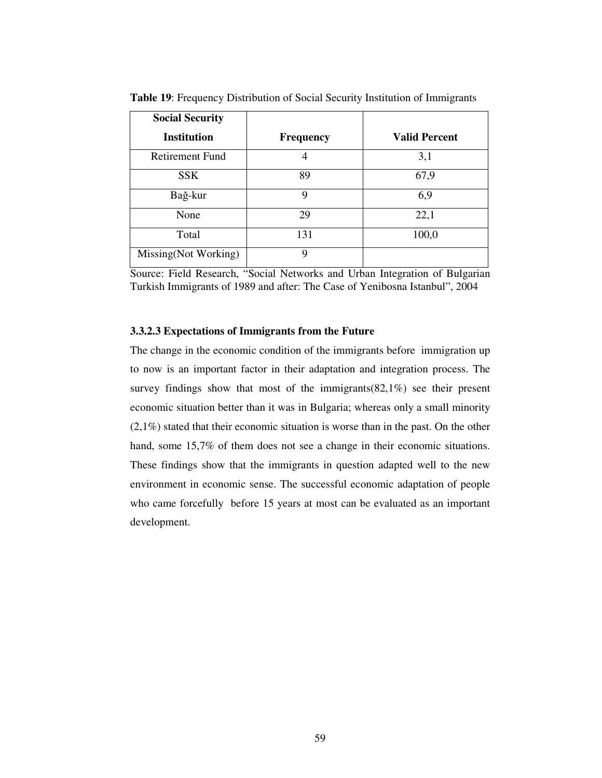| <b>Social Security</b> |                  |                      |
|------------------------|------------------|----------------------|
| <b>Institution</b>     | <b>Frequency</b> | <b>Valid Percent</b> |
| <b>Retirement Fund</b> | 4                | 3,1                  |
| <b>SSK</b>             | 89               | 67,9                 |
| Bağ-kur                | 9                | 6,9                  |
| None                   | 29               | 22,1                 |
| Total                  | 131              | 100,0                |
| Missing(Not Working)   | 9                |                      |

**Table 19**: Frequency Distribution of Social Security Institution of Immigrants

## **3.3.2.3 Expectations of Immigrants from the Future**

The change in the economic condition of the immigrants before immigration up to now is an important factor in their adaptation and integration process. The survey findings show that most of the immigrants(82,1%) see their present economic situation better than it was in Bulgaria; whereas only a small minority (2,1%) stated that their economic situation is worse than in the past. On the other hand, some 15,7% of them does not see a change in their economic situations. These findings show that the immigrants in question adapted well to the new environment in economic sense. The successful economic adaptation of people who came forcefully before 15 years at most can be evaluated as an important development.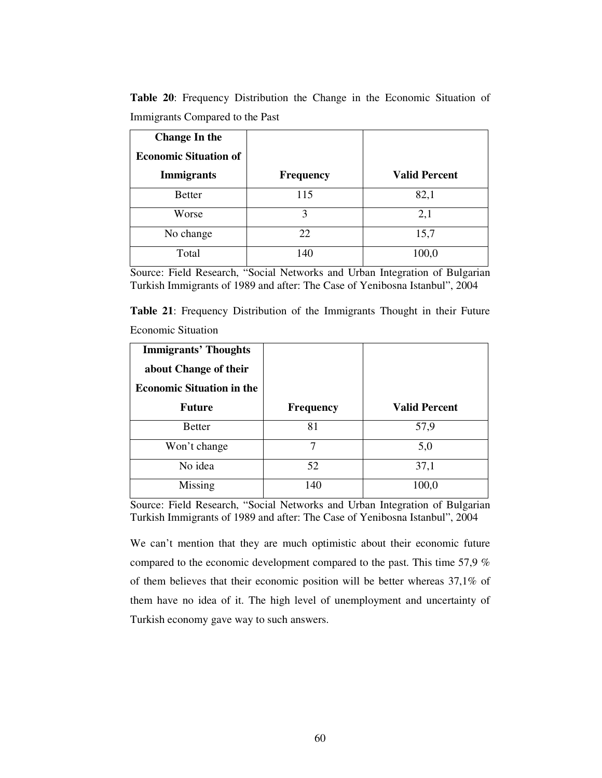| <b>Change In the</b><br><b>Economic Situation of</b><br><b>Immigrants</b> | <b>Frequency</b> | <b>Valid Percent</b> |
|---------------------------------------------------------------------------|------------------|----------------------|
| <b>Better</b>                                                             | 115              | 82,1                 |
| Worse                                                                     | 3                | 2,1                  |
| No change                                                                 | 22               | 15,7                 |
| Total                                                                     | 140              | 100,0                |

**Table 20**: Frequency Distribution the Change in the Economic Situation of Immigrants Compared to the Past

Source: Field Research, "Social Networks and Urban Integration of Bulgarian Turkish Immigrants of 1989 and after: The Case of Yenibosna Istanbul", 2004

**Table 21**: Frequency Distribution of the Immigrants Thought in their Future Economic Situation

| <b>Immigrants' Thoughts</b><br>about Change of their<br><b>Economic Situation in the</b> |                  |                      |
|------------------------------------------------------------------------------------------|------------------|----------------------|
| <b>Future</b>                                                                            | <b>Frequency</b> | <b>Valid Percent</b> |
| <b>Better</b>                                                                            | 81               | 57,9                 |
| Won't change                                                                             | 7                | 5,0                  |
| No idea                                                                                  | 52               | 37,1                 |
| Missing                                                                                  | 140              | 100,0                |

Source: Field Research, "Social Networks and Urban Integration of Bulgarian Turkish Immigrants of 1989 and after: The Case of Yenibosna Istanbul", 2004

We can't mention that they are much optimistic about their economic future compared to the economic development compared to the past. This time 57,9 % of them believes that their economic position will be better whereas 37,1% of them have no idea of it. The high level of unemployment and uncertainty of Turkish economy gave way to such answers.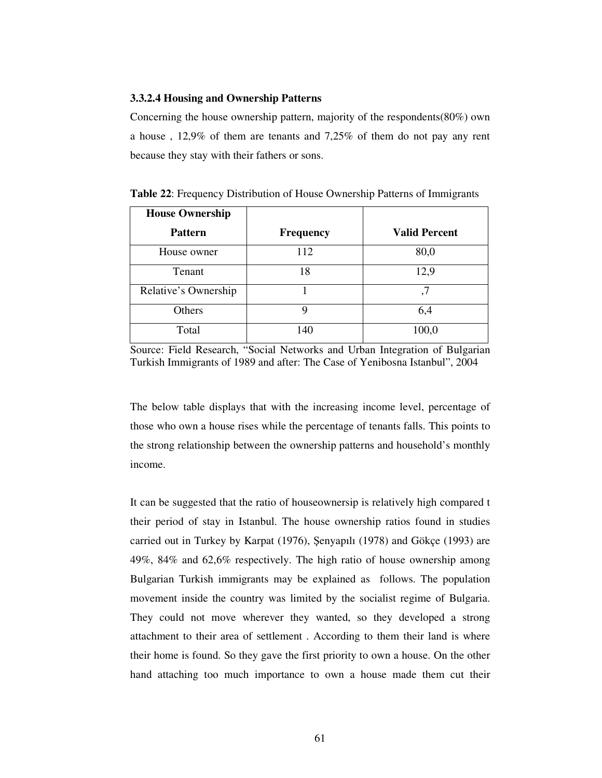#### **3.3.2.4 Housing and Ownership Patterns**

Concerning the house ownership pattern, majority of the respondents(80%) own a house , 12,9% of them are tenants and 7,25% of them do not pay any rent because they stay with their fathers or sons.

| <b>House Ownership</b> |                  |                      |
|------------------------|------------------|----------------------|
| <b>Pattern</b>         | <b>Frequency</b> | <b>Valid Percent</b> |
| House owner            | 112              | 80,0                 |
| Tenant                 | 18               | 12,9                 |
| Relative's Ownership   |                  | ,7                   |
| Others                 | q                | 6,4                  |
| Total                  | 140              | 100,0                |

**Table 22**: Frequency Distribution of House Ownership Patterns of Immigrants

Source: Field Research, "Social Networks and Urban Integration of Bulgarian Turkish Immigrants of 1989 and after: The Case of Yenibosna Istanbul", 2004

The below table displays that with the increasing income level, percentage of those who own a house rises while the percentage of tenants falls. This points to the strong relationship between the ownership patterns and household's monthly income.

It can be suggested that the ratio of houseownersip is relatively high compared t their period of stay in Istanbul. The house ownership ratios found in studies carried out in Turkey by Karpat (1976), enyapılı (1978) and Gökçe (1993) are 49%, 84% and 62,6% respectively. The high ratio of house ownership among Bulgarian Turkish immigrants may be explained as follows. The population movement inside the country was limited by the socialist regime of Bulgaria. They could not move wherever they wanted, so they developed a strong attachment to their area of settlement . According to them their land is where their home is found. So they gave the first priority to own a house. On the other hand attaching too much importance to own a house made them cut their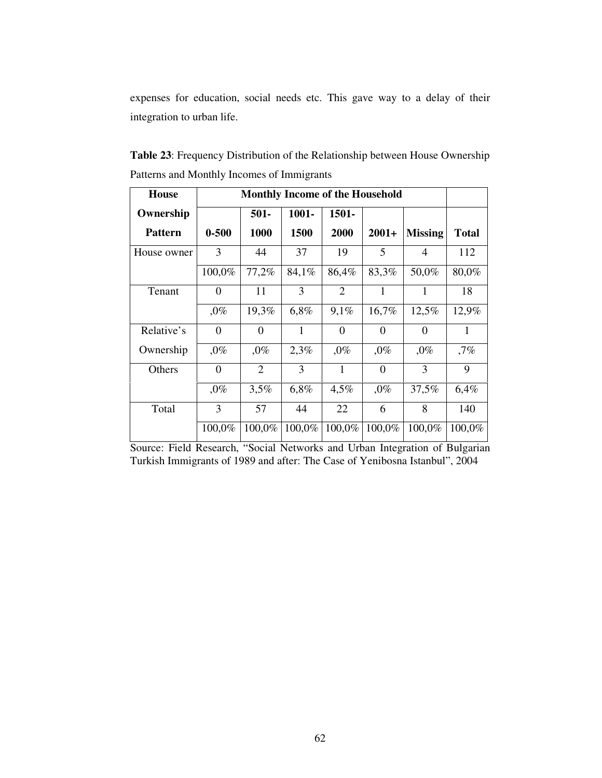expenses for education, social needs etc. This gave way to a delay of their integration to urban life.

| Patterns and Monthly Incomes of Immigrants |                                        |                           |       |             |         |                |              |
|--------------------------------------------|----------------------------------------|---------------------------|-------|-------------|---------|----------------|--------------|
| <b>House</b>                               | <b>Monthly Income of the Household</b> |                           |       |             |         |                |              |
| Ownership                                  |                                        | $1001 -$<br>1501-<br>501- |       |             |         |                |              |
| <b>Pattern</b>                             | $0 - 500$                              | <b>1000</b>               | 1500  | <b>2000</b> | $2001+$ | <b>Missing</b> | <b>Total</b> |
| House owner                                | 3                                      | 44                        | 37    | 19          |         |                | 112          |
|                                            | 100,0%                                 | 77,2%                     | 84,1% | 86,4%       | 83,3%   | 50,0%          | 80,0%        |

Tenant | 0 | 11 | 3 | 2 | 1 | 1 | 18

Relative's  $\begin{array}{|c|c|c|c|c|c|c|c|c|} \hline 0 & 0 & 1 & 0 & 0 & 0 & 1 \ \hline \end{array}$ 

Ownership , 0% , 0% 2,3% , 0% , 0% , 0% 7%

Others | 0 | 2 | 3 | 1 | 0 | 3 | 9

 $,0\%$  19,3% 6,8% 9,1% 16,7% 12,5% 12,9%

 $,0\%$  3,5% 6,8% 4,5% ,0% 37,5% 6,4%

100,0% 100,0% 100,0% 100,0% 100,0% 100,0% 100,0%

**Table 23**: Frequency Distribution of the Relationship between House Ownership Patterns and Monthly Incomes of Immigrants

Source: Field Research, "Social Networks and Urban Integration of Bulgarian Turkish Immigrants of 1989 and after: The Case of Yenibosna Istanbul", 2004

Total | 3 | 57 | 44 | 22 | 6 | 8 | 140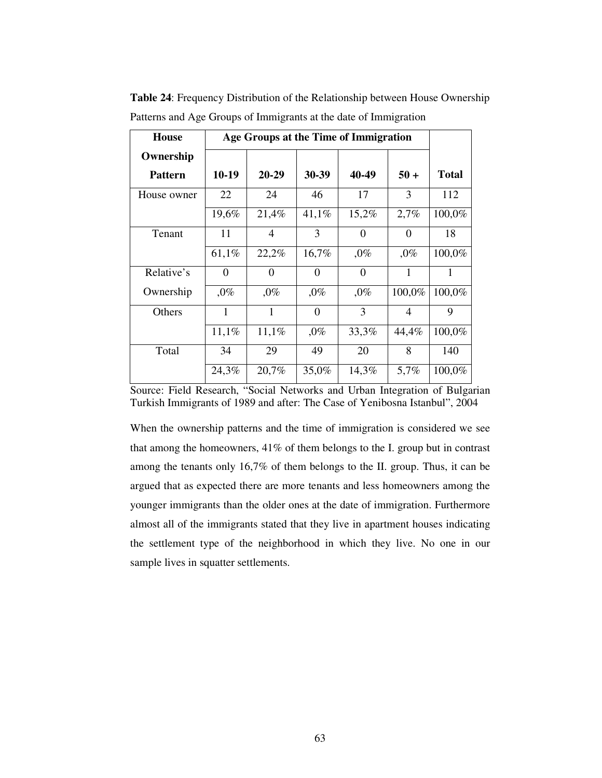| House          |          | Age Groups at the Time of Immigration |          |          |                |              |
|----------------|----------|---------------------------------------|----------|----------|----------------|--------------|
| Ownership      |          |                                       |          |          |                |              |
| <b>Pattern</b> | $10-19$  | 20-29                                 | 30-39    | 40-49    | $50 +$         | <b>Total</b> |
| House owner    | 22       | 24                                    | 46       | 17       | 3              | 112          |
|                | 19,6%    | 21,4%                                 | 41,1%    | 15,2%    | 2,7%           | 100,0%       |
| Tenant         | 11       | $\overline{4}$                        | 3        | $\Omega$ | $\Omega$       | 18           |
|                | 61,1%    | 22,2%                                 | 16,7%    | $,0\%$   | $,0\%$         | 100,0%       |
| Relative's     | $\theta$ | $\theta$                              | $\Omega$ | $\Omega$ | 1              | 1            |
| Ownership      | $,0\%$   | $,0\%$                                | $,0\%$   | $,0\%$   | 100,0%         | 100,0%       |
| Others         | 1        | 1                                     | $\Omega$ | 3        | $\overline{A}$ | 9            |
|                | 11,1%    | 11,1%                                 | $,0\%$   | 33,3%    | 44,4%          | 100,0%       |
| Total          | 34       | 29                                    | 49       | 20       | 8              | 140          |
|                | 24,3%    | 20,7%                                 | 35,0%    | 14,3%    | 5,7%           | 100,0%       |

**Table 24**: Frequency Distribution of the Relationship between House Ownership Patterns and Age Groups of Immigrants at the date of Immigration

When the ownership patterns and the time of immigration is considered we see that among the homeowners, 41% of them belongs to the I. group but in contrast among the tenants only 16,7% of them belongs to the II. group. Thus, it can be argued that as expected there are more tenants and less homeowners among the younger immigrants than the older ones at the date of immigration. Furthermore almost all of the immigrants stated that they live in apartment houses indicating the settlement type of the neighborhood in which they live. No one in our sample lives in squatter settlements.

Source: Field Research, "Social Networks and Urban Integration of Bulgarian Turkish Immigrants of 1989 and after: The Case of Yenibosna Istanbul", 2004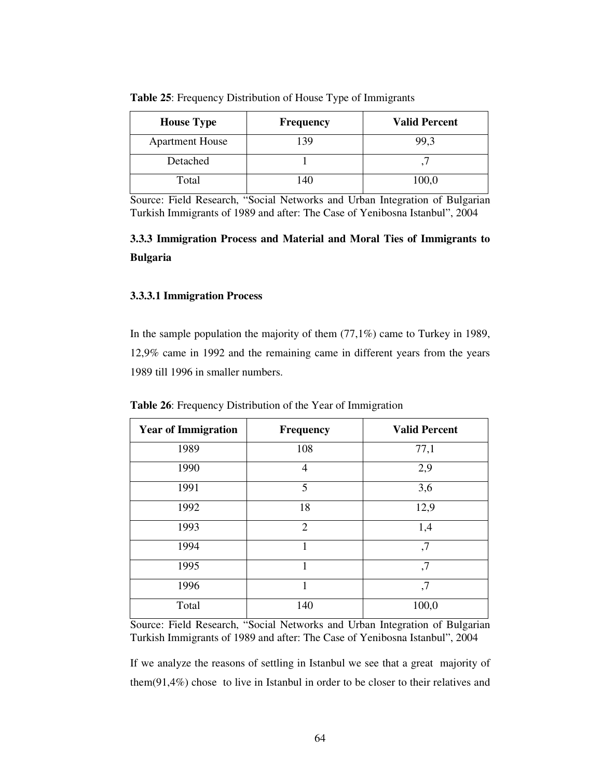| <b>House Type</b>      | <b>Frequency</b> | <b>Valid Percent</b> |
|------------------------|------------------|----------------------|
| <b>Apartment House</b> | 139              | 99,3                 |
| Detached               |                  |                      |
| Total                  | 140              | 100,0                |

**Table 25**: Frequency Distribution of House Type of Immigrants

# **3.3.3 Immigration Process and Material and Moral Ties of Immigrants to Bulgaria**

## **3.3.3.1 Immigration Process**

In the sample population the majority of them  $(77,1\%)$  came to Turkey in 1989, 12,9% came in 1992 and the remaining came in different years from the years 1989 till 1996 in smaller numbers.

| <b>Year of Immigration</b> | <b>Frequency</b> | <b>Valid Percent</b> |
|----------------------------|------------------|----------------------|
| 1989                       | 108              | 77,1                 |
| 1990                       | $\overline{4}$   | 2,9                  |
| 1991                       | 5                | 3,6                  |
| 1992                       | 18               | 12,9                 |
| 1993                       | $\overline{2}$   | 1,4                  |
| 1994                       | 1                | ,7                   |
| 1995                       | 1                | ,7                   |
| 1996                       | 1                | ,7                   |
| Total                      | 140              | 100,0                |

**Table 26**: Frequency Distribution of the Year of Immigration

Source: Field Research, "Social Networks and Urban Integration of Bulgarian Turkish Immigrants of 1989 and after: The Case of Yenibosna Istanbul", 2004

If we analyze the reasons of settling in Istanbul we see that a great majority of them(91,4%) chose to live in Istanbul in order to be closer to their relatives and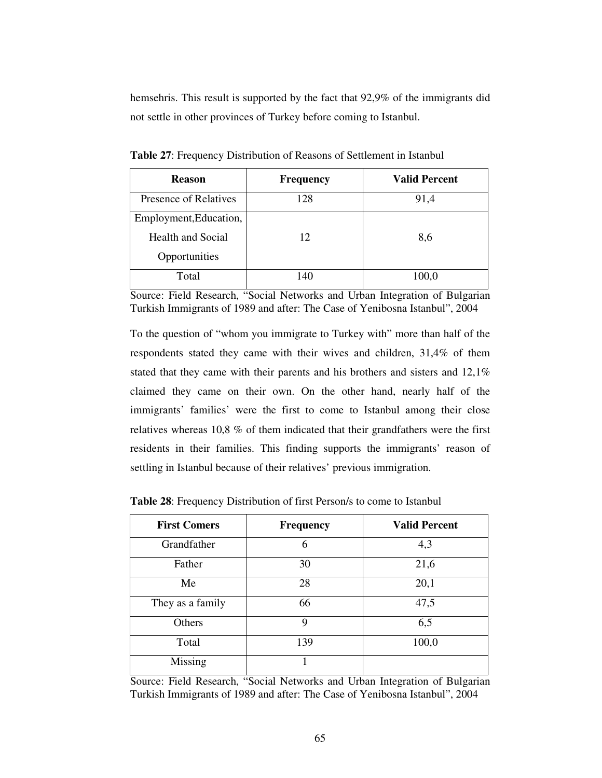hemsehris. This result is supported by the fact that 92,9% of the immigrants did not settle in other provinces of Turkey before coming to Istanbul.

| <b>Reason</b>            | <b>Frequency</b> | <b>Valid Percent</b> |
|--------------------------|------------------|----------------------|
| Presence of Relatives    | 128              | 91,4                 |
| Employment, Education,   |                  |                      |
| <b>Health and Social</b> | 12               | 8,6                  |
| Opportunities            |                  |                      |
| Total                    | 140              | 100,0                |

**Table 27**: Frequency Distribution of Reasons of Settlement in Istanbul

Source: Field Research, "Social Networks and Urban Integration of Bulgarian Turkish Immigrants of 1989 and after: The Case of Yenibosna Istanbul", 2004

To the question of "whom you immigrate to Turkey with" more than half of the respondents stated they came with their wives and children, 31,4% of them stated that they came with their parents and his brothers and sisters and 12,1% claimed they came on their own. On the other hand, nearly half of the immigrants' families' were the first to come to Istanbul among their close relatives whereas 10,8 % of them indicated that their grandfathers were the first residents in their families. This finding supports the immigrants' reason of settling in Istanbul because of their relatives' previous immigration.

**Table 28**: Frequency Distribution of first Person/s to come to Istanbul

| <b>First Comers</b> | <b>Frequency</b> | <b>Valid Percent</b> |
|---------------------|------------------|----------------------|
| Grandfather         | 6                | 4,3                  |
| Father              | 30               | 21,6                 |
| Me                  | 28               | 20,1                 |
| They as a family    | 66               | 47,5                 |
| Others              | 9                | 6,5                  |
| Total               | 139              | 100,0                |
| Missing             |                  |                      |

Source: Field Research, "Social Networks and Urban Integration of Bulgarian Turkish Immigrants of 1989 and after: The Case of Yenibosna Istanbul", 2004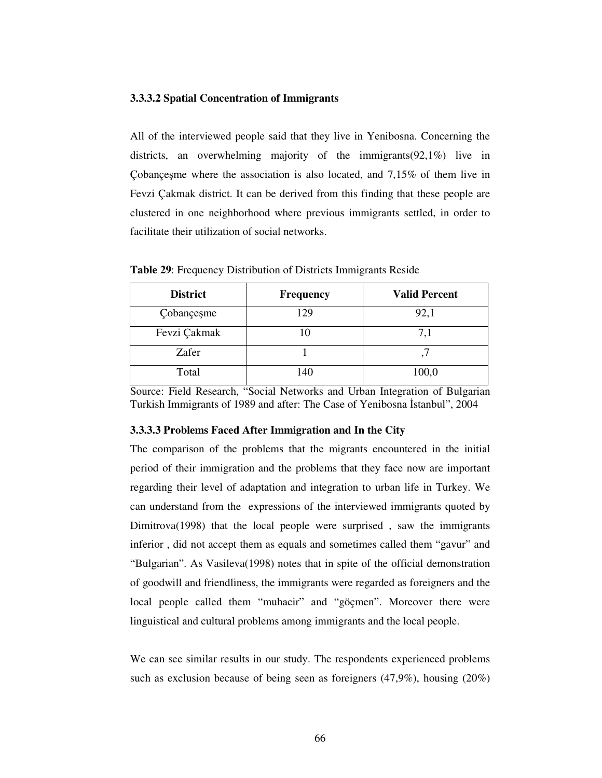## **3.3.3.2 Spatial Concentration of Immigrants**

All of the interviewed people said that they live in Yenibosna. Concerning the districts, an overwhelming majority of the immigrants(92,1%) live in Çobançeşme where the association is also located, and 7,15% of them live in Fevzi Çakmak district. It can be derived from this finding that these people are clustered in one neighborhood where previous immigrants settled, in order to facilitate their utilization of social networks.

| <b>District</b> | <b>Frequency</b> | <b>Valid Percent</b> |
|-----------------|------------------|----------------------|
| Cobançeşme      | 129              | 92,1                 |
| Fevzi Çakmak    | 10               | 7,1                  |
| Zafer           |                  |                      |
| Total           | 140              | 100,0                |

**Table 29**: Frequency Distribution of Districts Immigrants Reside

Source: Field Research, "Social Networks and Urban Integration of Bulgarian Turkish Immigrants of 1989 and after: The Case of Yenibosna İstanbul", 2004

## **3.3.3.3 Problems Faced After Immigration and In the City**

The comparison of the problems that the migrants encountered in the initial period of their immigration and the problems that they face now are important regarding their level of adaptation and integration to urban life in Turkey. We can understand from the expressions of the interviewed immigrants quoted by Dimitrova(1998) that the local people were surprised , saw the immigrants inferior , did not accept them as equals and sometimes called them "gavur" and "Bulgarian". As Vasileva(1998) notes that in spite of the official demonstration of goodwill and friendliness, the immigrants were regarded as foreigners and the local people called them "muhacir" and "göçmen". Moreover there were linguistical and cultural problems among immigrants and the local people.

We can see similar results in our study. The respondents experienced problems such as exclusion because of being seen as foreigners (47,9%), housing (20%)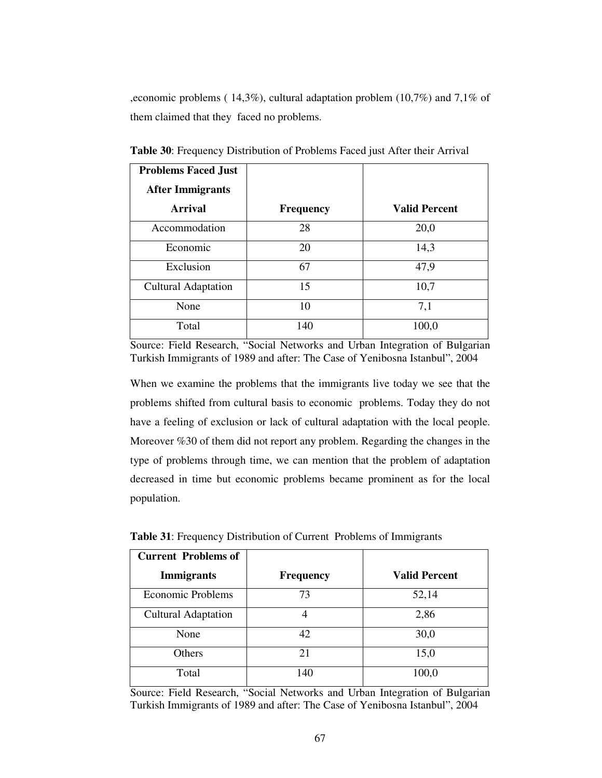,economic problems ( 14,3%), cultural adaptation problem (10,7%) and 7,1% of them claimed that they faced no problems.

| <b>Problems Faced Just</b> |                  |                      |
|----------------------------|------------------|----------------------|
| <b>After Immigrants</b>    |                  |                      |
| <b>Arrival</b>             | <b>Frequency</b> | <b>Valid Percent</b> |
| Accommodation              | 28               | 20,0                 |
| Economic                   | 20               | 14,3                 |
| Exclusion                  | 67               | 47,9                 |
| <b>Cultural Adaptation</b> | 15               | 10,7                 |
| None                       | 10               | 7,1                  |
| Total                      | 140              | 100,0                |

**Table 30**: Frequency Distribution of Problems Faced just After their Arrival

Source: Field Research, "Social Networks and Urban Integration of Bulgarian Turkish Immigrants of 1989 and after: The Case of Yenibosna Istanbul", 2004

When we examine the problems that the immigrants live today we see that the problems shifted from cultural basis to economic problems. Today they do not have a feeling of exclusion or lack of cultural adaptation with the local people. Moreover %30 of them did not report any problem. Regarding the changes in the type of problems through time, we can mention that the problem of adaptation decreased in time but economic problems became prominent as for the local population.

| <b>Current Problems of</b> |                  |                      |
|----------------------------|------------------|----------------------|
| <b>Immigrants</b>          | <b>Frequency</b> | <b>Valid Percent</b> |
| <b>Economic Problems</b>   | 73               | 52,14                |
| <b>Cultural Adaptation</b> |                  | 2,86                 |
| None                       | 42               | 30,0                 |
| Others                     | 21               | 15,0                 |
| Total                      | 140              | 100,0                |

**Table 31**: Frequency Distribution of Current Problems of Immigrants

Source: Field Research, "Social Networks and Urban Integration of Bulgarian Turkish Immigrants of 1989 and after: The Case of Yenibosna Istanbul", 2004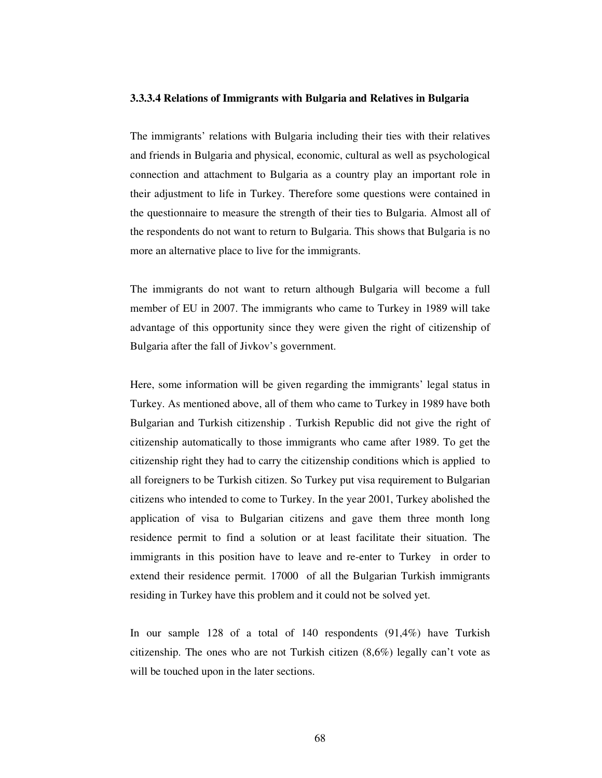#### **3.3.3.4 Relations of Immigrants with Bulgaria and Relatives in Bulgaria**

The immigrants' relations with Bulgaria including their ties with their relatives and friends in Bulgaria and physical, economic, cultural as well as psychological connection and attachment to Bulgaria as a country play an important role in their adjustment to life in Turkey. Therefore some questions were contained in the questionnaire to measure the strength of their ties to Bulgaria. Almost all of the respondents do not want to return to Bulgaria. This shows that Bulgaria is no more an alternative place to live for the immigrants.

The immigrants do not want to return although Bulgaria will become a full member of EU in 2007. The immigrants who came to Turkey in 1989 will take advantage of this opportunity since they were given the right of citizenship of Bulgaria after the fall of Jivkov's government.

Here, some information will be given regarding the immigrants' legal status in Turkey. As mentioned above, all of them who came to Turkey in 1989 have both Bulgarian and Turkish citizenship . Turkish Republic did not give the right of citizenship automatically to those immigrants who came after 1989. To get the citizenship right they had to carry the citizenship conditions which is applied to all foreigners to be Turkish citizen. So Turkey put visa requirement to Bulgarian citizens who intended to come to Turkey. In the year 2001, Turkey abolished the application of visa to Bulgarian citizens and gave them three month long residence permit to find a solution or at least facilitate their situation. The immigrants in this position have to leave and re-enter to Turkey in order to extend their residence permit. 17000 of all the Bulgarian Turkish immigrants residing in Turkey have this problem and it could not be solved yet.

In our sample 128 of a total of 140 respondents (91,4%) have Turkish citizenship. The ones who are not Turkish citizen (8,6%) legally can't vote as will be touched upon in the later sections.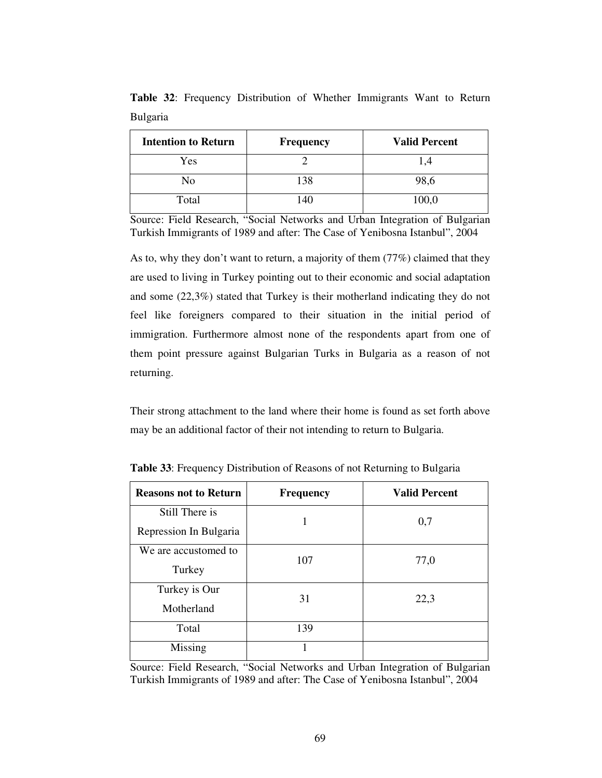| <b>Intention to Return</b> | <b>Frequency</b> | <b>Valid Percent</b> |
|----------------------------|------------------|----------------------|
| Yes                        |                  |                      |
| N <sub>0</sub>             | 138              | 98,6                 |
| Total                      | 140              | 100,0                |

**Table 32**: Frequency Distribution of Whether Immigrants Want to Return Bulgaria

As to, why they don't want to return, a majority of them (77%) claimed that they are used to living in Turkey pointing out to their economic and social adaptation and some (22,3%) stated that Turkey is their motherland indicating they do not feel like foreigners compared to their situation in the initial period of immigration. Furthermore almost none of the respondents apart from one of them point pressure against Bulgarian Turks in Bulgaria as a reason of not returning.

Their strong attachment to the land where their home is found as set forth above may be an additional factor of their not intending to return to Bulgaria.

| <b>Reasons not to Return</b>             | <b>Frequency</b> | <b>Valid Percent</b> |
|------------------------------------------|------------------|----------------------|
| Still There is<br>Repression In Bulgaria |                  | 0,7                  |
| We are accustomed to<br>Turkey           | 107              | 77,0                 |
| Turkey is Our<br>Motherland              | 31               | 22,3                 |
| Total                                    | 139              |                      |
| Missing                                  |                  |                      |

**Table 33**: Frequency Distribution of Reasons of not Returning to Bulgaria

Source: Field Research, "Social Networks and Urban Integration of Bulgarian Turkish Immigrants of 1989 and after: The Case of Yenibosna Istanbul", 2004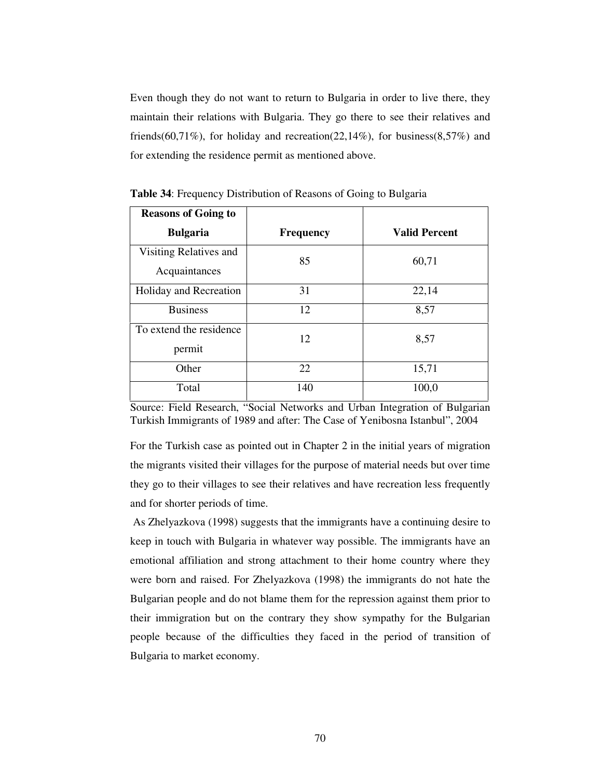Even though they do not want to return to Bulgaria in order to live there, they maintain their relations with Bulgaria. They go there to see their relatives and friends(60,71%), for holiday and recreation(22,14%), for business(8,57%) and for extending the residence permit as mentioned above.

| <b>Reasons of Going to</b> |                  |                      |
|----------------------------|------------------|----------------------|
| <b>Bulgaria</b>            | <b>Frequency</b> | <b>Valid Percent</b> |
| Visiting Relatives and     | 85               | 60,71                |
| Acquaintances              |                  |                      |
| Holiday and Recreation     | 31               | 22,14                |
| <b>Business</b>            | 12               | 8,57                 |
| To extend the residence    | 12               | 8,57                 |
| permit                     |                  |                      |
| Other                      | 22               | 15,71                |
| Total                      | 140              | 100,0                |

**Table 34**: Frequency Distribution of Reasons of Going to Bulgaria

Source: Field Research, "Social Networks and Urban Integration of Bulgarian Turkish Immigrants of 1989 and after: The Case of Yenibosna Istanbul", 2004

For the Turkish case as pointed out in Chapter 2 in the initial years of migration the migrants visited their villages for the purpose of material needs but over time they go to their villages to see their relatives and have recreation less frequently and for shorter periods of time.

As Zhelyazkova (1998) suggests that the immigrants have a continuing desire to keep in touch with Bulgaria in whatever way possible. The immigrants have an emotional affiliation and strong attachment to their home country where they were born and raised. For Zhelyazkova (1998) the immigrants do not hate the Bulgarian people and do not blame them for the repression against them prior to their immigration but on the contrary they show sympathy for the Bulgarian people because of the difficulties they faced in the period of transition of Bulgaria to market economy.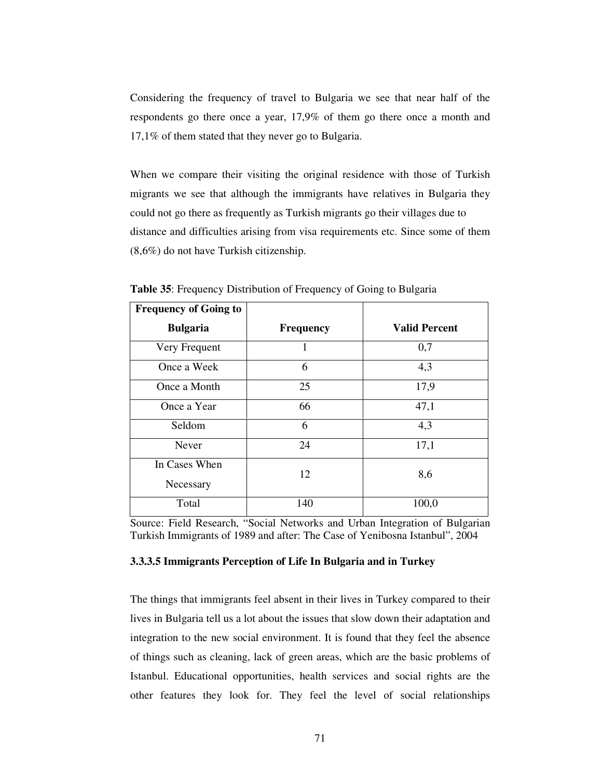Considering the frequency of travel to Bulgaria we see that near half of the respondents go there once a year, 17,9% of them go there once a month and 17,1% of them stated that they never go to Bulgaria.

When we compare their visiting the original residence with those of Turkish migrants we see that although the immigrants have relatives in Bulgaria they could not go there as frequently as Turkish migrants go their villages due to distance and difficulties arising from visa requirements etc. Since some of them (8,6%) do not have Turkish citizenship.

| <b>Frequency of Going to</b> |                  |                      |
|------------------------------|------------------|----------------------|
| <b>Bulgaria</b>              | <b>Frequency</b> | <b>Valid Percent</b> |
| Very Frequent                | 1                | 0,7                  |
| Once a Week                  | 6                | 4,3                  |
| Once a Month                 | 25               | 17,9                 |
| Once a Year                  | 66               | 47,1                 |
| Seldom                       | 6                | 4,3                  |
| Never                        | 24               | 17,1                 |
| In Cases When<br>Necessary   | 12               | 8,6                  |
| Total                        | 140              | 100,0                |

**Table 35**: Frequency Distribution of Frequency of Going to Bulgaria

Source: Field Research, "Social Networks and Urban Integration of Bulgarian Turkish Immigrants of 1989 and after: The Case of Yenibosna Istanbul", 2004

# **3.3.3.5 Immigrants Perception of Life In Bulgaria and in Turkey**

The things that immigrants feel absent in their lives in Turkey compared to their lives in Bulgaria tell us a lot about the issues that slow down their adaptation and integration to the new social environment. It is found that they feel the absence of things such as cleaning, lack of green areas, which are the basic problems of Istanbul. Educational opportunities, health services and social rights are the other features they look for. They feel the level of social relationships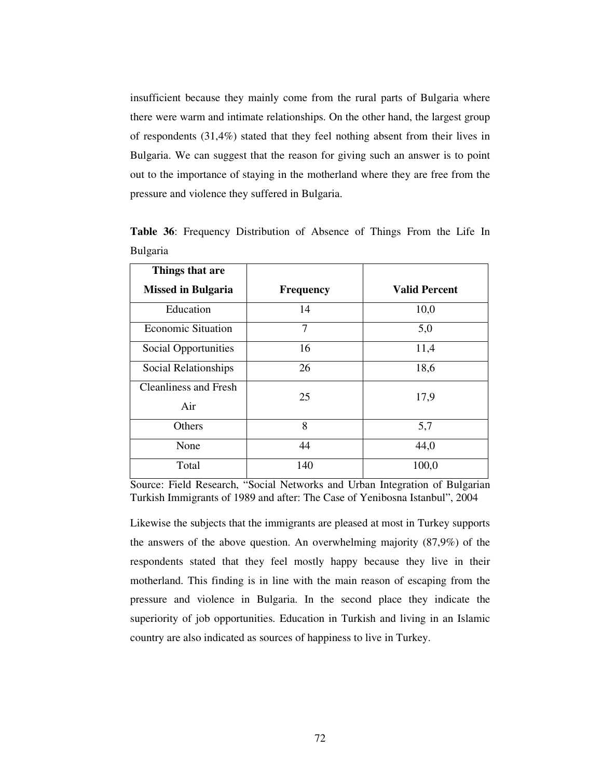insufficient because they mainly come from the rural parts of Bulgaria where there were warm and intimate relationships. On the other hand, the largest group of respondents (31,4%) stated that they feel nothing absent from their lives in Bulgaria. We can suggest that the reason for giving such an answer is to point out to the importance of staying in the motherland where they are free from the pressure and violence they suffered in Bulgaria.

| Things that are              |                  |                      |
|------------------------------|------------------|----------------------|
| <b>Missed in Bulgaria</b>    | <b>Frequency</b> | <b>Valid Percent</b> |
| Education                    | 14               | 10,0                 |
| <b>Economic Situation</b>    | 7                | 5,0                  |
| <b>Social Opportunities</b>  | 16               | 11,4                 |
| Social Relationships         | 26               | 18,6                 |
| <b>Cleanliness and Fresh</b> | 25               | 17,9                 |
| Air                          |                  |                      |
| Others                       | 8                | 5,7                  |
| None                         | 44               | 44,0                 |
| Total                        | 140              | 100,0                |

**Table 36**: Frequency Distribution of Absence of Things From the Life In Bulgaria

Source: Field Research, "Social Networks and Urban Integration of Bulgarian Turkish Immigrants of 1989 and after: The Case of Yenibosna Istanbul", 2004

Likewise the subjects that the immigrants are pleased at most in Turkey supports the answers of the above question. An overwhelming majority (87,9%) of the respondents stated that they feel mostly happy because they live in their motherland. This finding is in line with the main reason of escaping from the pressure and violence in Bulgaria. In the second place they indicate the superiority of job opportunities. Education in Turkish and living in an Islamic country are also indicated as sources of happiness to live in Turkey.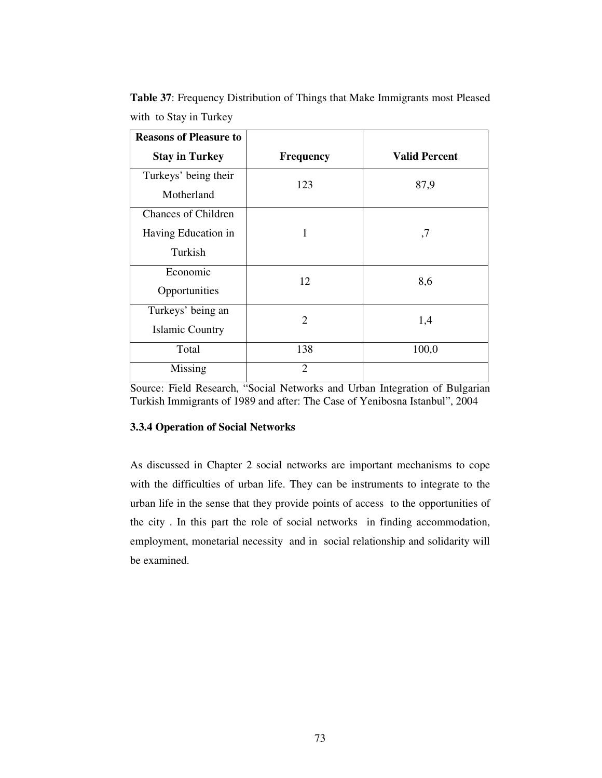| <b>Reasons of Pleasure to</b> |                  |                      |
|-------------------------------|------------------|----------------------|
| <b>Stay in Turkey</b>         | <b>Frequency</b> | <b>Valid Percent</b> |
| Turkeys' being their          | 123              | 87,9                 |
| Motherland                    |                  |                      |
| <b>Chances of Children</b>    |                  |                      |
| Having Education in           |                  | ,7                   |
| Turkish                       |                  |                      |
| Economic                      | 12               | 8,6                  |
| Opportunities                 |                  |                      |
| Turkeys' being an             | $\overline{2}$   | 1,4                  |
| <b>Islamic Country</b>        |                  |                      |
| Total                         | 138              | 100,0                |
| Missing                       | $\overline{2}$   |                      |

**Table 37**: Frequency Distribution of Things that Make Immigrants most Pleased with to Stay in Turkey

# **3.3.4 Operation of Social Networks**

As discussed in Chapter 2 social networks are important mechanisms to cope with the difficulties of urban life. They can be instruments to integrate to the urban life in the sense that they provide points of access to the opportunities of the city . In this part the role of social networks in finding accommodation, employment, monetarial necessity and in social relationship and solidarity will be examined.

Source: Field Research, "Social Networks and Urban Integration of Bulgarian Turkish Immigrants of 1989 and after: The Case of Yenibosna Istanbul", 2004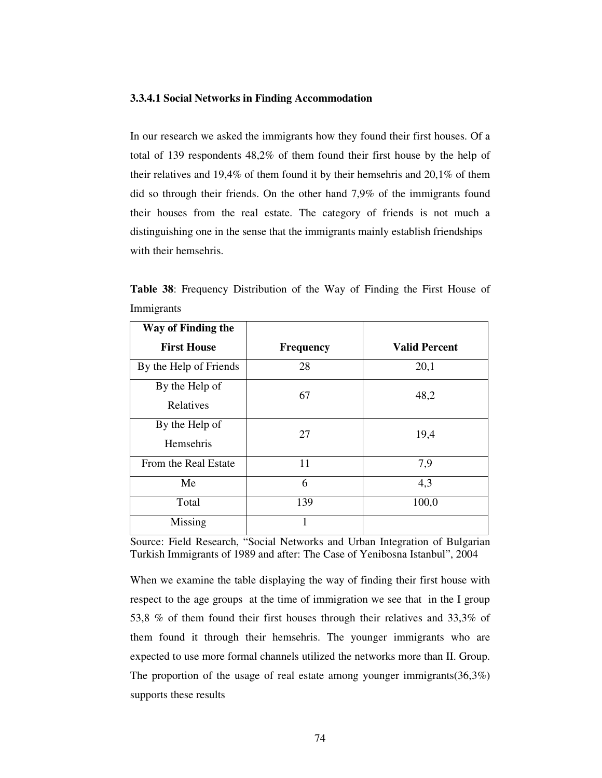#### **3.3.4.1 Social Networks in Finding Accommodation**

In our research we asked the immigrants how they found their first houses. Of a total of 139 respondents 48,2% of them found their first house by the help of their relatives and 19,4% of them found it by their hemsehris and 20,1% of them did so through their friends. On the other hand 7,9% of the immigrants found their houses from the real estate. The category of friends is not much a distinguishing one in the sense that the immigrants mainly establish friendships with their hemsehris.

**Table 38**: Frequency Distribution of the Way of Finding the First House of Immigrants

| Way of Finding the          |                  |                      |
|-----------------------------|------------------|----------------------|
| <b>First House</b>          | <b>Frequency</b> | <b>Valid Percent</b> |
| By the Help of Friends      | 28               | 20,1                 |
| By the Help of<br>Relatives | 67               | 48,2                 |
| By the Help of<br>Hemsehris | 27               | 19,4                 |
| From the Real Estate        | 11               | 7,9                  |
| Me                          | 6                | 4,3                  |
| Total                       | 139              | 100,0                |
| Missing                     | 1                |                      |

Source: Field Research, "Social Networks and Urban Integration of Bulgarian Turkish Immigrants of 1989 and after: The Case of Yenibosna Istanbul", 2004

When we examine the table displaying the way of finding their first house with respect to the age groups at the time of immigration we see that in the I group 53,8 % of them found their first houses through their relatives and 33,3% of them found it through their hemsehris. The younger immigrants who are expected to use more formal channels utilized the networks more than II. Group. The proportion of the usage of real estate among younger immigrants(36,3%) supports these results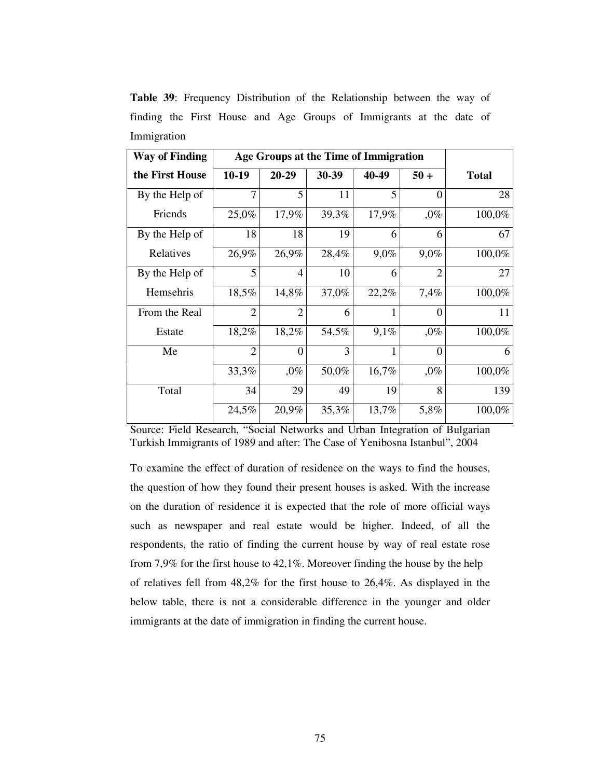**Table 39**: Frequency Distribution of the Relationship between the way of finding the First House and Age Groups of Immigrants at the date of Immigration

| <b>Way of Finding</b> | Age Groups at the Time of Immigration |                |       |         |                  |              |
|-----------------------|---------------------------------------|----------------|-------|---------|------------------|--------------|
| the First House       | $10-19$                               | $20 - 29$      | 30-39 | 40-49   | $50 +$           | <b>Total</b> |
| By the Help of        | 7                                     | 5              | 11    | 5       | $\theta$         | 28           |
| Friends               | 25,0%                                 | 17,9%          | 39,3% | 17,9%   | $,0\%$           | 100,0%       |
| By the Help of        | 18                                    | 18             | 19    | 6       | 6                | 67           |
| Relatives             | 26,9%                                 | 26,9%          | 28,4% | $9,0\%$ | 9,0%             | 100,0%       |
| By the Help of        | 5                                     | $\overline{4}$ | 10    | 6       | $\overline{2}$   | 27           |
| Hemsehris             | 18,5%                                 | 14,8%          | 37,0% | 22,2%   | 7,4%             | 100,0%       |
| From the Real         | $\overline{2}$                        | $\overline{2}$ | 6     |         | $\Omega$         | 11           |
| Estate                | 18,2%                                 | 18,2%          | 54,5% | 9,1%    | $,0\%$           | 100,0%       |
| Me                    | $\overline{2}$                        | $\overline{0}$ | 3     | 1       | $\boldsymbol{0}$ | 6            |
|                       | 33,3%                                 | $,0\%$         | 50,0% | 16,7%   | $,0\%$           | 100,0%       |
| Total                 | 34                                    | 29             | 49    | 19      | 8                | 139          |
|                       | 24,5%                                 | 20,9%          | 35,3% | 13,7%   | 5,8%             | 100,0%       |

To examine the effect of duration of residence on the ways to find the houses, the question of how they found their present houses is asked. With the increase on the duration of residence it is expected that the role of more official ways such as newspaper and real estate would be higher. Indeed, of all the respondents, the ratio of finding the current house by way of real estate rose from 7,9% for the first house to 42,1%. Moreover finding the house by the help of relatives fell from 48,2% for the first house to 26,4%. As displayed in the below table, there is not a considerable difference in the younger and older immigrants at the date of immigration in finding the current house.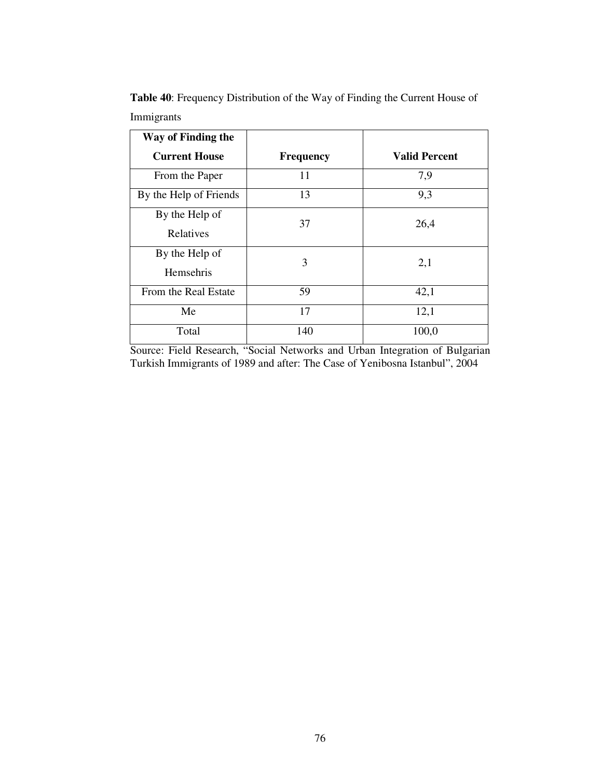| Way of Finding the          |                  |                      |
|-----------------------------|------------------|----------------------|
| <b>Current House</b>        | <b>Frequency</b> | <b>Valid Percent</b> |
| From the Paper              | 11               | 7,9                  |
| By the Help of Friends      | 13               | 9,3                  |
| By the Help of<br>Relatives | 37               | 26,4                 |
| By the Help of<br>Hemsehris | 3                | 2,1                  |
| From the Real Estate        | 59               | 42,1                 |
| Me                          | 17               | 12,1                 |
| Total                       | 140              | 100,0                |

**Table 40**: Frequency Distribution of the Way of Finding the Current House of Immigrants

Source: Field Research, "Social Networks and Urban Integration of Bulgarian Turkish Immigrants of 1989 and after: The Case of Yenibosna Istanbul", 2004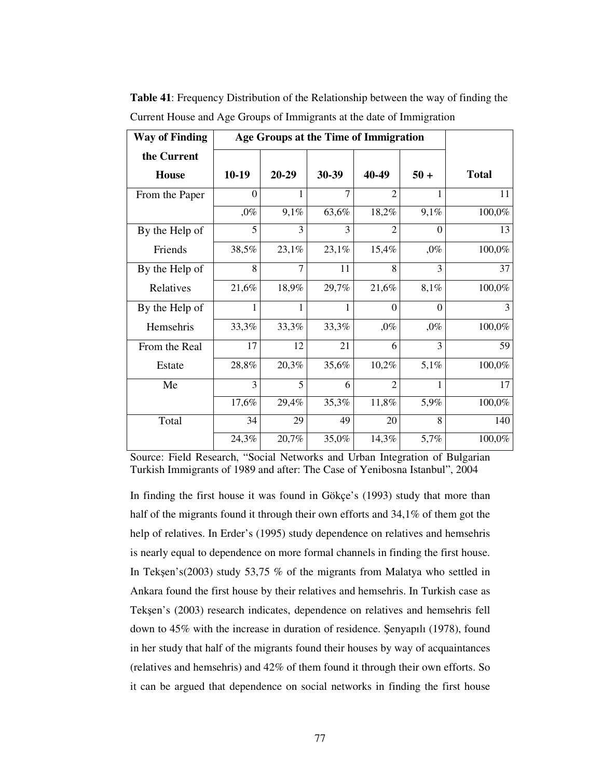| <b>Way of Finding</b> | Age Groups at the Time of Immigration |                |                |                             |          |              |
|-----------------------|---------------------------------------|----------------|----------------|-----------------------------|----------|--------------|
| the Current           |                                       |                |                |                             |          |              |
| <b>House</b>          | 10-19                                 | $20 - 29$      | 30-39          | 40-49                       | $50 +$   | <b>Total</b> |
| From the Paper        | $\theta$                              | 1              | $\overline{7}$ | $\mathcal{D}_{\mathcal{A}}$ | 1        | 11           |
|                       | $,0\%$                                | 9,1%           | 63,6%          | 18,2%                       | 9,1%     | 100,0%       |
| By the Help of        | 5                                     | 3              | 3              | $\overline{2}$              | $\theta$ | 13           |
| Friends               | 38,5%                                 | 23,1%          | 23,1%          | 15,4%                       | $,0\%$   | 100,0%       |
| By the Help of        | 8                                     | $\overline{7}$ | 11             | 8                           | 3        | 37           |
| Relatives             | 21,6%                                 | 18,9%          | 29,7%          | 21,6%                       | 8,1%     | 100,0%       |
| By the Help of        |                                       | 1              |                | $\Omega$                    | $\theta$ | 3            |
| Hemsehris             | 33,3%                                 | 33,3%          | 33,3%          | $,0\%$                      | $,0\%$   | 100,0%       |
| From the Real         | 17                                    | 12             | 21             | 6                           | 3        | 59           |
| Estate                | 28,8%                                 | 20,3%          | 35,6%          | 10,2%                       | 5,1%     | 100,0%       |
| Me                    | 3                                     | 5              | 6              | $\overline{2}$              | 1        | 17           |
|                       | 17,6%                                 | 29,4%          | 35,3%          | 11,8%                       | 5,9%     | 100,0%       |
| Total                 | 34                                    | 29             | 49             | 20                          | 8        | 140          |
|                       | 24,3%                                 | 20,7%          | 35,0%          | 14,3%                       | 5,7%     | 100,0%       |

**Table 41**: Frequency Distribution of the Relationship between the way of finding the Current House and Age Groups of Immigrants at the date of Immigration

In finding the first house it was found in Gökçe's (1993) study that more than half of the migrants found it through their own efforts and 34,1% of them got the help of relatives. In Erder's (1995) study dependence on relatives and hemsehris is nearly equal to dependence on more formal channels in finding the first house. In Tekşen's(2003) study 53,75 % of the migrants from Malatya who settled in Ankara found the first house by their relatives and hemsehris. In Turkish case as Tekșen's (2003) research indicates, dependence on relatives and hemsehris fell down to  $45\%$  with the increase in duration of residence. Senyapılı (1978), found in her study that half of the migrants found their houses by way of acquaintances (relatives and hemsehris) and 42% of them found it through their own efforts. So it can be argued that dependence on social networks in finding the first house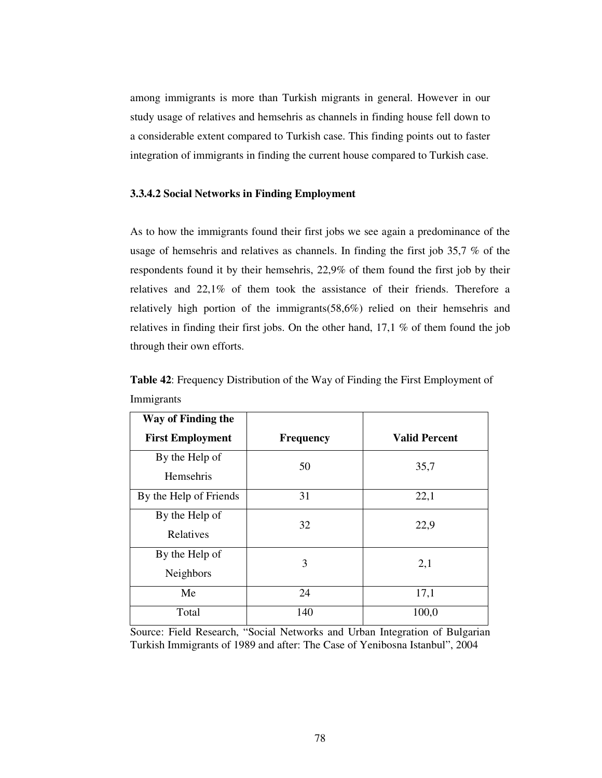among immigrants is more than Turkish migrants in general. However in our study usage of relatives and hemsehris as channels in finding house fell down to a considerable extent compared to Turkish case. This finding points out to faster integration of immigrants in finding the current house compared to Turkish case.

## **3.3.4.2 Social Networks in Finding Employment**

As to how the immigrants found their first jobs we see again a predominance of the usage of hemsehris and relatives as channels. In finding the first job 35,7 % of the respondents found it by their hemsehris, 22,9% of them found the first job by their relatives and 22,1% of them took the assistance of their friends. Therefore a relatively high portion of the immigrants(58,6%) relied on their hemsehris and relatives in finding their first jobs. On the other hand, 17,1 % of them found the job through their own efforts.

| Way of Finding the                 |                  |                      |
|------------------------------------|------------------|----------------------|
| <b>First Employment</b>            | <b>Frequency</b> | <b>Valid Percent</b> |
| By the Help of<br><b>Hemsehris</b> | 50               | 35,7                 |
| By the Help of Friends             | 31               | 22,1                 |
| By the Help of<br>Relatives        | 32               | 22,9                 |
| By the Help of<br>Neighbors        | 3                | 2,1                  |
| Me                                 | 24               | 17,1                 |
| Total                              | 140              | 100,0                |

**Table 42**: Frequency Distribution of the Way of Finding the First Employment of Immigrants

Source: Field Research, "Social Networks and Urban Integration of Bulgarian Turkish Immigrants of 1989 and after: The Case of Yenibosna Istanbul", 2004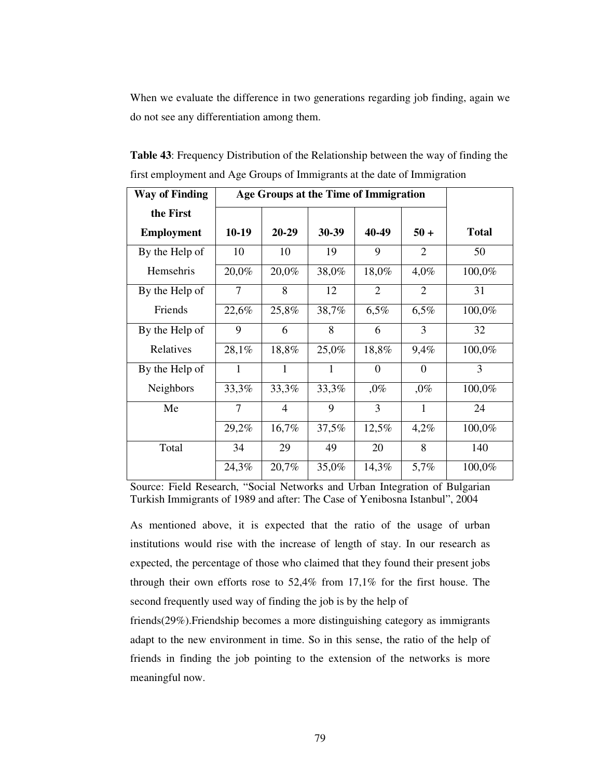When we evaluate the difference in two generations regarding job finding, again we do not see any differentiation among them.

| <b>Way of Finding</b> | Age Groups at the Time of Immigration |           |       |          |          |              |
|-----------------------|---------------------------------------|-----------|-------|----------|----------|--------------|
| the First             |                                       |           |       |          |          |              |
| <b>Employment</b>     | $10-19$                               | $20 - 29$ | 30-39 | 40-49    | $50 +$   | <b>Total</b> |
| By the Help of        | 10                                    | 10        | 19    | 9        | 2        | 50           |
| Hemsehris             | 20,0%                                 | 20,0%     | 38,0% | 18,0%    | 4,0%     | 100,0%       |
| By the Help of        | 7                                     | 8         | 12    | 2        | 2        | 31           |
| Friends               | 22,6%                                 | 25,8%     | 38,7% | 6,5%     | 6,5%     | 100,0%       |
| By the Help of        | 9                                     | 6         | 8     | 6        | 3        | 32           |
| Relatives             | 28,1%                                 | 18,8%     | 25,0% | 18,8%    | 9,4%     | 100,0%       |
| By the Help of        | 1                                     | 1         | 1     | $\Omega$ | $\theta$ | 3            |
| <b>Neighbors</b>      | 33,3%                                 | 33,3%     | 33,3% | $,0\%$   | $,0\%$   | 100,0%       |
| Me                    | 7                                     | 4         | 9     | 3        | 1        | 24           |
|                       | 29,2%                                 | 16,7%     | 37,5% | 12,5%    | 4,2%     | 100,0%       |
| Total                 | 34                                    | 29        | 49    | 20       | 8        | 140          |
|                       | 24,3%                                 | 20,7%     | 35,0% | 14,3%    | 5,7%     | 100,0%       |

**Table 43**: Frequency Distribution of the Relationship between the way of finding the first employment and Age Groups of Immigrants at the date of Immigration

Source: Field Research, "Social Networks and Urban Integration of Bulgarian Turkish Immigrants of 1989 and after: The Case of Yenibosna Istanbul", 2004

As mentioned above, it is expected that the ratio of the usage of urban institutions would rise with the increase of length of stay. In our research as expected, the percentage of those who claimed that they found their present jobs through their own efforts rose to 52,4% from 17,1% for the first house. The second frequently used way of finding the job is by the help of

friends(29%).Friendship becomes a more distinguishing category as immigrants adapt to the new environment in time. So in this sense, the ratio of the help of friends in finding the job pointing to the extension of the networks is more meaningful now.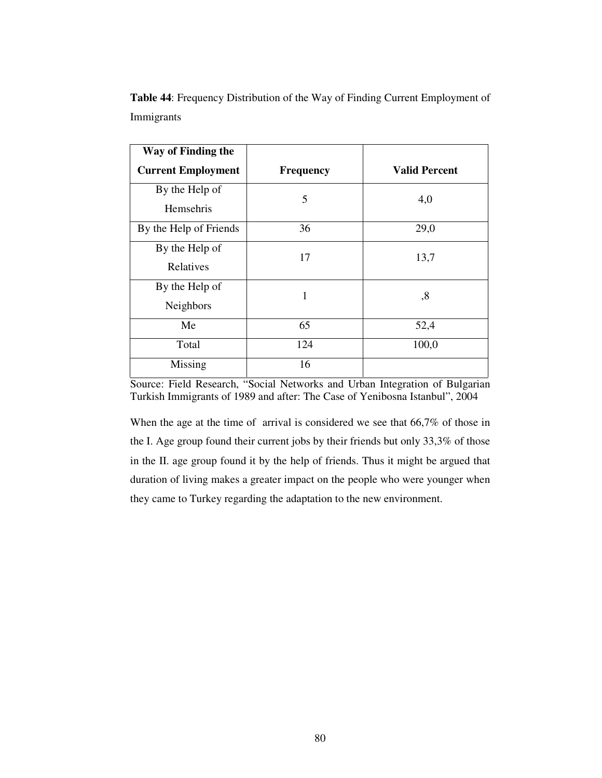| Way of Finding the          |                  |                      |
|-----------------------------|------------------|----------------------|
| <b>Current Employment</b>   | <b>Frequency</b> | <b>Valid Percent</b> |
| By the Help of<br>Hemsehris | 5                | 4,0                  |
| By the Help of Friends      | 36               | 29,0                 |
| By the Help of<br>Relatives | 17               | 13,7                 |
| By the Help of<br>Neighbors | 1                | ,8                   |
| Me                          | 65               | 52,4                 |
| Total                       | 124              | 100,0                |
| Missing                     | 16               |                      |

**Table 44**: Frequency Distribution of the Way of Finding Current Employment of Immigrants

Source: Field Research, "Social Networks and Urban Integration of Bulgarian Turkish Immigrants of 1989 and after: The Case of Yenibosna Istanbul", 2004

When the age at the time of arrival is considered we see that 66,7% of those in the I. Age group found their current jobs by their friends but only 33,3% of those in the II. age group found it by the help of friends. Thus it might be argued that duration of living makes a greater impact on the people who were younger when they came to Turkey regarding the adaptation to the new environment.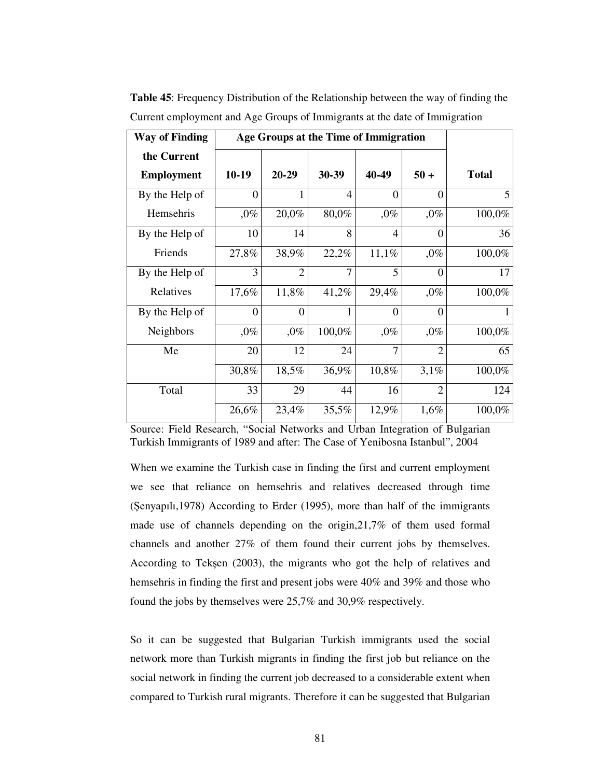| <b>Way of Finding</b> | Age Groups at the Time of Immigration |                |                |                |                |                |
|-----------------------|---------------------------------------|----------------|----------------|----------------|----------------|----------------|
| the Current           |                                       |                |                |                |                |                |
| <b>Employment</b>     | $10-19$                               | $20 - 29$      | 30-39          | 40-49          | $50 +$         | <b>Total</b>   |
| By the Help of        | $\theta$                              |                | $\overline{4}$ | $\Omega$       | $\theta$       | 5 <sup>5</sup> |
| Hemsehris             | $,0\%$                                | 20,0%          | 80,0%          | $,0\%$         | $,0\%$         | 100,0%         |
| By the Help of        | 10                                    | 14             | 8              | $\overline{4}$ | $\theta$       | 36             |
| Friends               | 27,8%                                 | 38,9%          | 22,2%          | 11,1%          | $,0\%$         | 100,0%         |
| By the Help of        | 3                                     | $\overline{2}$ | 7              | 5              | $\theta$       | 17             |
| Relatives             | 17,6%                                 | 11,8%          | 41,2%          | 29,4%          | $,0\%$         | 100,0%         |
| By the Help of        | $\theta$                              | $\theta$       | 1              | $\theta$       | $\theta$       | 1              |
| Neighbors             | $,0\%$                                | $,0\%$         | 100,0%         | $,0\%$         | $,0\%$         | 100,0%         |
| Me                    | 20                                    | 12             | 24             | 7              | $\overline{2}$ | 65             |
|                       | 30,8%                                 | 18,5%          | 36,9%          | 10,8%          | 3,1%           | 100,0%         |
| Total                 | 33                                    | 29             | 44             | 16             | $\mathfrak{D}$ | 124            |
|                       | 26,6%                                 | 23,4%          | 35,5%          | 12,9%          | 1,6%           | 100,0%         |

**Table 45**: Frequency Distribution of the Relationship between the way of finding the Current employment and Age Groups of Immigrants at the date of Immigration

When we examine the Turkish case in finding the first and current employment we see that reliance on hemsehris and relatives decreased through time (enyapılı,1978) According to Erder (1995), more than half of the immigrants made use of channels depending on the origin,21,7% of them used formal channels and another 27% of them found their current jobs by themselves. According to Tekşen (2003), the migrants who got the help of relatives and hemsehris in finding the first and present jobs were 40% and 39% and those who found the jobs by themselves were 25,7% and 30,9% respectively.

So it can be suggested that Bulgarian Turkish immigrants used the social network more than Turkish migrants in finding the first job but reliance on the social network in finding the current job decreased to a considerable extent when compared to Turkish rural migrants. Therefore it can be suggested that Bulgarian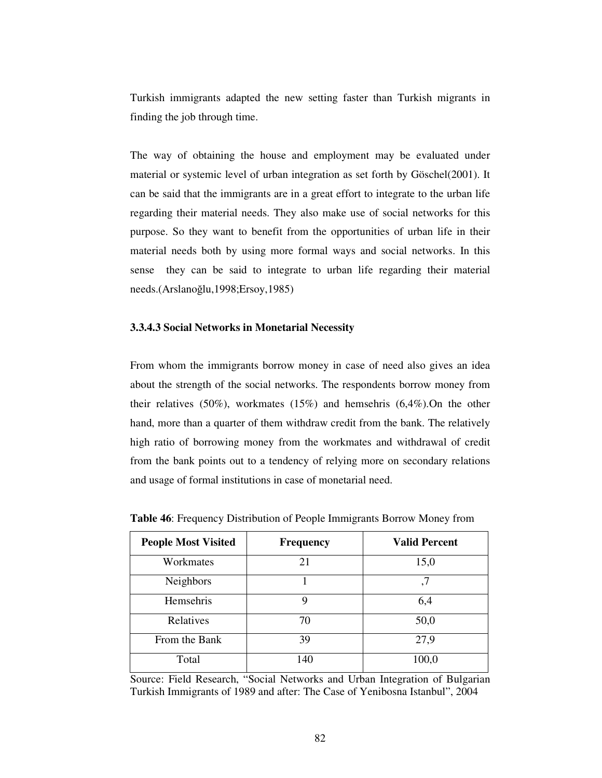Turkish immigrants adapted the new setting faster than Turkish migrants in finding the job through time.

The way of obtaining the house and employment may be evaluated under material or systemic level of urban integration as set forth by Göschel(2001). It can be said that the immigrants are in a great effort to integrate to the urban life regarding their material needs. They also make use of social networks for this purpose. So they want to benefit from the opportunities of urban life in their material needs both by using more formal ways and social networks. In this sense they can be said to integrate to urban life regarding their material needs.(Arslanoğlu,1998;Ersoy,1985)

## **3.3.4.3 Social Networks in Monetarial Necessity**

From whom the immigrants borrow money in case of need also gives an idea about the strength of the social networks. The respondents borrow money from their relatives (50%), workmates (15%) and hemsehris (6,4%).On the other hand, more than a quarter of them withdraw credit from the bank. The relatively high ratio of borrowing money from the workmates and withdrawal of credit from the bank points out to a tendency of relying more on secondary relations and usage of formal institutions in case of monetarial need.

| <b>People Most Visited</b> | <b>Frequency</b> | <b>Valid Percent</b> |
|----------------------------|------------------|----------------------|
| Workmates                  | 21               | 15,0                 |
| <b>Neighbors</b>           |                  | ,7                   |
| Hemsehris                  | 9                | 6,4                  |
| Relatives                  | 70               | 50,0                 |
| From the Bank              | 39               | 27,9                 |
| Total                      | 140              | 100,0                |

**Table 46**: Frequency Distribution of People Immigrants Borrow Money from

Source: Field Research, "Social Networks and Urban Integration of Bulgarian Turkish Immigrants of 1989 and after: The Case of Yenibosna Istanbul", 2004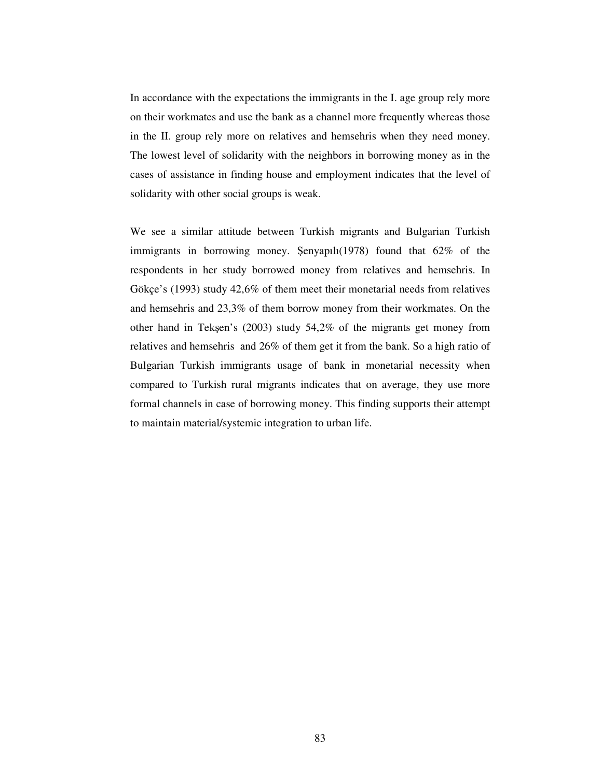In accordance with the expectations the immigrants in the I. age group rely more on their workmates and use the bank as a channel more frequently whereas those in the II. group rely more on relatives and hemsehris when they need money. The lowest level of solidarity with the neighbors in borrowing money as in the cases of assistance in finding house and employment indicates that the level of solidarity with other social groups is weak.

We see a similar attitude between Turkish migrants and Bulgarian Turkish immigrants in borrowing money. Senyapılı $(1978)$  found that  $62\%$  of the respondents in her study borrowed money from relatives and hemsehris. In Gökçe's (1993) study 42,6% of them meet their monetarial needs from relatives and hemsehris and 23,3% of them borrow money from their workmates. On the other hand in Tekşen's (2003) study 54,2% of the migrants get money from relatives and hemsehris and 26% of them get it from the bank. So a high ratio of Bulgarian Turkish immigrants usage of bank in monetarial necessity when compared to Turkish rural migrants indicates that on average, they use more formal channels in case of borrowing money. This finding supports their attempt to maintain material/systemic integration to urban life.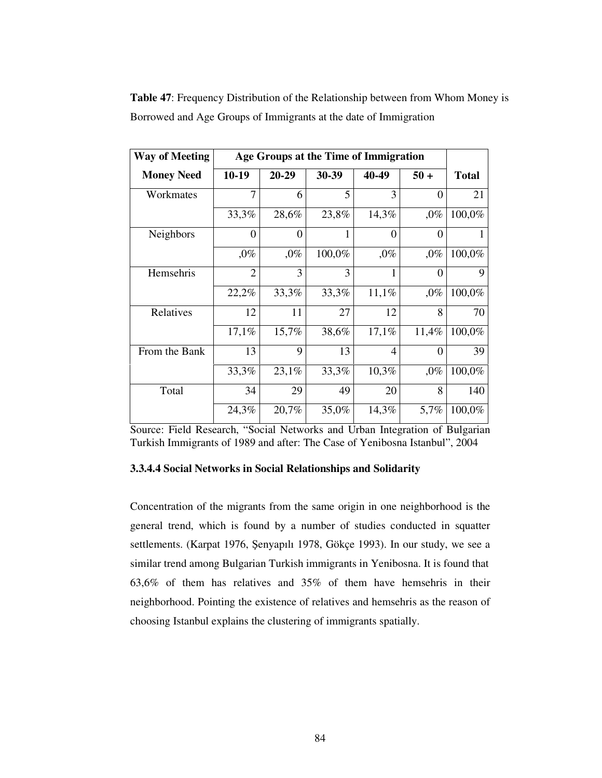| <b>Way of Meeting</b> | Age Groups at the Time of Immigration |           |        |                |          |              |
|-----------------------|---------------------------------------|-----------|--------|----------------|----------|--------------|
| <b>Money Need</b>     | $10-19$                               | $20 - 29$ | 30-39  | 40-49          | $50 +$   | <b>Total</b> |
| Workmates             | 7                                     | 6         | 5      | 3              | $\theta$ | 21           |
|                       | 33,3%                                 | 28,6%     | 23,8%  | 14,3%          | $,0\%$   | 100,0%       |
| Neighbors             | $\Omega$                              | $\Omega$  | 1      | $\Omega$       | $\theta$ |              |
|                       | $,0\%$                                | $,0\%$    | 100,0% | $,0\%$         | $,0\%$   | 100,0%       |
| Hemsehris             | $\overline{2}$                        | 3         | 3      | 1              | $\theta$ | 9            |
|                       | 22,2%                                 | 33,3%     | 33,3%  | 11,1%          | $,0\%$   | 100,0%       |
| Relatives             | 12                                    | 11        | 27     | 12             | 8        | 70           |
|                       | 17,1%                                 | 15,7%     | 38,6%  | 17,1%          | 11,4%    | 100,0%       |
| From the Bank         | 13                                    | 9         | 13     | $\overline{4}$ | $\theta$ | 39           |
|                       | 33,3%                                 | 23,1%     | 33,3%  | 10,3%          | $,0\%$   | 100,0%       |
| Total                 | 34                                    | 29        | 49     | 20             | 8        | 140          |
|                       | 24,3%                                 | 20,7%     | 35,0%  | 14,3%          | 5,7%     | 100,0%       |

**Table 47**: Frequency Distribution of the Relationship between from Whom Money is Borrowed and Age Groups of Immigrants at the date of Immigration

Source: Field Research, "Social Networks and Urban Integration of Bulgarian Turkish Immigrants of 1989 and after: The Case of Yenibosna Istanbul", 2004

## **3.3.4.4 Social Networks in Social Relationships and Solidarity**

Concentration of the migrants from the same origin in one neighborhood is the general trend, which is found by a number of studies conducted in squatter settlements. (Karpat 1976, Şenyapılı 1978, Gökçe 1993). In our study, we see a similar trend among Bulgarian Turkish immigrants in Yenibosna. It is found that 63,6% of them has relatives and 35% of them have hemsehris in their neighborhood. Pointing the existence of relatives and hemsehris as the reason of choosing Istanbul explains the clustering of immigrants spatially.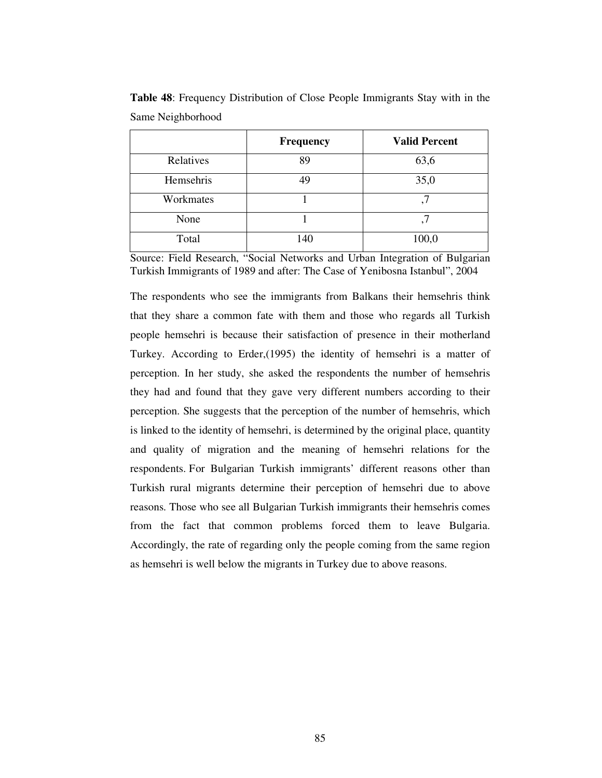|           | Frequency | <b>Valid Percent</b> |
|-----------|-----------|----------------------|
| Relatives | 89        | 63,6                 |
| Hemsehris | 49        | 35,0                 |
| Workmates |           |                      |
| None      |           |                      |
| Total     | 140       | 100,0                |

**Table 48**: Frequency Distribution of Close People Immigrants Stay with in the Same Neighborhood

The respondents who see the immigrants from Balkans their hemsehris think that they share a common fate with them and those who regards all Turkish people hemsehri is because their satisfaction of presence in their motherland Turkey. According to Erder,(1995) the identity of hemsehri is a matter of perception. In her study, she asked the respondents the number of hemsehris they had and found that they gave very different numbers according to their perception. She suggests that the perception of the number of hemsehris, which is linked to the identity of hemsehri, is determined by the original place, quantity and quality of migration and the meaning of hemsehri relations for the respondents. For Bulgarian Turkish immigrants' different reasons other than Turkish rural migrants determine their perception of hemsehri due to above reasons. Those who see all Bulgarian Turkish immigrants their hemsehris comes from the fact that common problems forced them to leave Bulgaria. Accordingly, the rate of regarding only the people coming from the same region as hemsehri is well below the migrants in Turkey due to above reasons.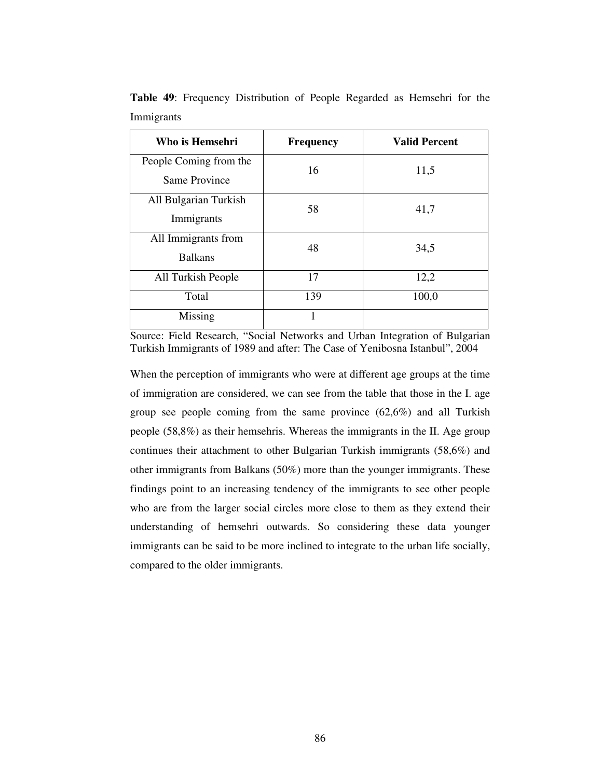| Who is Hemsehri                         | Frequency | <b>Valid Percent</b> |
|-----------------------------------------|-----------|----------------------|
| People Coming from the<br>Same Province | 16        | 11,5                 |
| All Bulgarian Turkish<br>Immigrants     | 58        | 41,7                 |
| All Immigrants from<br><b>Balkans</b>   | 48        | 34,5                 |
| All Turkish People                      | 17        | 12,2                 |
| Total                                   | 139       | 100,0                |
| Missing                                 | 1         |                      |

**Table 49**: Frequency Distribution of People Regarded as Hemsehri for the Immigrants

When the perception of immigrants who were at different age groups at the time of immigration are considered, we can see from the table that those in the I. age group see people coming from the same province (62,6%) and all Turkish people (58,8%) as their hemsehris. Whereas the immigrants in the II. Age group continues their attachment to other Bulgarian Turkish immigrants (58,6%) and other immigrants from Balkans (50%) more than the younger immigrants. These findings point to an increasing tendency of the immigrants to see other people who are from the larger social circles more close to them as they extend their understanding of hemsehri outwards. So considering these data younger immigrants can be said to be more inclined to integrate to the urban life socially, compared to the older immigrants.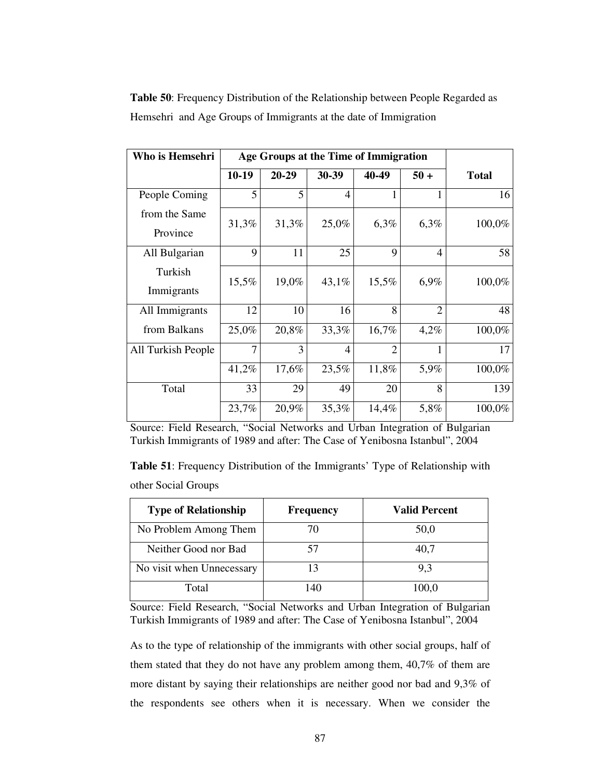| Who is Hemsehri           | Age Groups at the Time of Immigration |       |                |                |                |              |
|---------------------------|---------------------------------------|-------|----------------|----------------|----------------|--------------|
|                           | 10-19                                 | 20-29 | 30-39          | 40-49          | $50 +$         | <b>Total</b> |
| People Coming             | 5                                     | 5     | $\overline{4}$ |                | 1              | 16           |
| from the Same<br>Province | 31,3%                                 | 31,3% | 25,0%          | 6,3%           | 6,3%           | 100,0%       |
| All Bulgarian             | 9                                     | 11    | 25             | 9              | $\overline{4}$ | 58           |
| Turkish<br>Immigrants     | 15,5%                                 | 19,0% | 43,1%          | 15,5%          | 6,9%           | 100,0%       |
| All Immigrants            | 12                                    | 10    | 16             | 8              | $\overline{2}$ | 48           |
| from Balkans              | 25,0%                                 | 20,8% | 33,3%          | 16,7%          | 4,2%           | 100,0%       |
| All Turkish People        | $\overline{7}$                        | 3     | $\overline{4}$ | $\overline{2}$ | 1              | 17           |
|                           | 41,2%                                 | 17,6% | 23,5%          | 11,8%          | 5,9%           | 100,0%       |
| Total                     | 33                                    | 29    | 49             | 20             | 8              | 139          |
|                           | 23,7%                                 | 20,9% | 35,3%          | 14,4%          | 5,8%           | 100,0%       |

**Table 50**: Frequency Distribution of the Relationship between People Regarded as Hemsehri and Age Groups of Immigrants at the date of Immigration

Source: Field Research, "Social Networks and Urban Integration of Bulgarian Turkish Immigrants of 1989 and after: The Case of Yenibosna Istanbul", 2004

**Table 51**: Frequency Distribution of the Immigrants' Type of Relationship with other Social Groups

| <b>Type of Relationship</b> | <b>Frequency</b> | <b>Valid Percent</b> |
|-----------------------------|------------------|----------------------|
| No Problem Among Them       | 70               | 50,0                 |
| Neither Good nor Bad        | 57               | 40,7                 |
| No visit when Unnecessary   | 13               | 9.3                  |
| Total                       | 140              | 100.0                |

Source: Field Research, "Social Networks and Urban Integration of Bulgarian Turkish Immigrants of 1989 and after: The Case of Yenibosna Istanbul", 2004

As to the type of relationship of the immigrants with other social groups, half of them stated that they do not have any problem among them, 40,7% of them are more distant by saying their relationships are neither good nor bad and 9,3% of the respondents see others when it is necessary. When we consider the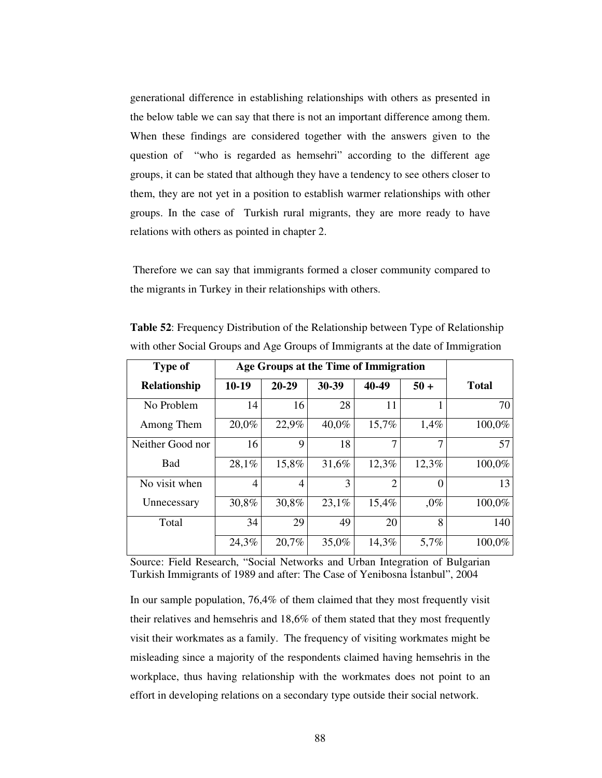generational difference in establishing relationships with others as presented in the below table we can say that there is not an important difference among them. When these findings are considered together with the answers given to the question of "who is regarded as hemsehri" according to the different age groups, it can be stated that although they have a tendency to see others closer to them, they are not yet in a position to establish warmer relationships with other groups. In the case of Turkish rural migrants, they are more ready to have relations with others as pointed in chapter 2.

Therefore we can say that immigrants formed a closer community compared to the migrants in Turkey in their relationships with others.

| <b>Type of</b>      | Age Groups at the Time of Immigration |       |       |                |          |              |
|---------------------|---------------------------------------|-------|-------|----------------|----------|--------------|
| <b>Relationship</b> | $10-19$                               | 20-29 | 30-39 | 40-49          | $50 +$   | <b>Total</b> |
| No Problem          | 14                                    | 16    | 28    | 11             |          | 70           |
| Among Them          | 20,0%                                 | 22,9% | 40,0% | 15,7%          | 1,4%     | 100,0%       |
| Neither Good nor    | 16                                    | 9     | 18    | 7              | 7        | 57           |
| <b>Bad</b>          | 28,1%                                 | 15,8% | 31,6% | 12,3%          | 12,3%    | 100,0%       |
| No visit when       | 4                                     | 4     | 3     | $\overline{2}$ | $\Omega$ | 13           |
| Unnecessary         | 30,8%                                 | 30,8% | 23,1% | 15,4%          | $,0\%$   | 100,0%       |
| Total               | 34                                    | 29    | 49    | 20             | 8        | 140          |
|                     | 24,3%                                 | 20,7% | 35,0% | 14,3%          | 5,7%     | 100,0%       |

**Table 52**: Frequency Distribution of the Relationship between Type of Relationship with other Social Groups and Age Groups of Immigrants at the date of Immigration

Source: Field Research, "Social Networks and Urban Integration of Bulgarian Turkish Immigrants of 1989 and after: The Case of Yenibosna Istanbul", 2004

In our sample population, 76,4% of them claimed that they most frequently visit their relatives and hemsehris and 18,6% of them stated that they most frequently visit their workmates as a family. The frequency of visiting workmates might be misleading since a majority of the respondents claimed having hemsehris in the workplace, thus having relationship with the workmates does not point to an effort in developing relations on a secondary type outside their social network.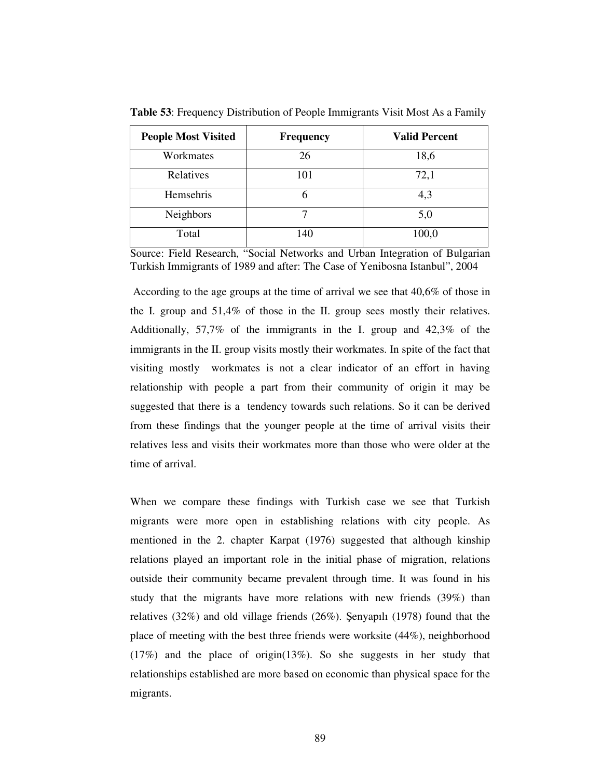| <b>People Most Visited</b> | <b>Frequency</b> | <b>Valid Percent</b> |
|----------------------------|------------------|----------------------|
| Workmates                  | 26               | 18,6                 |
| Relatives                  | 101              | 72,1                 |
| Hemsehris                  |                  | 4,3                  |
| <b>Neighbors</b>           |                  | 5,0                  |
| Total                      | 140              | 100,0                |

**Table 53**: Frequency Distribution of People Immigrants Visit Most As a Family

According to the age groups at the time of arrival we see that 40,6% of those in the I. group and 51,4% of those in the II. group sees mostly their relatives. Additionally, 57,7% of the immigrants in the I. group and 42,3% of the immigrants in the II. group visits mostly their workmates. In spite of the fact that visiting mostly workmates is not a clear indicator of an effort in having relationship with people a part from their community of origin it may be suggested that there is a tendency towards such relations. So it can be derived from these findings that the younger people at the time of arrival visits their relatives less and visits their workmates more than those who were older at the time of arrival.

When we compare these findings with Turkish case we see that Turkish migrants were more open in establishing relations with city people. As mentioned in the 2. chapter Karpat (1976) suggested that although kinship relations played an important role in the initial phase of migration, relations outside their community became prevalent through time. It was found in his study that the migrants have more relations with new friends (39%) than relatives  $(32\%)$  and old village friends  $(26\%)$ . Senyapılı  $(1978)$  found that the place of meeting with the best three friends were worksite (44%), neighborhood  $(17%)$  and the place of origin(13%). So she suggests in her study that relationships established are more based on economic than physical space for the migrants.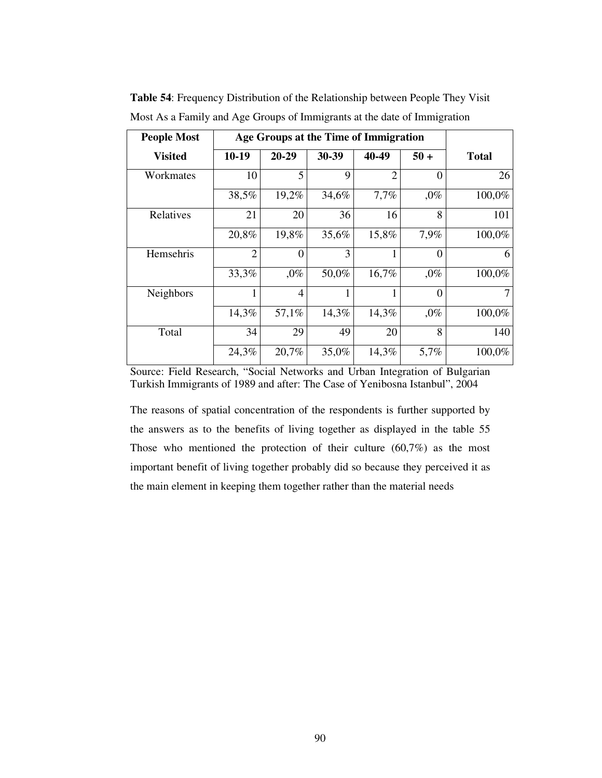| <b>People Most</b> | Age Groups at the Time of Immigration |          |       |                |          |              |
|--------------------|---------------------------------------|----------|-------|----------------|----------|--------------|
| <b>Visited</b>     | $10-19$                               | 20-29    | 30-39 | 40-49          | $50 +$   | <b>Total</b> |
| Workmates          | 10                                    | 5        | 9     | $\overline{2}$ | $\Omega$ | 26           |
|                    | 38,5%                                 | 19,2%    | 34,6% | 7,7%           | $,0\%$   | 100,0%       |
| Relatives          | 21                                    | 20       | 36    | 16             | 8        | 101          |
|                    | 20,8%                                 | 19,8%    | 35,6% | 15,8%          | 7,9%     | 100,0%       |
| Hemsehris          | $\overline{2}$                        | $\theta$ | 3     | 1              | $\Omega$ | 6            |
|                    | 33,3%                                 | $,0\%$   | 50,0% | 16,7%          | $,0\%$   | 100,0%       |
| <b>Neighbors</b>   | 1                                     | 4        |       | 1              | $\Omega$ | 7            |
|                    | 14,3%                                 | 57,1%    | 14,3% | 14,3%          | $,0\%$   | 100,0%       |
| Total              | 34                                    | 29       | 49    | 20             | 8        | 140          |
|                    | 24,3%                                 | 20,7%    | 35,0% | 14,3%          | 5,7%     | 100,0%       |

**Table 54**: Frequency Distribution of the Relationship between People They Visit Most As a Family and Age Groups of Immigrants at the date of Immigration

The reasons of spatial concentration of the respondents is further supported by the answers as to the benefits of living together as displayed in the table 55 Those who mentioned the protection of their culture (60,7%) as the most important benefit of living together probably did so because they perceived it as the main element in keeping them together rather than the material needs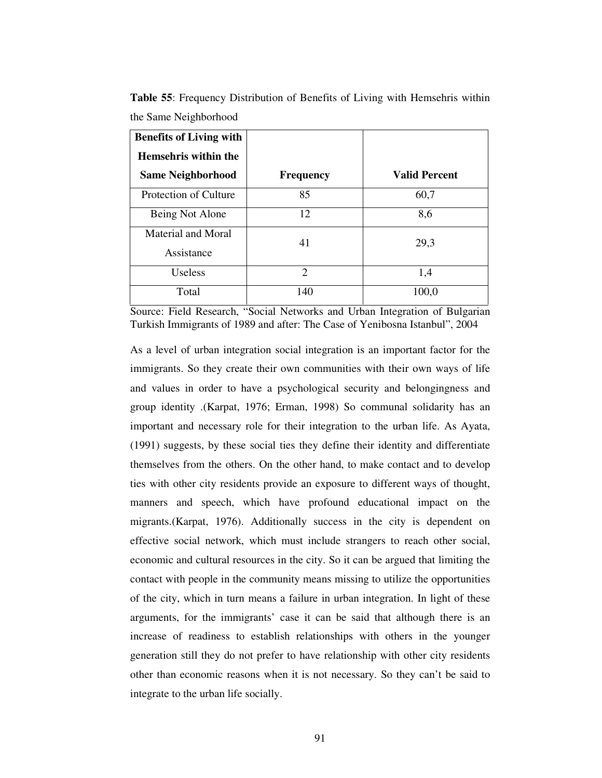| <b>Benefits of Living with</b>   |                  |                      |
|----------------------------------|------------------|----------------------|
| Hemsehris within the             |                  |                      |
| <b>Same Neighborhood</b>         | <b>Frequency</b> | <b>Valid Percent</b> |
| Protection of Culture            | 85               | 60,7                 |
| Being Not Alone                  | 12               | 8,6                  |
| Material and Moral<br>Assistance | 41               | 29,3                 |
| <b>Useless</b>                   | $\overline{2}$   | 1,4                  |
| Total                            | 140              | 100,0                |

**Table 55**: Frequency Distribution of Benefits of Living with Hemsehris within the Same Neighborhood

As a level of urban integration social integration is an important factor for the immigrants. So they create their own communities with their own ways of life and values in order to have a psychological security and belongingness and group identity .(Karpat, 1976; Erman, 1998) So communal solidarity has an important and necessary role for their integration to the urban life. As Ayata, (1991) suggests, by these social ties they define their identity and differentiate themselves from the others. On the other hand, to make contact and to develop ties with other city residents provide an exposure to different ways of thought, manners and speech, which have profound educational impact on the migrants.(Karpat, 1976). Additionally success in the city is dependent on effective social network, which must include strangers to reach other social, economic and cultural resources in the city. So it can be argued that limiting the contact with people in the community means missing to utilize the opportunities of the city, which in turn means a failure in urban integration. In light of these arguments, for the immigrants' case it can be said that although there is an increase of readiness to establish relationships with others in the younger generation still they do not prefer to have relationship with other city residents other than economic reasons when it is not necessary. So they can't be said to integrate to the urban life socially.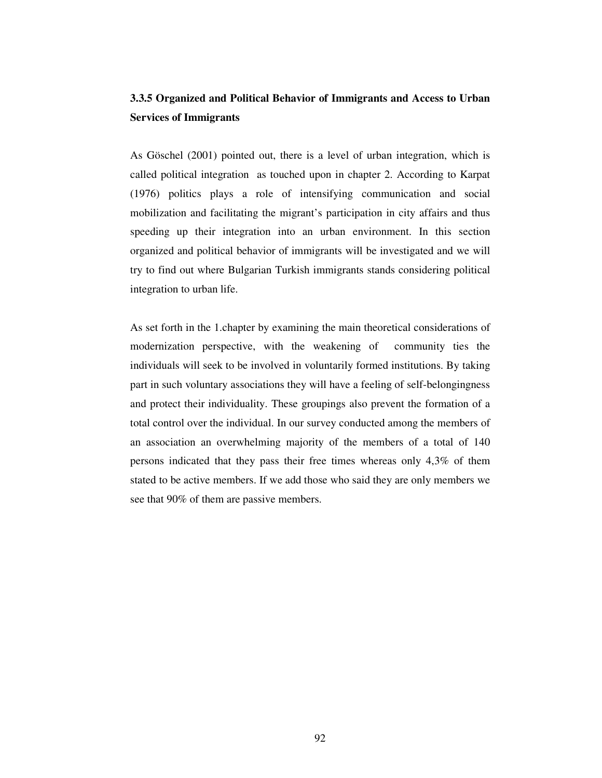# **3.3.5 Organized and Political Behavior of Immigrants and Access to Urban Services of Immigrants**

As Göschel (2001) pointed out, there is a level of urban integration, which is called political integration as touched upon in chapter 2. According to Karpat (1976) politics plays a role of intensifying communication and social mobilization and facilitating the migrant's participation in city affairs and thus speeding up their integration into an urban environment. In this section organized and political behavior of immigrants will be investigated and we will try to find out where Bulgarian Turkish immigrants stands considering political integration to urban life.

As set forth in the 1.chapter by examining the main theoretical considerations of modernization perspective, with the weakening of community ties the individuals will seek to be involved in voluntarily formed institutions. By taking part in such voluntary associations they will have a feeling of self-belongingness and protect their individuality. These groupings also prevent the formation of a total control over the individual. In our survey conducted among the members of an association an overwhelming majority of the members of a total of 140 persons indicated that they pass their free times whereas only 4,3% of them stated to be active members. If we add those who said they are only members we see that 90% of them are passive members.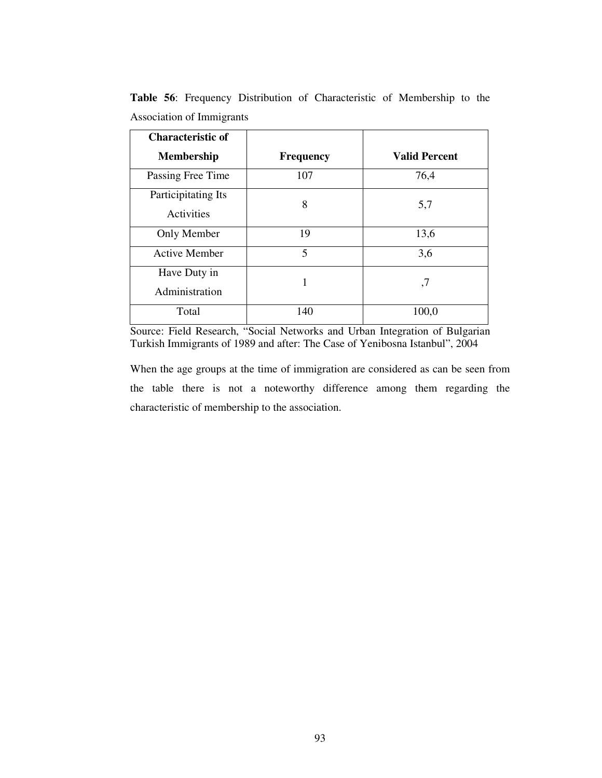| <b>Characteristic of</b>          |                  |                      |  |  |
|-----------------------------------|------------------|----------------------|--|--|
| <b>Membership</b>                 | <b>Frequency</b> | <b>Valid Percent</b> |  |  |
| Passing Free Time                 | 107              | 76,4                 |  |  |
| Participitating Its<br>Activities | 8                | 5,7                  |  |  |
| Only Member                       | 19               | 13,6                 |  |  |
| <b>Active Member</b>              | 5                | 3,6                  |  |  |
| Have Duty in<br>Administration    | 1                | ,7                   |  |  |
| Total                             | 140              | 100,0                |  |  |

**Table 56**: Frequency Distribution of Characteristic of Membership to the Association of Immigrants

When the age groups at the time of immigration are considered as can be seen from the table there is not a noteworthy difference among them regarding the characteristic of membership to the association.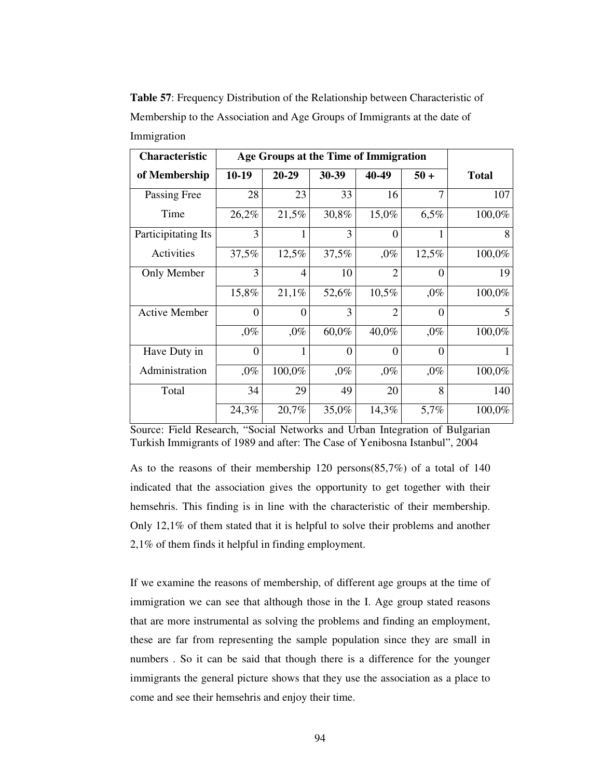**Table 57**: Frequency Distribution of the Relationship between Characteristic of Membership to the Association and Age Groups of Immigrants at the date of Immigration

| <b>Characteristic</b> | Age Groups at the Time of Immigration |                |          |                |          |              |
|-----------------------|---------------------------------------|----------------|----------|----------------|----------|--------------|
| of Membership         | $10-19$                               | $20 - 29$      | 30-39    | 40-49          | $50 +$   | <b>Total</b> |
| Passing Free          | 28                                    | 23             | 33       | 16             | 7        | 107          |
| Time                  | 26,2%                                 | 21,5%          | 30,8%    | 15,0%          | 6,5%     | 100,0%       |
| Participitating Its   | 3                                     | 1              | 3        | $\theta$       |          | 8            |
| Activities            | 37,5%                                 | 12,5%          | 37,5%    | $,0\%$         | 12,5%    | 100,0%       |
| Only Member           | 3                                     | $\overline{4}$ | 10       | $\overline{2}$ | $\Omega$ | 19           |
|                       | 15,8%                                 | 21,1%          | 52,6%    | 10,5%          | $,0\%$   | 100,0%       |
| <b>Active Member</b>  | 0                                     | $\Omega$       | 3        | $\overline{2}$ | $\theta$ | 5            |
|                       | $,0\%$                                | $,0\%$         | 60,0%    | 40,0%          | $,0\%$   | 100,0%       |
| Have Duty in          | $\boldsymbol{0}$                      | 1              | $\theta$ | $\overline{0}$ | $\theta$ | 1            |
| Administration        | $,0\%$                                | 100,0%         | $,0\%$   | $,0\%$         | $,0\%$   | 100,0%       |
| Total                 | 34                                    | 29             | 49       | 20             | 8        | 140          |
|                       | 24,3%                                 | 20,7%          | 35,0%    | 14,3%          | 5,7%     | 100,0%       |

As to the reasons of their membership 120 persons(85,7%) of a total of 140 indicated that the association gives the opportunity to get together with their hemsehris. This finding is in line with the characteristic of their membership. Only 12,1% of them stated that it is helpful to solve their problems and another 2,1% of them finds it helpful in finding employment.

If we examine the reasons of membership, of different age groups at the time of immigration we can see that although those in the I. Age group stated reasons that are more instrumental as solving the problems and finding an employment, these are far from representing the sample population since they are small in numbers . So it can be said that though there is a difference for the younger immigrants the general picture shows that they use the association as a place to come and see their hemsehris and enjoy their time.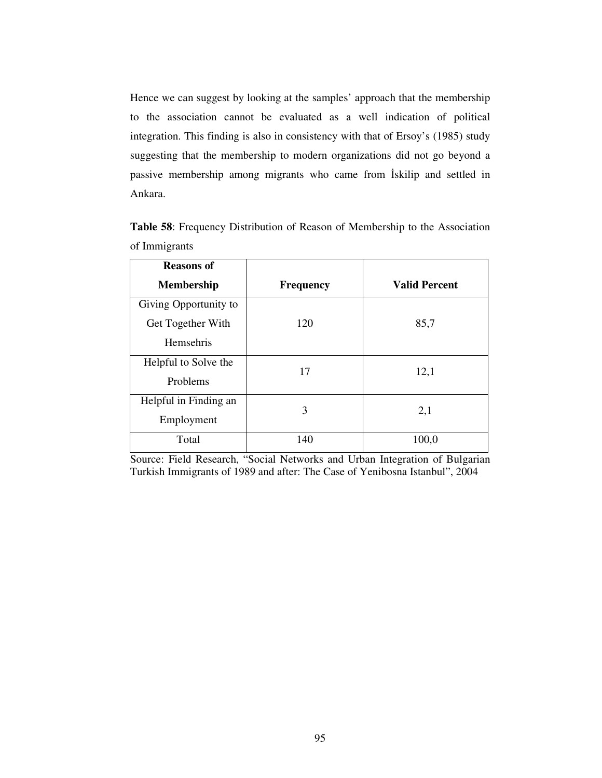Hence we can suggest by looking at the samples' approach that the membership to the association cannot be evaluated as a well indication of political integration. This finding is also in consistency with that of Ersoy's (1985) study suggesting that the membership to modern organizations did not go beyond a passive membership among migrants who came from Iskilip and settled in Ankara.

| <b>Reasons of</b>     |                  |                      |  |
|-----------------------|------------------|----------------------|--|
| <b>Membership</b>     | <b>Frequency</b> | <b>Valid Percent</b> |  |
| Giving Opportunity to |                  |                      |  |
| Get Together With     | 120              | 85,7                 |  |
| Hemsehris             |                  |                      |  |
| Helpful to Solve the  | 17               | 12,1                 |  |
| Problems              |                  |                      |  |
| Helpful in Finding an | 3                | 2,1                  |  |
| Employment            |                  |                      |  |
| Total                 | 140              | 100,0                |  |

**Table 58**: Frequency Distribution of Reason of Membership to the Association of Immigrants

Source: Field Research, "Social Networks and Urban Integration of Bulgarian Turkish Immigrants of 1989 and after: The Case of Yenibosna Istanbul", 2004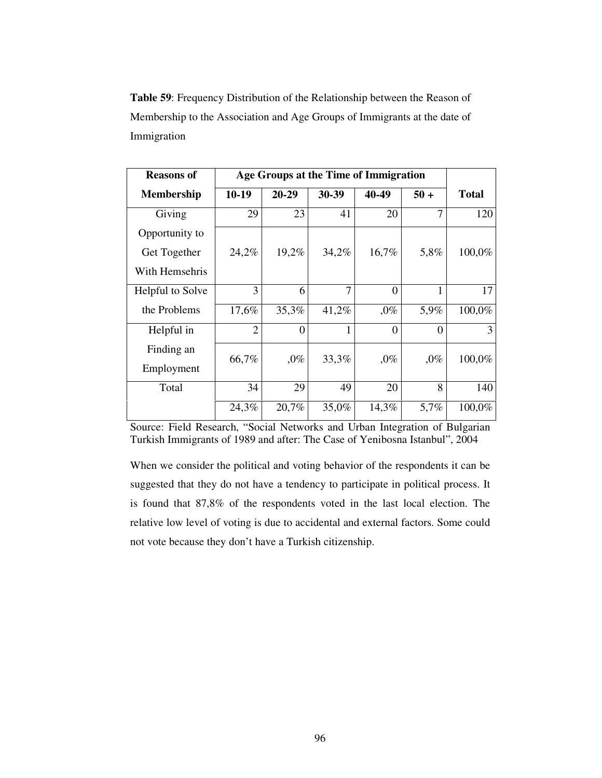**Table 59**: Frequency Distribution of the Relationship between the Reason of Membership to the Association and Age Groups of Immigrants at the date of Immigration

| <b>Reasons of</b> | Age Groups at the Time of Immigration |          |       |                |          |              |
|-------------------|---------------------------------------|----------|-------|----------------|----------|--------------|
| <b>Membership</b> | 10-19                                 | 20-29    | 30-39 | 40-49          | $50 +$   | <b>Total</b> |
| Giving            | 29                                    | 23       | 41    | 20             | 7        | 120          |
| Opportunity to    |                                       |          |       |                |          |              |
| Get Together      | 24,2%                                 | 19,2%    | 34,2% | 16,7%          | 5,8%     | 100,0%       |
| With Hemsehris    |                                       |          |       |                |          |              |
| Helpful to Solve  | 3                                     | 6        | 7     | $\overline{0}$ | 1        | 17           |
| the Problems      | 17,6%                                 | 35,3%    | 41,2% | $,0\%$         | 5,9%     | 100,0%       |
| Helpful in        | $\overline{2}$                        | $\Omega$ |       | $\overline{0}$ | $\Omega$ | 3            |
| Finding an        | 66,7%                                 | $,0\%$   | 33,3% | $,0\%$         | $,0\%$   | 100,0%       |
| Employment        |                                       |          |       |                |          |              |
| Total             | 34                                    | 29       | 49    | 20             | 8        | 140          |
|                   | 24,3%                                 | 20,7%    | 35,0% | 14,3%          | 5,7%     | 100,0%       |

Source: Field Research, "Social Networks and Urban Integration of Bulgarian Turkish Immigrants of 1989 and after: The Case of Yenibosna Istanbul", 2004

When we consider the political and voting behavior of the respondents it can be suggested that they do not have a tendency to participate in political process. It is found that 87,8% of the respondents voted in the last local election. The relative low level of voting is due to accidental and external factors. Some could not vote because they don't have a Turkish citizenship.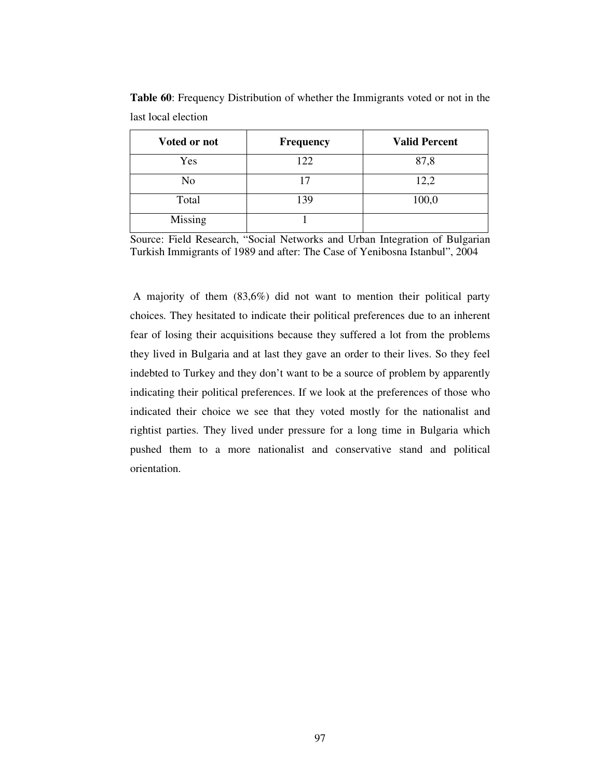| Voted or not   | <b>Frequency</b> | <b>Valid Percent</b> |
|----------------|------------------|----------------------|
| Yes            | 122              | 87,8                 |
| No             | 17               | 12,2                 |
| Total          | 139              | 100,0                |
| <b>Missing</b> |                  |                      |

**Table 60**: Frequency Distribution of whether the Immigrants voted or not in the last local election

Source: Field Research, "Social Networks and Urban Integration of Bulgarian Turkish Immigrants of 1989 and after: The Case of Yenibosna Istanbul", 2004

A majority of them (83,6%) did not want to mention their political party choices. They hesitated to indicate their political preferences due to an inherent fear of losing their acquisitions because they suffered a lot from the problems they lived in Bulgaria and at last they gave an order to their lives. So they feel indebted to Turkey and they don't want to be a source of problem by apparently indicating their political preferences. If we look at the preferences of those who indicated their choice we see that they voted mostly for the nationalist and rightist parties. They lived under pressure for a long time in Bulgaria which pushed them to a more nationalist and conservative stand and political orientation.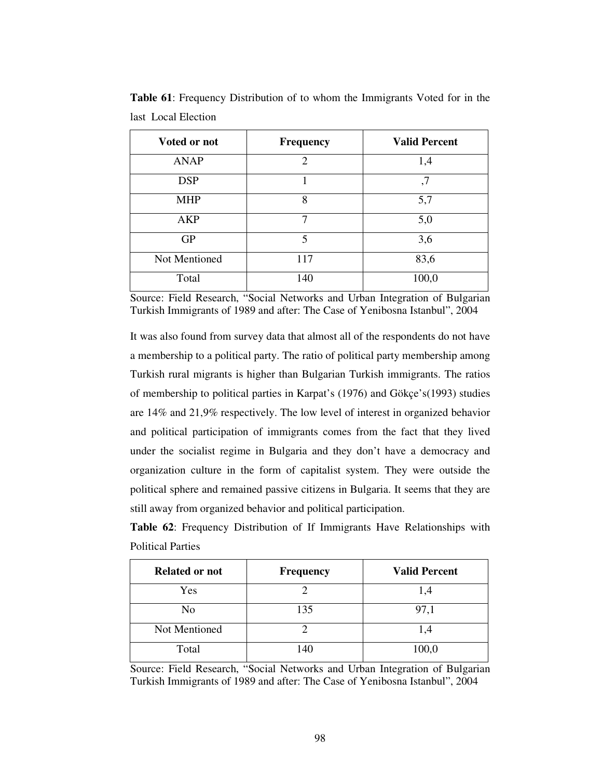| Voted or not  | Frequency      | <b>Valid Percent</b> |
|---------------|----------------|----------------------|
| <b>ANAP</b>   | $\overline{2}$ | 1,4                  |
| <b>DSP</b>    |                | ,7                   |
| <b>MHP</b>    | 8              | 5,7                  |
| AKP           | 7              | 5,0                  |
| <b>GP</b>     | 5              | 3,6                  |
| Not Mentioned | 117            | 83,6                 |
| Total         | 140            | 100,0                |

**Table 61**: Frequency Distribution of to whom the Immigrants Voted for in the last Local Election

Source: Field Research, "Social Networks and Urban Integration of Bulgarian Turkish Immigrants of 1989 and after: The Case of Yenibosna Istanbul", 2004

It was also found from survey data that almost all of the respondents do not have a membership to a political party. The ratio of political party membership among Turkish rural migrants is higher than Bulgarian Turkish immigrants. The ratios of membership to political parties in Karpat's (1976) and Gökçe's(1993) studies are 14% and 21,9% respectively. The low level of interest in organized behavior and political participation of immigrants comes from the fact that they lived under the socialist regime in Bulgaria and they don't have a democracy and organization culture in the form of capitalist system. They were outside the political sphere and remained passive citizens in Bulgaria. It seems that they are still away from organized behavior and political participation.

**Table 62**: Frequency Distribution of If Immigrants Have Relationships with Political Parties

| <b>Related or not</b> | <b>Frequency</b> | <b>Valid Percent</b> |
|-----------------------|------------------|----------------------|
| Yes                   |                  | 1,4                  |
| No                    | 135              | 97,1                 |
| Not Mentioned         |                  | 4. ا                 |
| Total                 | 140              | 100,0                |

Source: Field Research, "Social Networks and Urban Integration of Bulgarian Turkish Immigrants of 1989 and after: The Case of Yenibosna Istanbul", 2004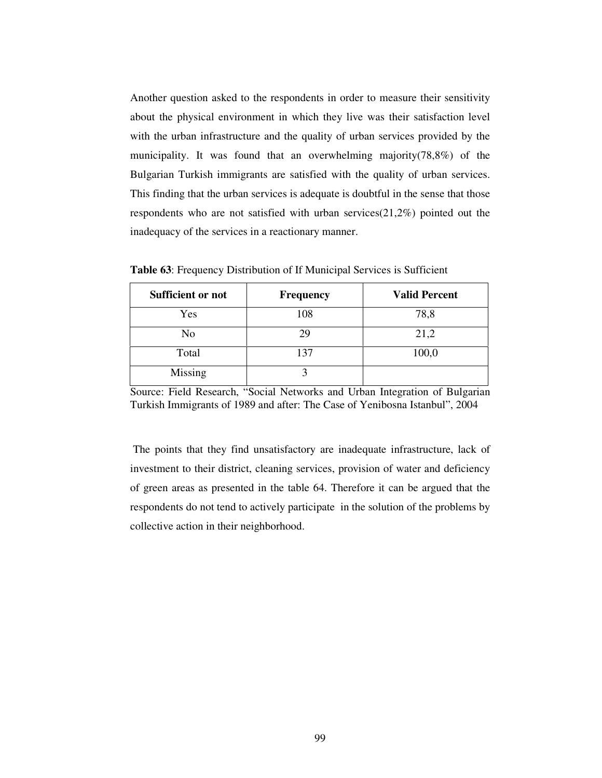Another question asked to the respondents in order to measure their sensitivity about the physical environment in which they live was their satisfaction level with the urban infrastructure and the quality of urban services provided by the municipality. It was found that an overwhelming majority(78,8%) of the Bulgarian Turkish immigrants are satisfied with the quality of urban services. This finding that the urban services is adequate is doubtful in the sense that those respondents who are not satisfied with urban services(21,2%) pointed out the inadequacy of the services in a reactionary manner.

| Sufficient or not | <b>Frequency</b> | <b>Valid Percent</b> |
|-------------------|------------------|----------------------|
| Yes               | 108              | 78,8                 |
| No                | 29               | 21,2                 |
| Total             | 137              | 100,0                |
| Missing           |                  |                      |

**Table 63**: Frequency Distribution of If Municipal Services is Sufficient

Source: Field Research, "Social Networks and Urban Integration of Bulgarian Turkish Immigrants of 1989 and after: The Case of Yenibosna Istanbul", 2004

The points that they find unsatisfactory are inadequate infrastructure, lack of investment to their district, cleaning services, provision of water and deficiency of green areas as presented in the table 64. Therefore it can be argued that the respondents do not tend to actively participate in the solution of the problems by collective action in their neighborhood.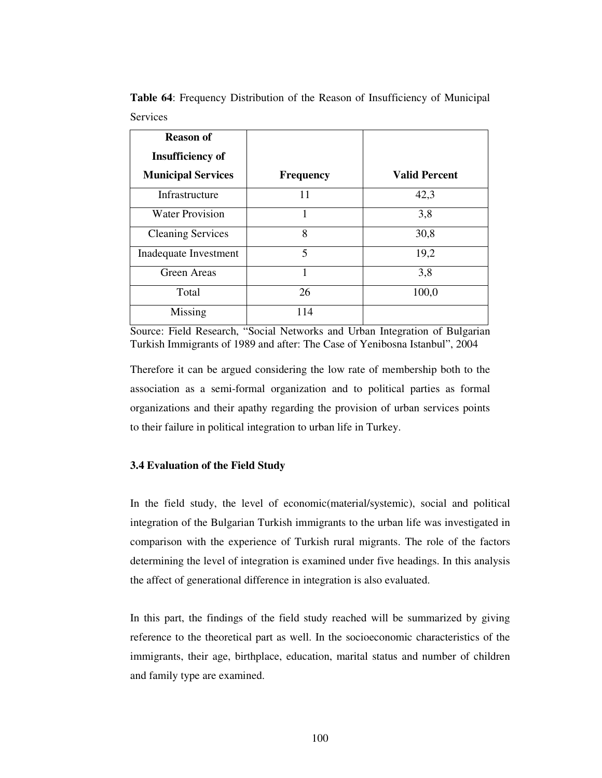| <b>Reason of</b>          |                  |                      |
|---------------------------|------------------|----------------------|
| <b>Insufficiency of</b>   |                  |                      |
| <b>Municipal Services</b> | <b>Frequency</b> | <b>Valid Percent</b> |
| Infrastructure            | 11               | 42,3                 |
| <b>Water Provision</b>    | 1                | 3,8                  |
| <b>Cleaning Services</b>  | 8                | 30,8                 |
| Inadequate Investment     | 5                | 19,2                 |
| <b>Green Areas</b>        |                  | 3,8                  |
| Total                     | 26               | 100,0                |
| Missing                   | 114              |                      |

**Table 64**: Frequency Distribution of the Reason of Insufficiency of Municipal Services

Source: Field Research, "Social Networks and Urban Integration of Bulgarian Turkish Immigrants of 1989 and after: The Case of Yenibosna Istanbul", 2004

Therefore it can be argued considering the low rate of membership both to the association as a semi-formal organization and to political parties as formal organizations and their apathy regarding the provision of urban services points to their failure in political integration to urban life in Turkey.

#### **3.4 Evaluation of the Field Study**

In the field study, the level of economic(material/systemic), social and political integration of the Bulgarian Turkish immigrants to the urban life was investigated in comparison with the experience of Turkish rural migrants. The role of the factors determining the level of integration is examined under five headings. In this analysis the affect of generational difference in integration is also evaluated.

In this part, the findings of the field study reached will be summarized by giving reference to the theoretical part as well. In the socioeconomic characteristics of the immigrants, their age, birthplace, education, marital status and number of children and family type are examined.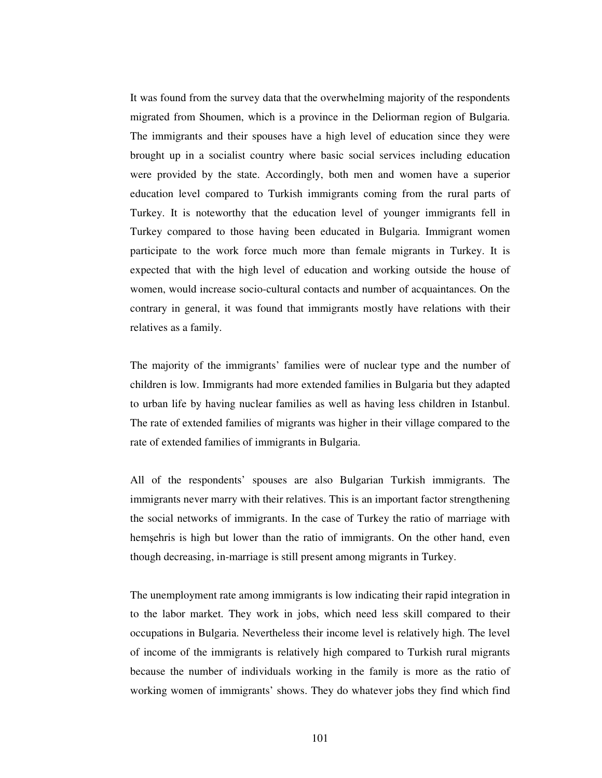It was found from the survey data that the overwhelming majority of the respondents migrated from Shoumen, which is a province in the Deliorman region of Bulgaria. The immigrants and their spouses have a high level of education since they were brought up in a socialist country where basic social services including education were provided by the state. Accordingly, both men and women have a superior education level compared to Turkish immigrants coming from the rural parts of Turkey. It is noteworthy that the education level of younger immigrants fell in Turkey compared to those having been educated in Bulgaria. Immigrant women participate to the work force much more than female migrants in Turkey. It is expected that with the high level of education and working outside the house of women, would increase socio-cultural contacts and number of acquaintances. On the contrary in general, it was found that immigrants mostly have relations with their relatives as a family.

The majority of the immigrants' families were of nuclear type and the number of children is low. Immigrants had more extended families in Bulgaria but they adapted to urban life by having nuclear families as well as having less children in Istanbul. The rate of extended families of migrants was higher in their village compared to the rate of extended families of immigrants in Bulgaria.

All of the respondents' spouses are also Bulgarian Turkish immigrants. The immigrants never marry with their relatives. This is an important factor strengthening the social networks of immigrants. In the case of Turkey the ratio of marriage with hemșehris is high but lower than the ratio of immigrants. On the other hand, even though decreasing, in-marriage is still present among migrants in Turkey.

The unemployment rate among immigrants is low indicating their rapid integration in to the labor market. They work in jobs, which need less skill compared to their occupations in Bulgaria. Nevertheless their income level is relatively high. The level of income of the immigrants is relatively high compared to Turkish rural migrants because the number of individuals working in the family is more as the ratio of working women of immigrants' shows. They do whatever jobs they find which find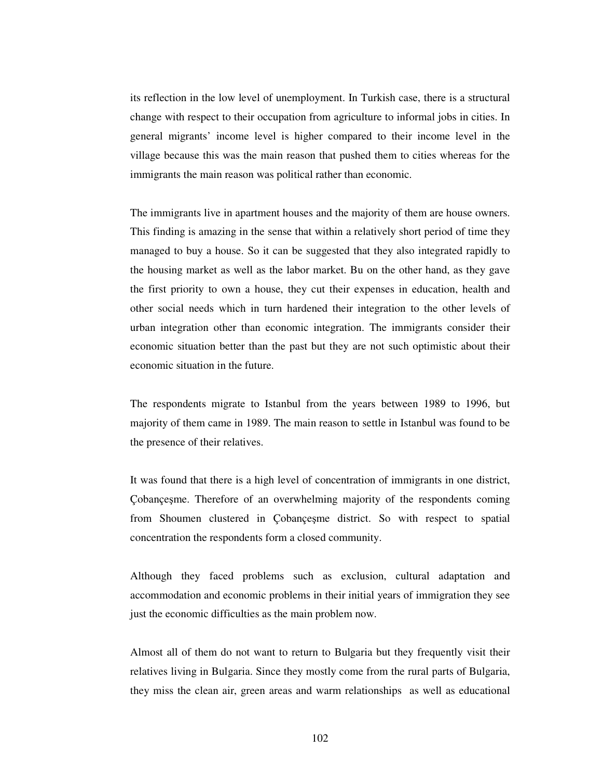its reflection in the low level of unemployment. In Turkish case, there is a structural change with respect to their occupation from agriculture to informal jobs in cities. In general migrants' income level is higher compared to their income level in the village because this was the main reason that pushed them to cities whereas for the immigrants the main reason was political rather than economic.

The immigrants live in apartment houses and the majority of them are house owners. This finding is amazing in the sense that within a relatively short period of time they managed to buy a house. So it can be suggested that they also integrated rapidly to the housing market as well as the labor market. Bu on the other hand, as they gave the first priority to own a house, they cut their expenses in education, health and other social needs which in turn hardened their integration to the other levels of urban integration other than economic integration. The immigrants consider their economic situation better than the past but they are not such optimistic about their economic situation in the future.

The respondents migrate to Istanbul from the years between 1989 to 1996, but majority of them came in 1989. The main reason to settle in Istanbul was found to be the presence of their relatives.

It was found that there is a high level of concentration of immigrants in one district, Çobançeşme. Therefore of an overwhelming majority of the respondents coming from Shoumen clustered in Çobançeşme district. So with respect to spatial concentration the respondents form a closed community.

Although they faced problems such as exclusion, cultural adaptation and accommodation and economic problems in their initial years of immigration they see just the economic difficulties as the main problem now.

Almost all of them do not want to return to Bulgaria but they frequently visit their relatives living in Bulgaria. Since they mostly come from the rural parts of Bulgaria, they miss the clean air, green areas and warm relationships as well as educational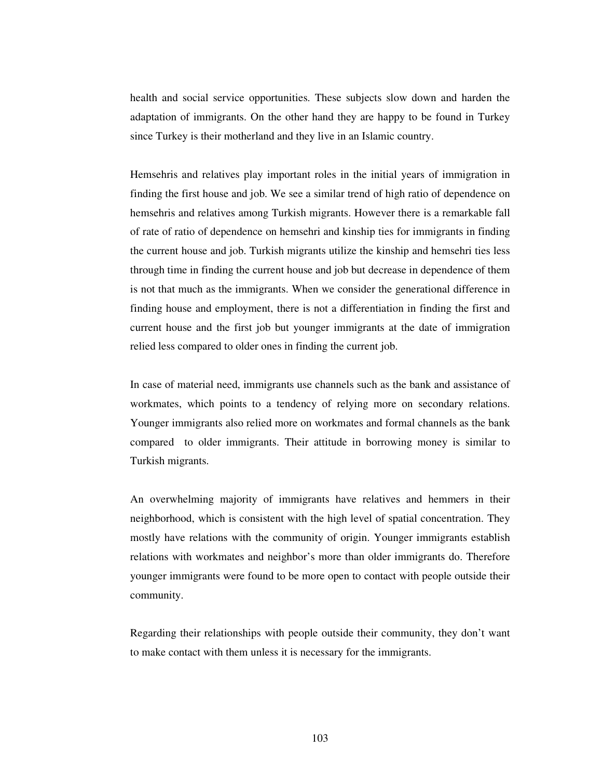health and social service opportunities. These subjects slow down and harden the adaptation of immigrants. On the other hand they are happy to be found in Turkey since Turkey is their motherland and they live in an Islamic country.

Hemsehris and relatives play important roles in the initial years of immigration in finding the first house and job. We see a similar trend of high ratio of dependence on hemsehris and relatives among Turkish migrants. However there is a remarkable fall of rate of ratio of dependence on hemsehri and kinship ties for immigrants in finding the current house and job. Turkish migrants utilize the kinship and hemsehri ties less through time in finding the current house and job but decrease in dependence of them is not that much as the immigrants. When we consider the generational difference in finding house and employment, there is not a differentiation in finding the first and current house and the first job but younger immigrants at the date of immigration relied less compared to older ones in finding the current job.

In case of material need, immigrants use channels such as the bank and assistance of workmates, which points to a tendency of relying more on secondary relations. Younger immigrants also relied more on workmates and formal channels as the bank compared to older immigrants. Their attitude in borrowing money is similar to Turkish migrants.

An overwhelming majority of immigrants have relatives and hemmers in their neighborhood, which is consistent with the high level of spatial concentration. They mostly have relations with the community of origin. Younger immigrants establish relations with workmates and neighbor's more than older immigrants do. Therefore younger immigrants were found to be more open to contact with people outside their community.

Regarding their relationships with people outside their community, they don't want to make contact with them unless it is necessary for the immigrants.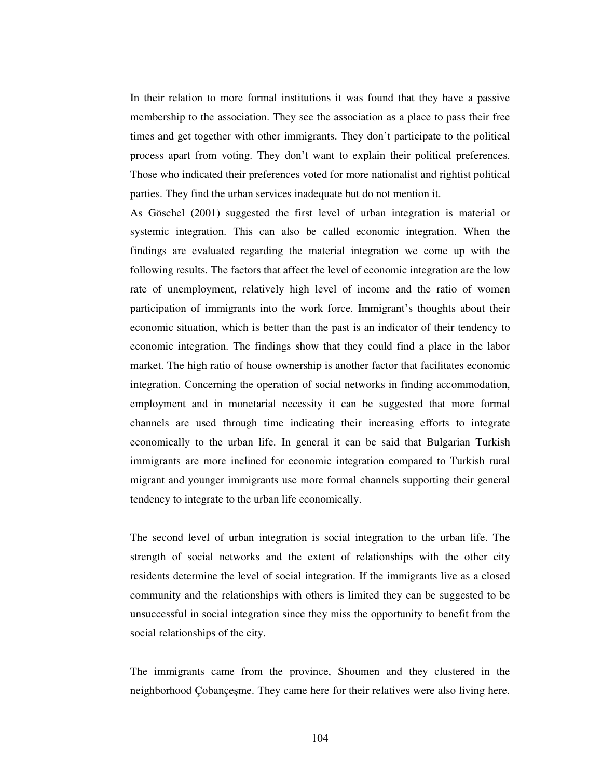In their relation to more formal institutions it was found that they have a passive membership to the association. They see the association as a place to pass their free times and get together with other immigrants. They don't participate to the political process apart from voting. They don't want to explain their political preferences. Those who indicated their preferences voted for more nationalist and rightist political parties. They find the urban services inadequate but do not mention it.

As Göschel (2001) suggested the first level of urban integration is material or systemic integration. This can also be called economic integration. When the findings are evaluated regarding the material integration we come up with the following results. The factors that affect the level of economic integration are the low rate of unemployment, relatively high level of income and the ratio of women participation of immigrants into the work force. Immigrant's thoughts about their economic situation, which is better than the past is an indicator of their tendency to economic integration. The findings show that they could find a place in the labor market. The high ratio of house ownership is another factor that facilitates economic integration. Concerning the operation of social networks in finding accommodation, employment and in monetarial necessity it can be suggested that more formal channels are used through time indicating their increasing efforts to integrate economically to the urban life. In general it can be said that Bulgarian Turkish immigrants are more inclined for economic integration compared to Turkish rural migrant and younger immigrants use more formal channels supporting their general tendency to integrate to the urban life economically.

The second level of urban integration is social integration to the urban life. The strength of social networks and the extent of relationships with the other city residents determine the level of social integration. If the immigrants live as a closed community and the relationships with others is limited they can be suggested to be unsuccessful in social integration since they miss the opportunity to benefit from the social relationships of the city.

The immigrants came from the province, Shoumen and they clustered in the neighborhood Çobançeşme. They came here for their relatives were also living here.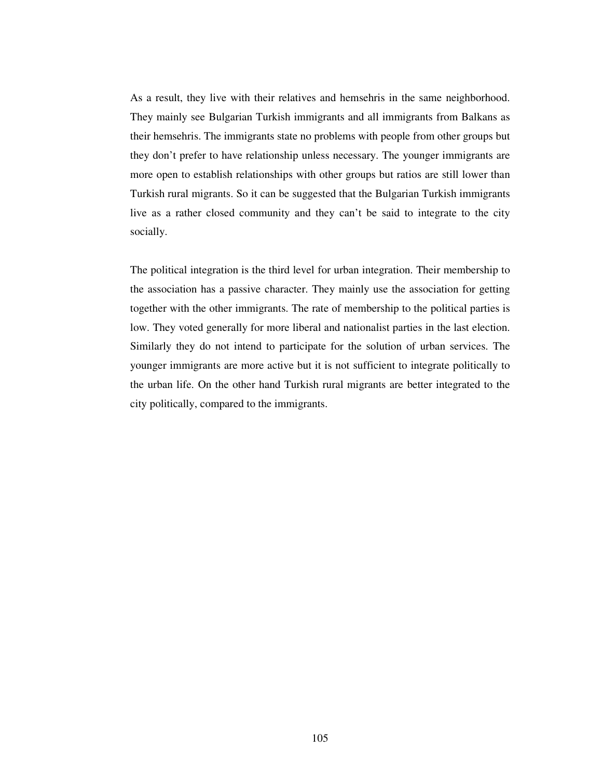As a result, they live with their relatives and hemsehris in the same neighborhood. They mainly see Bulgarian Turkish immigrants and all immigrants from Balkans as their hemsehris. The immigrants state no problems with people from other groups but they don't prefer to have relationship unless necessary. The younger immigrants are more open to establish relationships with other groups but ratios are still lower than Turkish rural migrants. So it can be suggested that the Bulgarian Turkish immigrants live as a rather closed community and they can't be said to integrate to the city socially.

The political integration is the third level for urban integration. Their membership to the association has a passive character. They mainly use the association for getting together with the other immigrants. The rate of membership to the political parties is low. They voted generally for more liberal and nationalist parties in the last election. Similarly they do not intend to participate for the solution of urban services. The younger immigrants are more active but it is not sufficient to integrate politically to the urban life. On the other hand Turkish rural migrants are better integrated to the city politically, compared to the immigrants.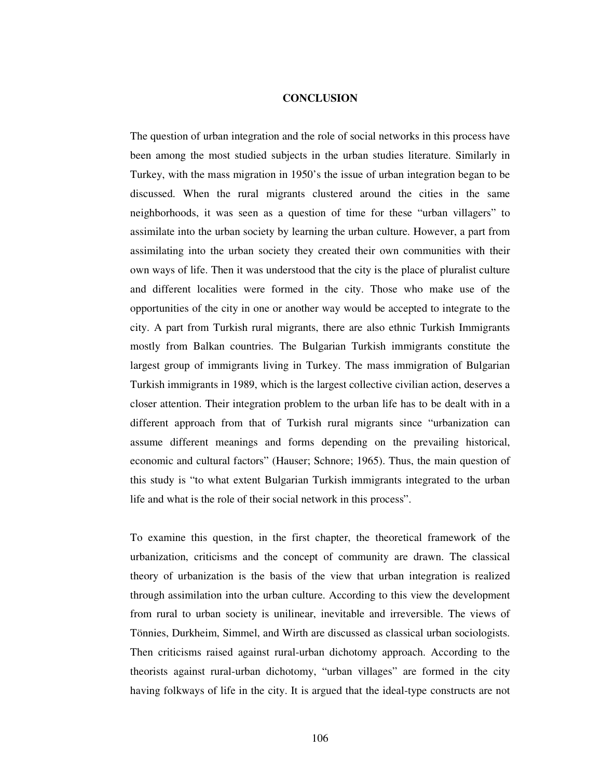#### **CONCLUSION**

The question of urban integration and the role of social networks in this process have been among the most studied subjects in the urban studies literature. Similarly in Turkey, with the mass migration in 1950's the issue of urban integration began to be discussed. When the rural migrants clustered around the cities in the same neighborhoods, it was seen as a question of time for these "urban villagers" to assimilate into the urban society by learning the urban culture. However, a part from assimilating into the urban society they created their own communities with their own ways of life. Then it was understood that the city is the place of pluralist culture and different localities were formed in the city. Those who make use of the opportunities of the city in one or another way would be accepted to integrate to the city. A part from Turkish rural migrants, there are also ethnic Turkish Immigrants mostly from Balkan countries. The Bulgarian Turkish immigrants constitute the largest group of immigrants living in Turkey. The mass immigration of Bulgarian Turkish immigrants in 1989, which is the largest collective civilian action, deserves a closer attention. Their integration problem to the urban life has to be dealt with in a different approach from that of Turkish rural migrants since "urbanization can assume different meanings and forms depending on the prevailing historical, economic and cultural factors" (Hauser; Schnore; 1965). Thus, the main question of this study is "to what extent Bulgarian Turkish immigrants integrated to the urban life and what is the role of their social network in this process".

To examine this question, in the first chapter, the theoretical framework of the urbanization, criticisms and the concept of community are drawn. The classical theory of urbanization is the basis of the view that urban integration is realized through assimilation into the urban culture. According to this view the development from rural to urban society is unilinear, inevitable and irreversible. The views of Tönnies, Durkheim, Simmel, and Wirth are discussed as classical urban sociologists. Then criticisms raised against rural-urban dichotomy approach. According to the theorists against rural-urban dichotomy, "urban villages" are formed in the city having folkways of life in the city. It is argued that the ideal-type constructs are not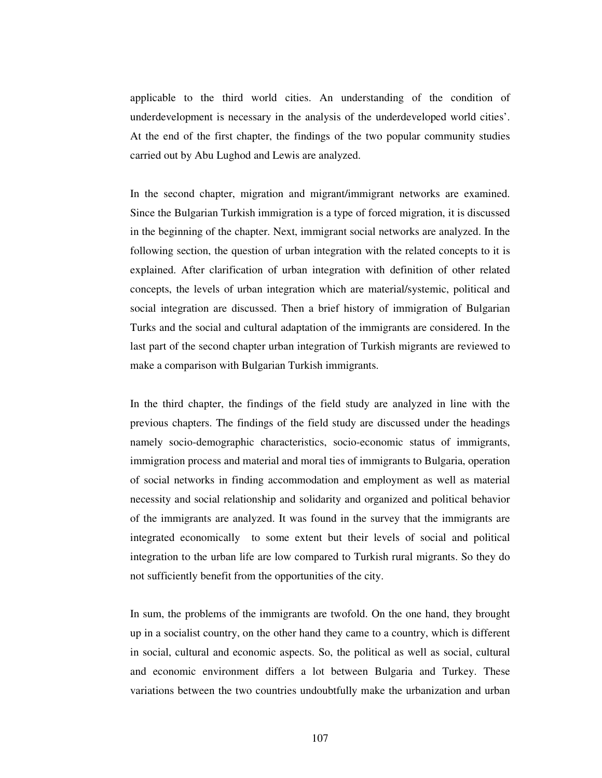applicable to the third world cities. An understanding of the condition of underdevelopment is necessary in the analysis of the underdeveloped world cities'. At the end of the first chapter, the findings of the two popular community studies carried out by Abu Lughod and Lewis are analyzed.

In the second chapter, migration and migrant/immigrant networks are examined. Since the Bulgarian Turkish immigration is a type of forced migration, it is discussed in the beginning of the chapter. Next, immigrant social networks are analyzed. In the following section, the question of urban integration with the related concepts to it is explained. After clarification of urban integration with definition of other related concepts, the levels of urban integration which are material/systemic, political and social integration are discussed. Then a brief history of immigration of Bulgarian Turks and the social and cultural adaptation of the immigrants are considered. In the last part of the second chapter urban integration of Turkish migrants are reviewed to make a comparison with Bulgarian Turkish immigrants.

In the third chapter, the findings of the field study are analyzed in line with the previous chapters. The findings of the field study are discussed under the headings namely socio-demographic characteristics, socio-economic status of immigrants, immigration process and material and moral ties of immigrants to Bulgaria, operation of social networks in finding accommodation and employment as well as material necessity and social relationship and solidarity and organized and political behavior of the immigrants are analyzed. It was found in the survey that the immigrants are integrated economically to some extent but their levels of social and political integration to the urban life are low compared to Turkish rural migrants. So they do not sufficiently benefit from the opportunities of the city.

In sum, the problems of the immigrants are twofold. On the one hand, they brought up in a socialist country, on the other hand they came to a country, which is different in social, cultural and economic aspects. So, the political as well as social, cultural and economic environment differs a lot between Bulgaria and Turkey. These variations between the two countries undoubtfully make the urbanization and urban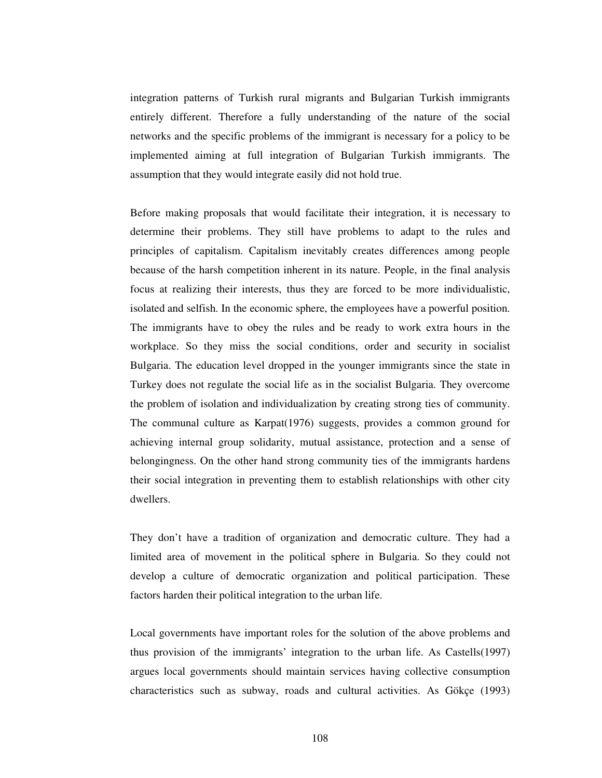integration patterns of Turkish rural migrants and Bulgarian Turkish immigrants entirely different. Therefore a fully understanding of the nature of the social networks and the specific problems of the immigrant is necessary for a policy to be implemented aiming at full integration of Bulgarian Turkish immigrants. The assumption that they would integrate easily did not hold true.

Before making proposals that would facilitate their integration, it is necessary to determine their problems. They still have problems to adapt to the rules and principles of capitalism. Capitalism inevitably creates differences among people because of the harsh competition inherent in its nature. People, in the final analysis focus at realizing their interests, thus they are forced to be more individualistic, isolated and selfish. In the economic sphere, the employees have a powerful position. The immigrants have to obey the rules and be ready to work extra hours in the workplace. So they miss the social conditions, order and security in socialist Bulgaria. The education level dropped in the younger immigrants since the state in Turkey does not regulate the social life as in the socialist Bulgaria. They overcome the problem of isolation and individualization by creating strong ties of community. The communal culture as Karpat(1976) suggests, provides a common ground for achieving internal group solidarity, mutual assistance, protection and a sense of belongingness. On the other hand strong community ties of the immigrants hardens their social integration in preventing them to establish relationships with other city dwellers.

They don't have a tradition of organization and democratic culture. They had a limited area of movement in the political sphere in Bulgaria. So they could not develop a culture of democratic organization and political participation. These factors harden their political integration to the urban life.

Local governments have important roles for the solution of the above problems and thus provision of the immigrants' integration to the urban life. As Castells(1997) argues local governments should maintain services having collective consumption characteristics such as subway, roads and cultural activities. As Gökçe (1993)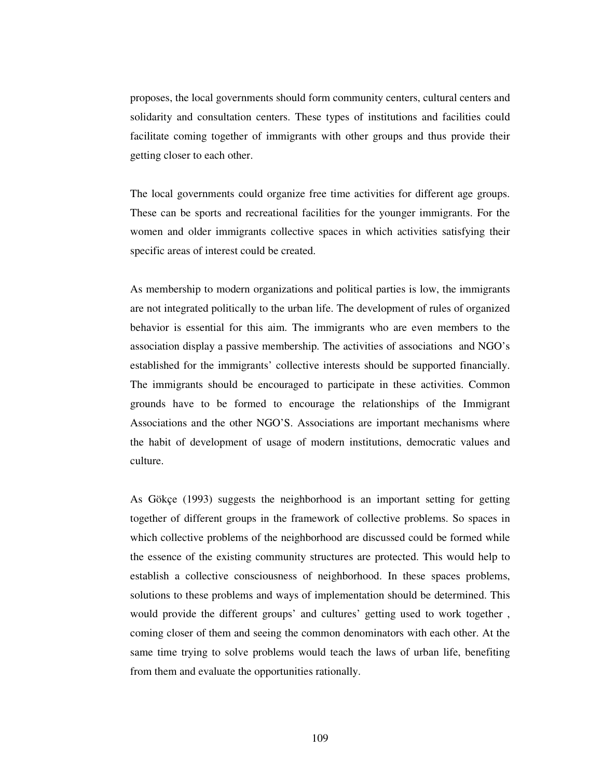proposes, the local governments should form community centers, cultural centers and solidarity and consultation centers. These types of institutions and facilities could facilitate coming together of immigrants with other groups and thus provide their getting closer to each other.

The local governments could organize free time activities for different age groups. These can be sports and recreational facilities for the younger immigrants. For the women and older immigrants collective spaces in which activities satisfying their specific areas of interest could be created.

As membership to modern organizations and political parties is low, the immigrants are not integrated politically to the urban life. The development of rules of organized behavior is essential for this aim. The immigrants who are even members to the association display a passive membership. The activities of associations and NGO's established for the immigrants' collective interests should be supported financially. The immigrants should be encouraged to participate in these activities. Common grounds have to be formed to encourage the relationships of the Immigrant Associations and the other NGO'S. Associations are important mechanisms where the habit of development of usage of modern institutions, democratic values and culture.

As Gökçe (1993) suggests the neighborhood is an important setting for getting together of different groups in the framework of collective problems. So spaces in which collective problems of the neighborhood are discussed could be formed while the essence of the existing community structures are protected. This would help to establish a collective consciousness of neighborhood. In these spaces problems, solutions to these problems and ways of implementation should be determined. This would provide the different groups' and cultures' getting used to work together , coming closer of them and seeing the common denominators with each other. At the same time trying to solve problems would teach the laws of urban life, benefiting from them and evaluate the opportunities rationally.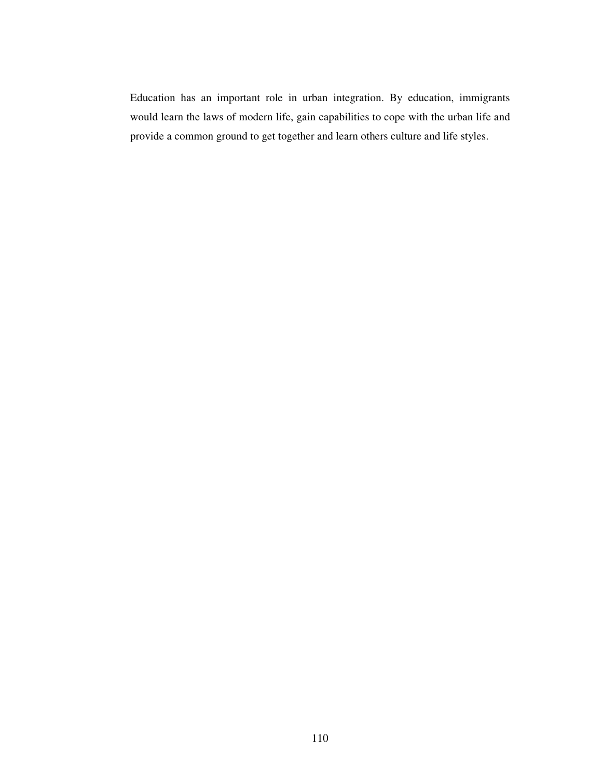Education has an important role in urban integration. By education, immigrants would learn the laws of modern life, gain capabilities to cope with the urban life and provide a common ground to get together and learn others culture and life styles.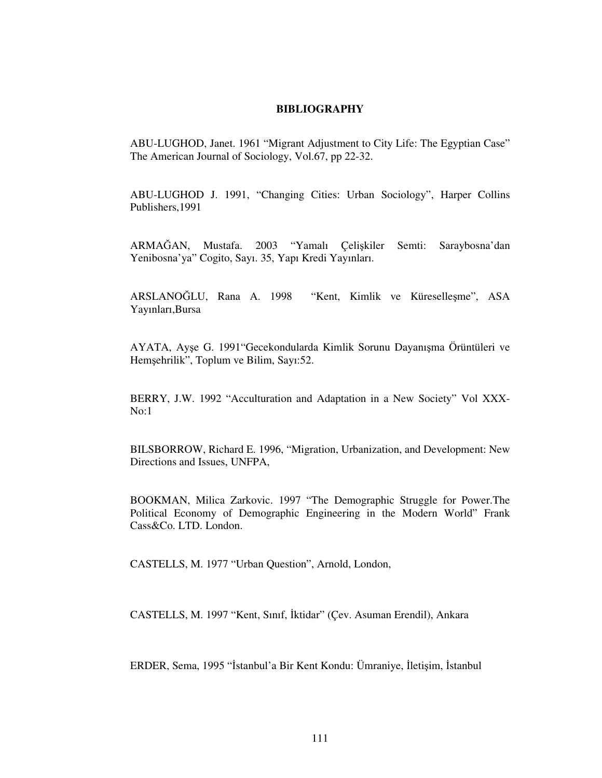## **BIBLIOGRAPHY**

ABU-LUGHOD, Janet. 1961 "Migrant Adjustment to City Life: The Egyptian Case" The American Journal of Sociology, Vol.67, pp 22-32.

ABU-LUGHOD J. 1991, "Changing Cities: Urban Sociology", Harper Collins Publishers,1991

ARMAĞAN, Mustafa. 2003 "Yamalı Çelişkiler Semti: Saraybosna'dan Yenibosna'ya" Cogito, Sayı. 35, Yapı Kredi Yayınları.

ARSLANOLU, Rana A. 1998 "Kent, Kimlik ve Küreselle-me", ASA Yayınları,Bursa

AYATA, Ayşe G. 1991"Gecekondularda Kimlik Sorunu Dayanışma Örüntüleri ve Hemşehrilik", Toplum ve Bilim, Sayı:52.

BERRY, J.W. 1992 "Acculturation and Adaptation in a New Society" Vol XXX- $No:1$ 

BILSBORROW, Richard E. 1996, "Migration, Urbanization, and Development: New Directions and Issues, UNFPA,

BOOKMAN, Milica Zarkovic. 1997 "The Demographic Struggle for Power.The Political Economy of Demographic Engineering in the Modern World" Frank Cass&Co. LTD. London.

CASTELLS, M. 1977 "Urban Question", Arnold, London,

CASTELLS, M. 1997 "Kent, Sınıf, İktidar" (Çev. Asuman Erendil), Ankara

ERDER, Sema, 1995 "İstanbul'a Bir Kent Kondu: Ümraniye, İletişim, İstanbul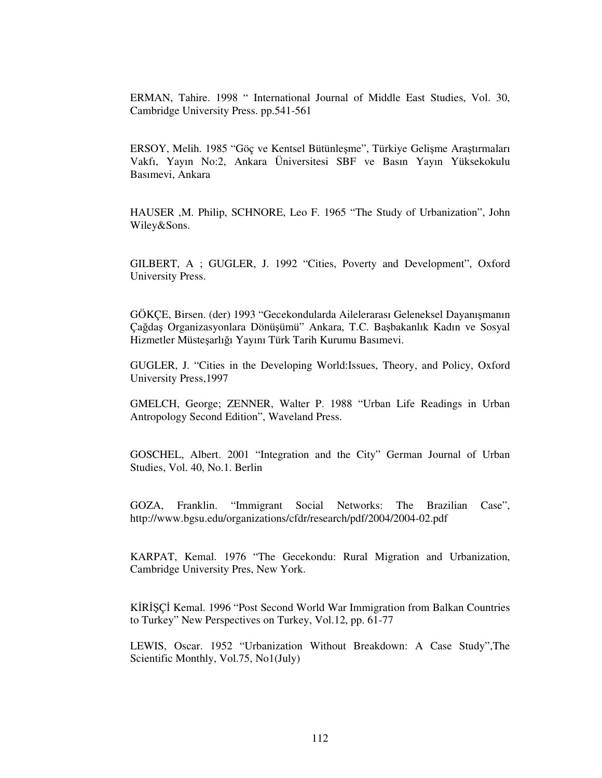ERMAN, Tahire. 1998 " International Journal of Middle East Studies, Vol. 30, Cambridge University Press. pp.541-561

ERSOY, Melih. 1985 "Göç ve Kentsel Bütünleşme", Türkiye Gelişme Araştırmaları Vakfı, Yayın No:2, Ankara Üniversitesi SBF ve Basın Yayın Yüksekokulu Basımevi, Ankara

HAUSER ,M. Philip, SCHNORE, Leo F. 1965 "The Study of Urbanization", John Wiley&Sons.

GILBERT, A ; GUGLER, J. 1992 "Cities, Poverty and Development", Oxford University Press.

GÖKÇE, Birsen. (der) 1993 "Gecekondularda Ailelerarası Geleneksel Dayanışmanın Çağdaş Organizasyonlara Dönüşümü" Ankara, T.C. Başbakanlık Kadın ve Sosyal Hizmetler Müsteşarlığı Yayını Türk Tarih Kurumu Basımevi.

GUGLER, J. "Cities in the Developing World:Issues, Theory, and Policy, Oxford University Press,1997

GMELCH, George; ZENNER, Walter P. 1988 "Urban Life Readings in Urban Antropology Second Edition", Waveland Press.

GOSCHEL, Albert. 2001 "Integration and the City" German Journal of Urban Studies, Vol. 40, No.1. Berlin

GOZA, Franklin. "Immigrant Social Networks: The Brazilian Case", http://www.bgsu.edu/organizations/cfdr/research/pdf/2004/2004-02.pdf

KARPAT, Kemal. 1976 "The Gecekondu: Rural Migration and Urbanization, Cambridge University Pres, New York.

KIRISCI Kemal. 1996 "Post Second World War Immigration from Balkan Countries to Turkey" New Perspectives on Turkey, Vol.12, pp. 61-77

LEWIS, Oscar. 1952 "Urbanization Without Breakdown: A Case Study",The Scientific Monthly, Vol.75, No1(July)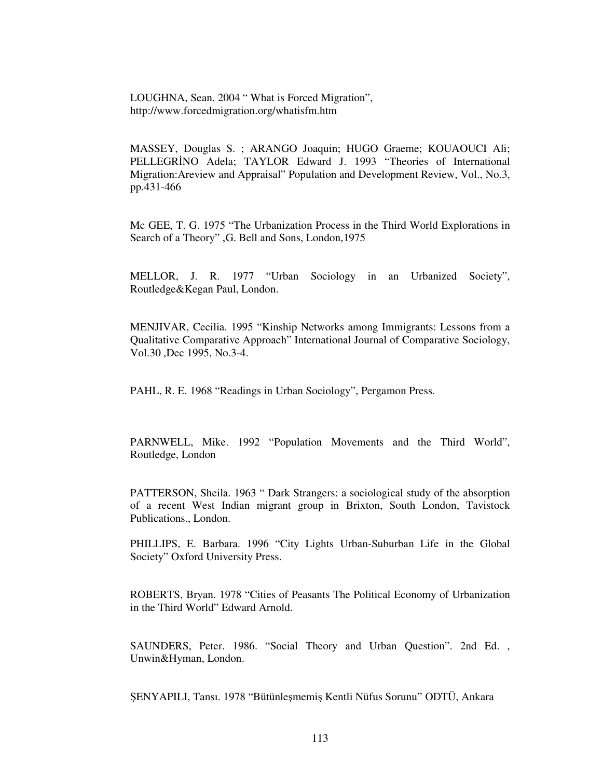LOUGHNA, Sean. 2004 " What is Forced Migration", http://www.forcedmigration.org/whatisfm.htm

MASSEY, Douglas S. ; ARANGO Joaquin; HUGO Graeme; KOUAOUCI Ali; PELLEGRINO Adela; TAYLOR Edward J. 1993 "Theories of International Migration:Areview and Appraisal" Population and Development Review, Vol., No.3, pp.431-466

Mc GEE, T. G. 1975 "The Urbanization Process in the Third World Explorations in Search of a Theory" ,G. Bell and Sons, London,1975

MELLOR, J. R. 1977 "Urban Sociology in an Urbanized Society", Routledge&Kegan Paul, London.

MENJIVAR, Cecilia. 1995 "Kinship Networks among Immigrants: Lessons from a Qualitative Comparative Approach" International Journal of Comparative Sociology, Vol.30 ,Dec 1995, No.3-4.

PAHL, R. E. 1968 "Readings in Urban Sociology", Pergamon Press.

PARNWELL, Mike. 1992 "Population Movements and the Third World", Routledge, London

PATTERSON, Sheila. 1963 " Dark Strangers: a sociological study of the absorption of a recent West Indian migrant group in Brixton, South London, Tavistock Publications., London.

PHILLIPS, E. Barbara. 1996 "City Lights Urban-Suburban Life in the Global Society" Oxford University Press.

ROBERTS, Bryan. 1978 "Cities of Peasants The Political Economy of Urbanization in the Third World" Edward Arnold.

SAUNDERS, Peter. 1986. "Social Theory and Urban Question". 2nd Ed. , Unwin&Hyman, London.

ŞENYAPILI, Tansı. 1978 "Bütünleşmemiş Kentli Nüfus Sorunu" ODTÜ, Ankara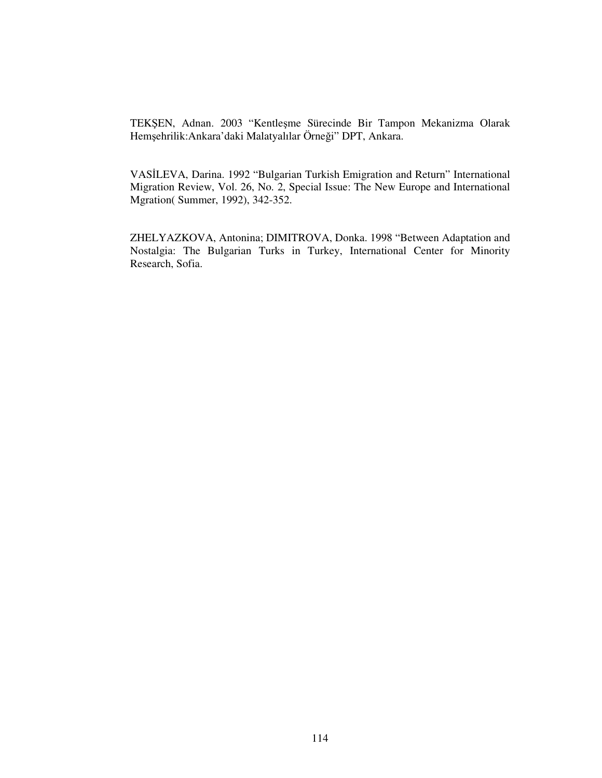TEKŞEN, Adnan. 2003 "Kentleşme Sürecinde Bir Tampon Mekanizma Olarak Hemşehrilik:Ankara'daki Malatyalılar Örneği'' DPT, Ankara.

VASLEVA, Darina. 1992 "Bulgarian Turkish Emigration and Return" International Migration Review, Vol. 26, No. 2, Special Issue: The New Europe and International Mgration( Summer, 1992), 342-352.

ZHELYAZKOVA, Antonina; DIMITROVA, Donka. 1998 "Between Adaptation and Nostalgia: The Bulgarian Turks in Turkey, International Center for Minority Research, Sofia.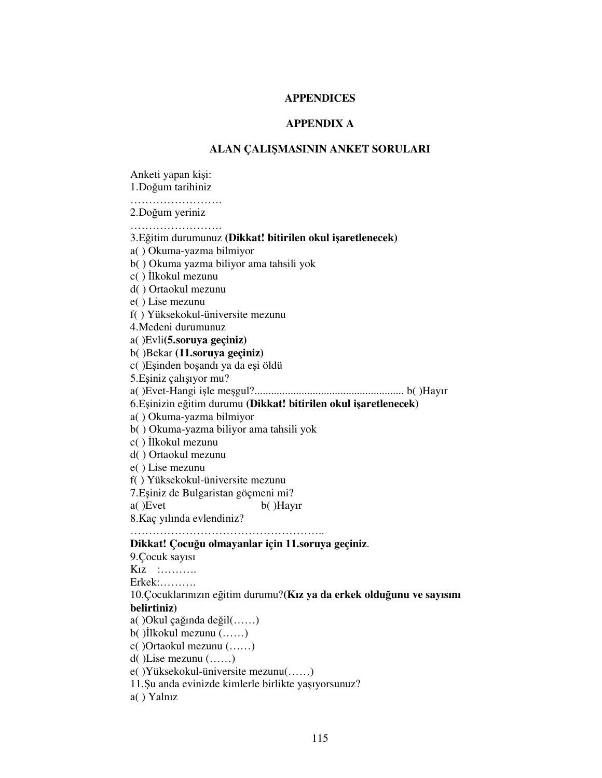## **APPENDICES**

# **APPENDIX A**

# **ALAN ÇALI**-**MASININ ANKET SORULARI**

Anketi yapan kişi: 1.Doğum tarihiniz ……………………… 2.Doğum yeriniz ……………………… 3.Eitim durumunuz **(Dikkat! bitirilen okul iaretlenecek)** a( ) Okuma-yazma bilmiyor b( ) Okuma yazma biliyor ama tahsili yok c() İlkokul mezunu d( ) Ortaokul mezunu e( ) Lise mezunu f( ) Yüksekokul-üniversite mezunu 4.Medeni durumunuz a( )Evli**(5.soruya geçiniz)** b( )Bekar **(11.soruya geçiniz)** c()Eşinden boşandı ya da eşi öldü 5.Eşiniz çalışıyor mu? a( )Evet-Hangi i-le me-gul?...................................................... b( )Hayır 6.E-inizin eitim durumu **(Dikkat! bitirilen okul iaretlenecek)** a( ) Okuma-yazma bilmiyor b( ) Okuma-yazma biliyor ama tahsili yok c( ) lkokul mezunu d( ) Ortaokul mezunu e( ) Lise mezunu f( ) Yüksekokul-üniversite mezunu 7. Eşiniz de Bulgaristan göçmeni mi? a( )Evet b( )Hayır 8.Kaç yılında evlendiniz? …………………………………………….. **Dikkat! Çocuu olmayanlar için 11.soruya geçiniz**. 9.Çocuk sayısı Kız :………. Erkek:………. 10.Çocuklarınızın eğitim durumu?(Kız ya da erkek olduğunu ve sayısını **belirtiniz)** a() Okul çağında değil $(\ldots)$  $b$ () lkokul mezunu  $(\ldots)$ c( )Ortaokul mezunu (……) d( )Lise mezunu (……) e( )Yüksekokul-üniversite mezunu(……) 11.Şu anda evinizde kimlerle birlikte yaşıyorsunuz? a( ) Yalnız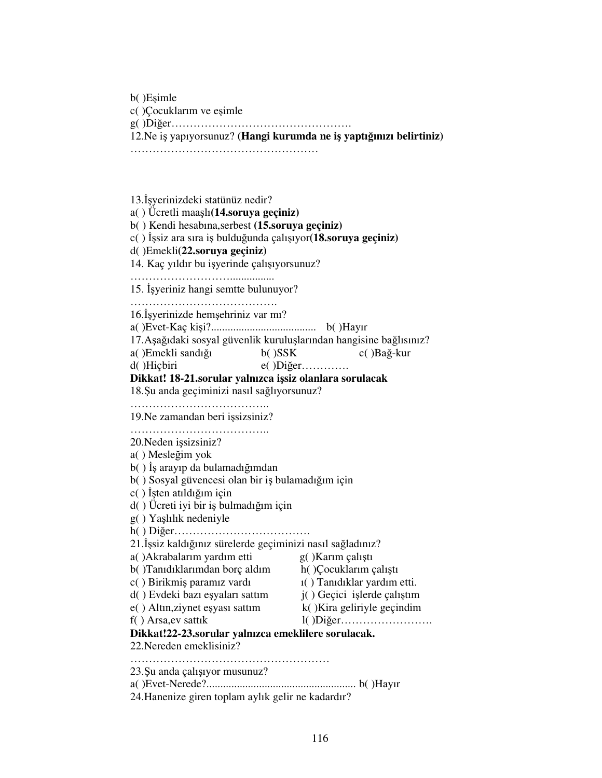b()Eşimle

c()Çocuklarım ve eşimle

g( )Dier………………………………………….

12. Ne iş yapıyorsunuz? (Hangi kurumda ne iş yaptığınızı belirtiniz)

……………………………………………

13. İşyerinizdeki statünüz nedir? a( ) Ücretli maaşlı(**14.soruya geçiniz**) b( ) Kendi hesabına,serbest **(15.soruya geçiniz)** c( ) İşsiz ara sıra iş bulduğunda çalışıyor(**18.soruya geçiniz)** d( )Emekli**(22.soruya geçiniz)** 14. Kaç yıldır bu işyerinde çalışıyorsunuz? ………………………................ 15. Işyeriniz hangi semtte bulunuyor? ………………………………………… 16. İşyerinizde hemşehriniz var mı? a( )Evet-Kaç ki-i?...................................... b( )Hayır 17. Aşağıdaki sosyal güvenlik kuruluşlarından hangisine bağlısınız? a( )Emekli sandığı b( )SSK c( )Bağ-kur d( )Hiçbiri e( )Diğer…………. **Dikkat! 18-21.sorular yalnızca isiz olanlara sorulacak** 18. Su anda geçiminizi nasıl sağlıyorsunuz? ………………………………………… 19. Ne zamandan beri işsizsiniz? …………………………………… 20. Neden işsizsiniz? a() Mesleğim yok b( ) İş arayıp da bulamadığımdan b( ) Sosyal güvencesi olan bir iş bulamadığım için c() İşten atıldığım için d( ) Ücreti iyi bir iş bulmadığım için g() Yaşlılık nedeniyle h( ) Dier………………………………. 21.İşsiz kaldığınız sürelerde geçiminizi nasıl sağladınız? a() Akrabalarım yardım etti g()Karım çalıştı b( )Tanıdıklarımdan borç aldım h()Cocuklarım çalıştı c() Birikmiş paramız vardı 1( ) Tanıdıklar yardım etti. d() Evdeki bazı eşyaları sattım yaları sattım *j*() Geçici işlerde çalıştım e() Altın, ziynet eşyası sattım  $k()$ Kira geliriyle geçindim f( ) Arsa,ev sattık l( )Dier……………………. **Dikkat!22-23.sorular yalnızca emeklilere sorulacak.** 22.Nereden emeklisiniz? ……………………………………………… 23.Şu anda çalışıyor musunuz? a( )Evet-Nerede?...................................................... b( )Hayır 24.Hanenize giren toplam aylık gelir ne kadardır?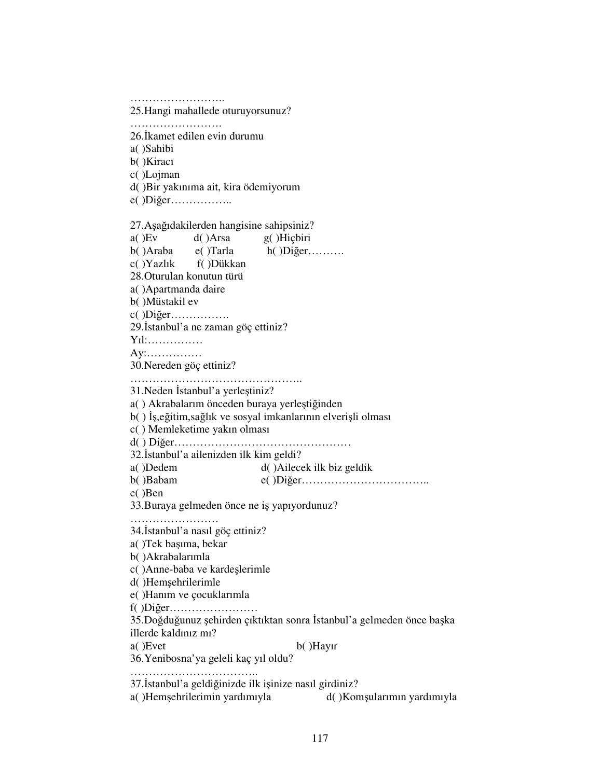………………………… 25.Hangi mahallede oturuyorsunuz? ………………………… 26.kamet edilen evin durumu a( )Sahibi b( )Kiracı c( )Lojman d( )Bir yakınıma ait, kira ödemiyorum e()Diğer……………… 27. Aşağıdakilerden hangisine sahipsiniz? a( )Ev d( )Arsa g( )Hiçbiri  $b()$ Araba e( )Tarla h( )Diğer………. c( )Yazlık f( )Dükkan 28.Oturulan konutun türü a( )Apartmanda daire b( )Müstakil ev c( )Dier……………. 29. İstanbul'a ne zaman göç ettiniz? Yıl:…………… Ay:…………… 30.Nereden göç ettiniz? ……………………………………………… 31. Neden İstanbul'a yerleştiniz? a() Akrabalarım önceden buraya yerleştiğinden b( ) İş,eğitim,sağlık ve sosyal imkanlarının elverişli olması c( ) Memleketime yakın olması d( ) Dier………………………………………… 32. İstanbul'a ailenizden ilk kim geldi? a( )Dedem d( )Ailecek ilk biz geldik b( )Babam e( )Dier…………………………….. c( )Ben 33. Buraya gelmeden önce ne iş yapıyordunuz? ………………………… 34.İstanbul'a nasıl göç ettiniz? a( )Tek başıma, bekar b( )Akrabalarımla c() Anne-baba ve kardeşlerimle d()Hemşehrilerimle e( )Hanım ve çocuklarımla f( )Dier…………………… 35.Doğduğunuz şehirden çıktıktan sonra İstanbul'a gelmeden önce başka illerde kaldınız mı? a( )Evet b( )Hayır 36.Yenibosna'ya geleli kaç yıl oldu? ……………………………………… 37.İstanbul'a geldiğinizde ilk işinize nasıl girdiniz? a()Hemşehrilerimin yardımıyla d()Komş d()Komşularımın yardımıyla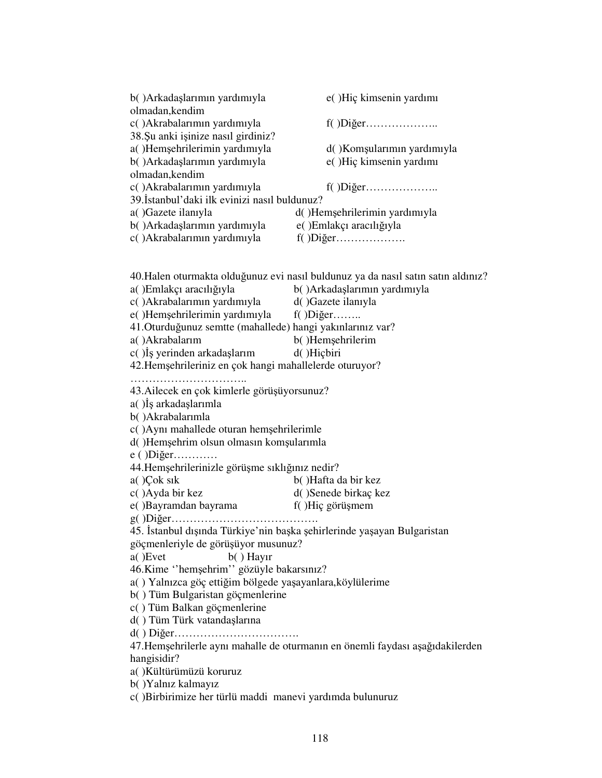| b() Arkadaşlarımın yardımıyla<br>olmadan,kendim | e()Hiç kimsenin yardımı       |
|-------------------------------------------------|-------------------------------|
| c() Akrabalarımın yardımıyla                    |                               |
| 38. Su anki işinize nasıl girdiniz?             |                               |
| a()Hemşehrilerimin yardımıyla                   | d()Komşularımın yardımıyla    |
| b() Arkadaşlarımın yardımıyla                   | e()Hiç kimsenin yardımı       |
| olmadan,kendim                                  |                               |
| c() Akrabalarımın yardımıyla                    |                               |
| 39.İstanbul'daki ilk evinizi nasıl buldunuz?    |                               |
| a()Gazete ilanıyla                              | d()Hemsehrilerimin yardımıyla |
| b() Arkadaşlarımın yardımıyla                   | e() Emlakçı aracılığıyla      |
| c() Akrabalarımın yardımıyla                    |                               |
|                                                 |                               |

40.Halen oturmakta olduğunuz evi nasıl buldunuz ya da nasıl satın satın aldınız? a() Emlakçı aracılığıyla b() Arkadaşlarımın yardımıyla c( )Akrabalarımın yardımıyla d( )Gazete ilanıyla e()Hemşehrilerimin yardımıyla f()Diğer…..... 41. Oturduğunuz semtte (mahallede) hangi yakınlarınız var? a()Akrabalarım b()Hemşehrilerim c( )İş yerinden arkadaş d( )Hiçbiri 42.Hemşehrileriniz en çok hangi mahallelerde oturuyor? …………………………… 43. Ailecek en çok kimlerle görüşüyorsunuz? a( )İş arkadaşlarımla b( )Akrabalarımla c() Aynı mahallede oturan hemşehrilerimle d()Hemşehrim olsun olmasın komşularımla  $e()$ Diğer………… 44.Hemşehrilerinizle görüşme sıklığınız nedir? a( )Çok sık b( )Hafta da bir kez c( )Ayda bir kez d( )Senede birkaç kez e( )Bayramdan bayrama  $f()$ Hiç görüşmem g( )Dier…………………………………. 45. İstanbul dışında Türkiye'nin başka şehirlerinde yaşayan Bulgaristan göçmenleriyle de görüşüyor musunuz? a( )Evet b( ) Hayır 46.Kime "hemşehrim" gözüyle bakarsınız? a() Yalnızca göç ettiğim bölgede yaşayanlara,köylülerime b( ) Tüm Bulgaristan göçmenlerine c( ) Tüm Balkan göçmenlerine d() Tüm Türk vatandaşlarına d( ) Dier……………………………. 47.Hemşehrilerle aynı mahalle de oturmanın en önemli faydası aşağıdakilerden hangisidir? a( )Kültürümüzü koruruz b( )Yalnız kalmayız c( )Birbirimize her türlü maddi manevi yardımda bulunuruz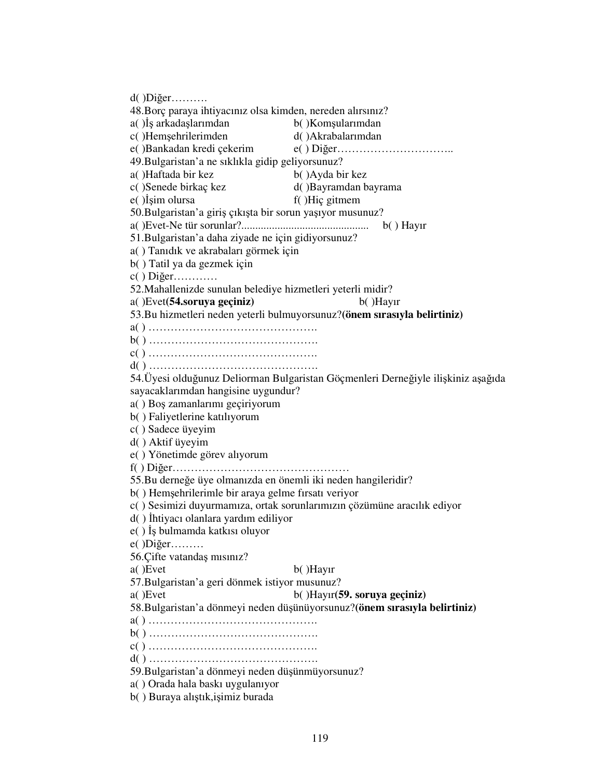$d$ () Diğer………. 48.Borç paraya ihtiyacınız olsa kimden, nereden alırsınız? a() İş arkadaşlarımdan b() Komş b()Komsularımdan c()Hemsehrilerimden d( )Akrabalarımdan e( )Bankadan kredi çekerim e( ) Dier………………………….. 49.Bulgaristan'a ne sıklıkla gidip geliyorsunuz? a()Haftada bir kez b()Ayda bir kez c( )Senede birkaç kez d( )Bayramdan bayrama e() Isim olursa f( )Hiç gitmem 50. Bulgaristan'a giriş çıkışta bir sorun yaşıyor musunuz? a( )Evet-Ne tür sorunlar?.............................................. b( ) Hayır 51.Bulgaristan'a daha ziyade ne için gidiyorsunuz? a( ) Tanıdık ve akrabaları görmek için b( ) Tatil ya da gezmek için c( ) Dier………… 52.Mahallenizde sunulan belediye hizmetleri yeterli midir? a( )Evet**(54.soruya geçiniz)** b( )Hayır 53.Bu hizmetleri neden yeterli bulmuyorsunuz?**(önem sırasıyla belirtiniz)** a( ) ………………………………………. b( ) ………………………………………. c( ) ………………………………………. d( ) ………………………………………. 54.Üyesi olduğunuz Deliorman Bulgaristan Göçmenleri Derneğiyle ilişkiniz aşağıda sayacaklarımdan hangisine uygundur? a() Boş zamanlarımı geçiriyorum b( ) Faliyetlerine katılıyorum c( ) Sadece üyeyim d( ) Aktif üyeyim e( ) Yönetimde görev alıyorum f( ) Dier………………………………………… 55.Bu derneğe üye olmanızda en önemli iki neden hangileridir? b() Hemşehrilerimle bir araya gelme fırsatı veriyor c( ) Sesimizi duyurmamıza, ortak sorunlarımızın çözümüne aracılık ediyor d( ) htiyacı olanlara yardım ediliyor e( ) İş bulmamda katkısı oluyor  $e( )$ Diğer……… 56.Çifte vatandaş mısınız? a( )Evet b( )Hayır 57.Bulgaristan'a geri dönmek istiyor musunuz? a( )Evet b( )Hayır**(59. soruya geçiniz)** 58.Bulgaristan'a dönmeyi neden dü-ünüyorsunuz?**(önem sırasıyla belirtiniz)** a( ) ………………………………………. b( ) ………………………………………. c( ) ………………………………………. d( ) ………………………………………. 59. Bulgaristan'a dönmeyi neden düşünmüyorsunuz? a( ) Orada hala baskı uygulanıyor b( ) Buraya alıştık,işimiz burada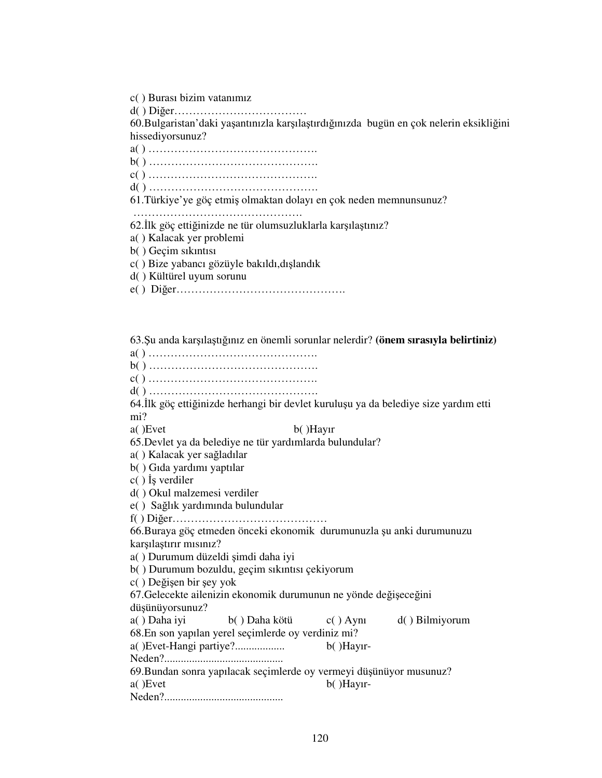c( ) Burası bizim vatanımız

d( ) Dier………………………………

60.Bulgaristan'daki yaşantınızla karşılaştırdığınızda bugün en çok nelerin eksikliğini hissediyorsunuz?

a( ) ……………………………………….

b( ) ……………………………………….

c( ) ……………………………………….

d( ) ……………………………………….

61.Türkiye'ye göç etmiş olmaktan dolayı en çok neden memnunsunuz?

……………………………………….

62.İlk göç ettiğinizde ne tür olumsuzluklarla karşılaştınız?

- a( ) Kalacak yer problemi
- b( ) Geçim sıkıntısı

c( ) Bize yabancı gözüyle bakıldı,dışlandık

d( ) Kültürel uyum sorunu

e( ) Dier……………………………………….

63.Şu anda karşılaştığınız en önemli sorunlar nelerdir? (önem sırasıyla belirtiniz) a( ) ………………………………………. b( ) ………………………………………. c( ) ………………………………………. d( ) ………………………………………. 64.İlk göç ettiğinizde herhangi bir devlet kuruluşu ya da belediye size yardım etti mi? a( )Evet b( )Hayır 65.Devlet ya da belediye ne tür yardımlarda bulundular? a() Kalacak yer sağladılar b( ) Gıda yardımı yaptılar c() İş verdiler d( ) Okul malzemesi verdiler e() Sağlık yardımında bulundular f( ) Dier…………………………………… 66.Buraya göç etmeden önceki ekonomik durumunuzla şu anki durumunuzu karşılaştırır mısınız? a( ) Durumum düzeldi şimdi daha iyi b( ) Durumum bozuldu, geçim sıkıntısı çekiyorum c( ) Değişen bir şey yok 67. Gelecekte ailenizin ekonomik durumunun ne yönde değişeceğini düşünüyorsunuz? a( ) Daha iyi b( ) Daha kötü c( ) Aynı d( ) Bilmiyorum 68.En son yapılan yerel seçimlerde oy verdiniz mi? a( )Evet-Hangi partiye?.................. b( )Hayır-Neden?........................................... 69.Bundan sonra yapılacak seçimlerde oy vermeyi düşünüyor musunuz? a( )Evet b( )Hayır-Neden?...........................................